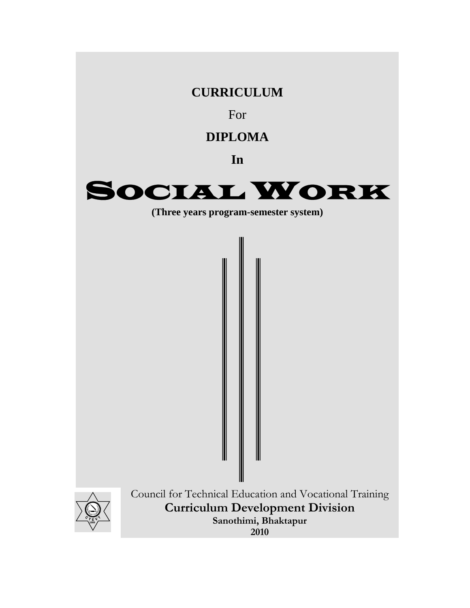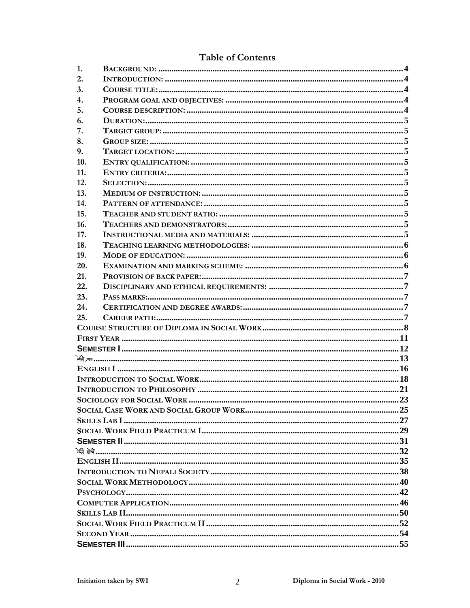### **Table of Contents**

| 1.               |  |
|------------------|--|
| 2.               |  |
| 3.               |  |
| $\overline{4}$ . |  |
| 5.               |  |
| 6.               |  |
| 7.               |  |
| 8.               |  |
| 9.               |  |
| 10.              |  |
| 11.              |  |
| 12.              |  |
| 13.              |  |
| 14.              |  |
| 15.              |  |
| 16.              |  |
| 17.              |  |
| 18.              |  |
| 19.              |  |
| 20.              |  |
| 21.              |  |
| 22.              |  |
| 23.              |  |
| 24.              |  |
| 25.              |  |
|                  |  |
|                  |  |
|                  |  |
|                  |  |
|                  |  |
|                  |  |
|                  |  |
|                  |  |
|                  |  |
|                  |  |
|                  |  |
|                  |  |
|                  |  |
|                  |  |
|                  |  |
|                  |  |
|                  |  |
|                  |  |
|                  |  |
|                  |  |
|                  |  |
|                  |  |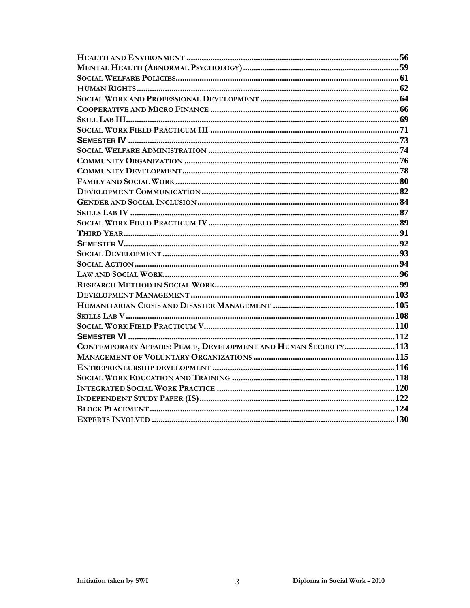| CONTEMPORARY AFFAIRS: PEACE, DEVELOPMENT AND HUMAN SECURITY 113 |  |
|-----------------------------------------------------------------|--|
|                                                                 |  |
|                                                                 |  |
|                                                                 |  |
|                                                                 |  |
|                                                                 |  |
|                                                                 |  |
|                                                                 |  |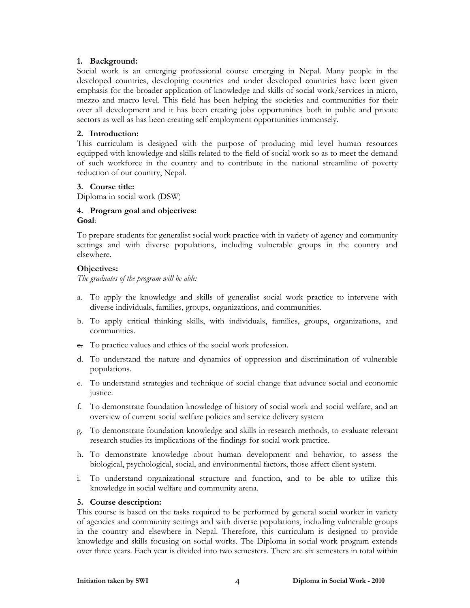#### **1. Background:**

Social work is an emerging professional course emerging in Nepal. Many people in the developed countries, developing countries and under developed countries have been given emphasis for the broader application of knowledge and skills of social work/services in micro, mezzo and macro level. This field has been helping the societies and communities for their over all development and it has been creating jobs opportunities both in public and private sectors as well as has been creating self employment opportunities immensely.

#### **2. Introduction:**

This curriculum is designed with the purpose of producing mid level human resources equipped with knowledge and skills related to the field of social work so as to meet the demand of such workforce in the country and to contribute in the national streamline of poverty reduction of our country, Nepal.

#### **3. Course title:**

Diploma in social work (DSW)

#### **4. Program goal and objectives: Goal**:

To prepare students for generalist social work practice with in variety of agency and community settings and with diverse populations, including vulnerable groups in the country and elsewhere.

#### **Objectives:**

*The graduates of the program will be able:* 

- a. To apply the knowledge and skills of generalist social work practice to intervene with diverse individuals, families, groups, organizations, and communities.
- b. To apply critical thinking skills, with individuals, families, groups, organizations, and communities.
- c. To practice values and ethics of the social work profession.
- d. To understand the nature and dynamics of oppression and discrimination of vulnerable populations.
- e. To understand strategies and technique of social change that advance social and economic justice.
- f. To demonstrate foundation knowledge of history of social work and social welfare, and an overview of current social welfare policies and service delivery system
- g. To demonstrate foundation knowledge and skills in research methods, to evaluate relevant research studies its implications of the findings for social work practice.
- h. To demonstrate knowledge about human development and behavior, to assess the biological, psychological, social, and environmental factors, those affect client system.
- i. To understand organizational structure and function, and to be able to utilize this knowledge in social welfare and community arena.

#### **5. Course description:**

This course is based on the tasks required to be performed by general social worker in variety of agencies and community settings and with diverse populations, including vulnerable groups in the country and elsewhere in Nepal. Therefore, this curriculum is designed to provide knowledge and skills focusing on social works. The Diploma in social work program extends over three years. Each year is divided into two semesters. There are six semesters in total within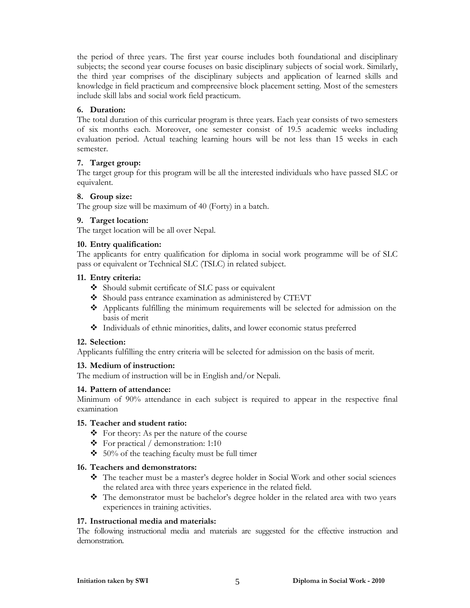the period of three years. The first year course includes both foundational and disciplinary subjects; the second year course focuses on basic disciplinary subjects of social work. Similarly, the third year comprises of the disciplinary subjects and application of learned skills and knowledge in field practicum and compreensive block placement setting. Most of the semesters include skill labs and social work field practicum.

#### **6. Duration:**

The total duration of this curricular program is three years. Each year consists of two semesters of six months each. Moreover, one semester consist of 19.5 academic weeks including evaluation period. Actual teaching learning hours will be not less than 15 weeks in each semester.

#### **7. Target group:**

The target group for this program will be all the interested individuals who have passed SLC or equivalent.

#### **8. Group size:**

The group size will be maximum of 40 (Forty) in a batch.

#### **9. Target location:**

The target location will be all over Nepal.

#### **10. Entry qualification:**

The applicants for entry qualification for diploma in social work programme will be of SLC pass or equivalent or Technical SLC (TSLC) in related subject.

#### **11. Entry criteria:**

- $\triangleleft$  Should submit certificate of SLC pass or equivalent
- Should pass entrance examination as administered by CTEVT
- Applicants fulfilling the minimum requirements will be selected for admission on the basis of merit
- Individuals of ethnic minorities, dalits, and lower economic status preferred

#### **12. Selection:**

Applicants fulfilling the entry criteria will be selected for admission on the basis of merit.

#### **13. Medium of instruction:**

The medium of instruction will be in English and/or Nepali.

#### **14. Pattern of attendance:**

Minimum of 90% attendance in each subject is required to appear in the respective final examination

#### **15. Teacher and student ratio:**

- $\triangleleft$  For theory: As per the nature of the course
- $\div$  For practical / demonstration: 1:10
- $\div$  50% of the teaching faculty must be full timer

#### **16. Teachers and demonstrators:**

- The teacher must be a master's degree holder in Social Work and other social sciences the related area with three years experience in the related field.
- The demonstrator must be bachelor's degree holder in the related area with two years experiences in training activities.

#### **17. Instructional media and materials:**

The following instructional media and materials are suggested for the effective instruction and demonstration.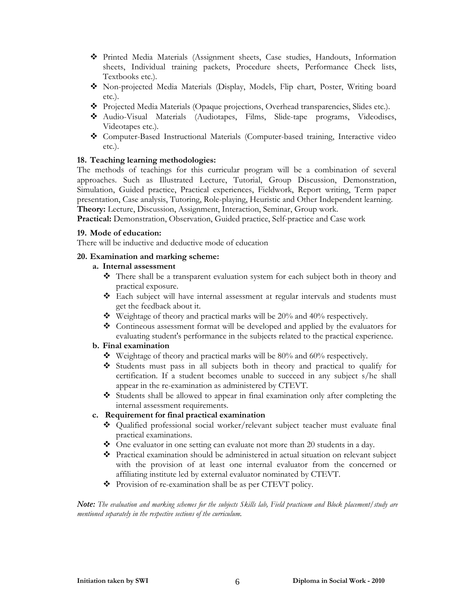- Printed Media Materials (Assignment sheets, Case studies, Handouts, Information sheets, Individual training packets, Procedure sheets, Performance Check lists, Textbooks etc.).
- Non-projected Media Materials (Display, Models, Flip chart, Poster, Writing board etc.).
- Projected Media Materials (Opaque projections, Overhead transparencies, Slides etc.).
- Audio-Visual Materials (Audiotapes, Films, Slide-tape programs, Videodiscs, Videotapes etc.).
- Computer-Based Instructional Materials (Computer-based training, Interactive video etc.).

#### **18. Teaching learning methodologies:**

The methods of teachings for this curricular program will be a combination of several approaches. Such as Illustrated Lecture, Tutorial, Group Discussion, Demonstration, Simulation, Guided practice, Practical experiences, Fieldwork, Report writing, Term paper presentation, Case analysis, Tutoring, Role-playing, Heuristic and Other Independent learning. **Theory:** Lecture, Discussion, Assignment, Interaction, Seminar, Group work.

**Practical:** Demonstration, Observation, Guided practice, Self-practice and Case work

#### **19. Mode of education:**

There will be inductive and deductive mode of education

#### **20. Examination and marking scheme:**

#### **a. Internal assessment**

- There shall be a transparent evaluation system for each subject both in theory and practical exposure.
- Each subject will have internal assessment at regular intervals and students must get the feedback about it.
- Weightage of theory and practical marks will be 20% and 40% respectively.
- Contineous assessment format will be developed and applied by the evaluators for evaluating student's performance in the subjects related to the practical experience.

#### **b. Final examination**

- $\bullet\bullet\text{ Weightage of theory and practical marks will be 80\% and 60\% respectively.}$
- Students must pass in all subjects both in theory and practical to qualify for certification. If a student becomes unable to succeed in any subject s/he shall appear in the re-examination as administered by CTEVT.
- Students shall be allowed to appear in final examination only after completing the internal assessment requirements.

#### **c. Requirement for final practical examination**

- Qualified professional social worker/relevant subject teacher must evaluate final practical examinations.
- One evaluator in one setting can evaluate not more than 20 students in a day.
- Practical examination should be administered in actual situation on relevant subject with the provision of at least one internal evaluator from the concerned or affiliating institute led by external evaluator nominated by CTEVT.
- Provision of re-examination shall be as per CTEVT policy.

*Note: The evaluation and marking schemes for the subjects Skills lab, Field practicum and Block placement/study are mentioned separately in the respective sections of the curriculum.*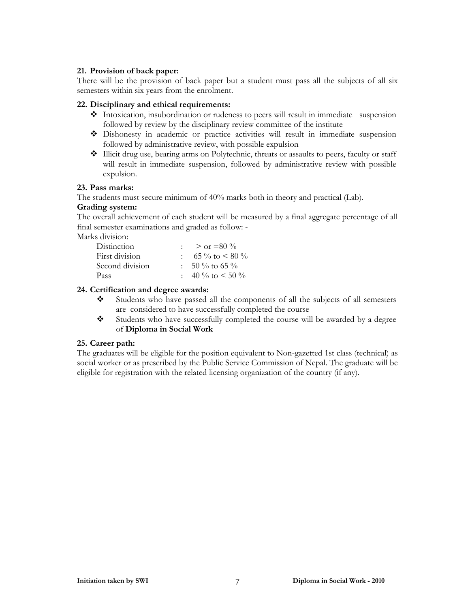#### **21. Provision of back paper:**

There will be the provision of back paper but a student must pass all the subjects of all six semesters within six years from the enrolment.

#### **22. Disciplinary and ethical requirements:**

- $\triangle$  Intoxication, insubordination or rudeness to peers will result in immediate suspension followed by review by the disciplinary review committee of the institute
- Dishonesty in academic or practice activities will result in immediate suspension followed by administrative review, with possible expulsion
- Illicit drug use, bearing arms on Polytechnic, threats or assaults to peers, faculty or staff will result in immediate suspension, followed by administrative review with possible expulsion.

#### **23. Pass marks:**

The students must secure minimum of 40% marks both in theory and practical (Lab).

#### **Grading system:**

The overall achievement of each student will be measured by a final aggregate percentage of all final semester examinations and graded as follow: -

Marks division:

| Distinction     | $>$ or =80 %              |
|-----------------|---------------------------|
| First division  | 6.5 % to $\leq 80$ %      |
| Second division | $\therefore$ 50 % to 65 % |
| Pass            | $\pm 40\%$ to $\leq 50\%$ |

#### **24. Certification and degree awards:**

- Students who have passed all the components of all the subjects of all semesters are considered to have successfully completed the course
- Students who have successfully completed the course will be awarded by a degree of **Diploma in Social Work**

#### **25. Career path:**

The graduates will be eligible for the position equivalent to Non-gazetted 1st class (technical) as social worker or as prescribed by the Public Service Commission of Nepal. The graduate will be eligible for registration with the related licensing organization of the country (if any).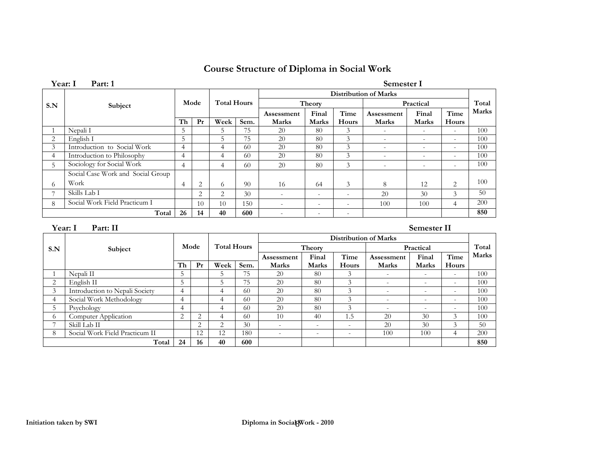### **Course Structure of Diploma in Social Work**

**Total Marks**

 $50$ 

200

**Time** 

Hours

**Final Marks** 

|                | Year: I<br>Part: 1                |                |                |                    |      |                          |                          |                          | Semester I               |                          |                          |              |  |
|----------------|-----------------------------------|----------------|----------------|--------------------|------|--------------------------|--------------------------|--------------------------|--------------------------|--------------------------|--------------------------|--------------|--|
|                |                                   |                |                |                    |      | Distribution of Marks    |                          |                          |                          |                          |                          |              |  |
| S.N            | Subject                           |                | Mode           | <b>Total Hours</b> |      |                          | Theory                   |                          |                          | Practical                |                          | Total        |  |
|                |                                   |                |                |                    |      | Assessment               | Final                    | Time                     | Assessment               | Final                    | Time                     | <b>Marks</b> |  |
|                |                                   | Th             | Pr             | Week               | Sem. | <b>Marks</b>             | Marks                    | Hours                    | <b>Marks</b>             | <b>Marks</b>             | Hours                    |              |  |
|                | Nepali I                          | 5              |                | $\mathcal{D}$      | 75   | 20                       | 80                       | 3                        | $\overline{\phantom{a}}$ | ٠.                       | $\sim$                   | 100          |  |
| 2              | English I                         | 5              |                | 5.                 | 75   | 20                       | 80                       | 3                        | $\overline{\phantom{a}}$ | $\overline{\phantom{a}}$ | $\overline{\phantom{a}}$ | 100          |  |
| 3              | Introduction to Social Work       | 4              |                | 4                  | 60   | 20                       | 80                       | 3                        | $\overline{\phantom{a}}$ | -                        | $\sim$                   | 100          |  |
| 4              | Introduction to Philosophy        | 4              |                | 4                  | -60  | 20                       | 80                       | 3                        | $\overline{\phantom{a}}$ | ٠                        | ۰.                       | 100          |  |
| 5              | Sociology for Social Work         | $\overline{4}$ |                | $\overline{4}$     | 60   | 20                       | 80                       | 3                        | $\overline{\phantom{a}}$ | ٠                        | $\overline{\phantom{a}}$ | 100          |  |
|                | Social Case Work and Social Group |                |                |                    |      |                          |                          |                          |                          |                          |                          |              |  |
| 6              | Work                              | $\overline{4}$ | 2              | 6                  | 90   | 16                       | 64                       | 3                        | 8                        | 12                       | 2                        | 100          |  |
| $\overline{ }$ | Skills Lab I                      |                | $\overline{2}$ | $\overline{2}$     | 30   | $\overline{\phantom{a}}$ | $\overline{\phantom{a}}$ | $\sim$                   | 20                       | 30                       | 3                        | 50           |  |
| 8              | Social Work Field Practicum I     |                | 10             | 10                 | 150  | $\overline{\phantom{a}}$ | $\overline{\phantom{a}}$ | ٠                        | 100                      | 100                      | 4                        | 200          |  |
|                | Total                             | 26             | 14             | 40                 | 600  | $\overline{\phantom{a}}$ | $\overline{\phantom{a}}$ | $\overline{\phantom{a}}$ |                          |                          |                          | 850          |  |
|                |                                   |                |                |                    |      |                          |                          |                          |                          |                          |                          |              |  |

 **Year: I Part: II Semester II S.N** Subject Mode Total Hours **Distribution of Marks**  Theory **Practical Assessment Marks Final Marks Time**  . | Marks | Marks | Hours | Marks | Marks | Hours **Assessment Marks Th Pr Week Sem.**1 Nepali II 5 5 75 20 80 3 - - - 100 2 | English II 5 | 5 | 5 | 75 | 20 | 80 | 3 | - | - | - | 100 3 Introduction to Nepali Society 4 4 60 20 80 3 - - - 100<br>4 Social Work Methodology 4 4 4 60 20 80 3 - - - 100 4 Social Work Methodology 4 4 4 60 20 80 3 - - - 100<br>5 Psychology 4 4 60 20 80 3 - - - 100 5 Psychology 4 4 60 20 80 3 - - - 100 6 Computer Application 2 2 4 60 10 40 1.5 20 30 3 100

**Total 24 16 40 600 850** 

7 | Skill Lab II 2 | 2 | 2 | 30 | 2 | - | - | - | 20 | 30 | 3 | 50

8 Social Work Field Practicum II 12 12 180 - - - 100 100 4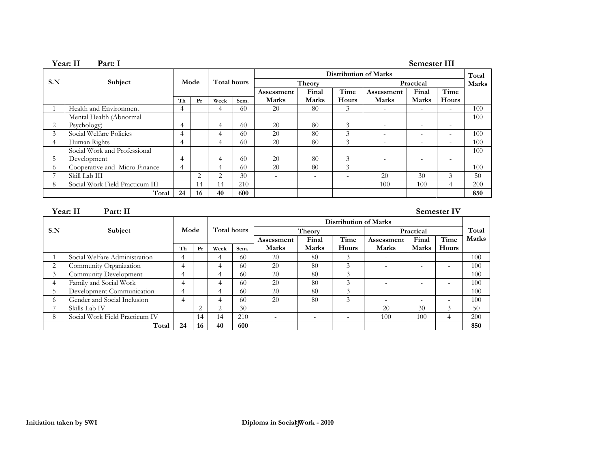|     | Year: II<br>Part: I             |                |    |             |      |                              |                          |       |                          | Semester III             |                          |              |
|-----|---------------------------------|----------------|----|-------------|------|------------------------------|--------------------------|-------|--------------------------|--------------------------|--------------------------|--------------|
|     |                                 | Mode           |    |             |      | <b>Distribution of Marks</b> |                          |       |                          |                          |                          |              |
| S.N | Subject                         |                |    | Total hours |      |                              | Theory                   |       |                          | Practical                |                          | <b>Marks</b> |
|     |                                 |                |    |             |      | Assessment                   | Final                    | Time  | Assessment               | Final                    | Time                     |              |
|     |                                 | Th             | Pr | Week        | Sem. | Marks                        | <b>Marks</b>             | Hours | Marks                    | <b>Marks</b>             | Hours                    |              |
|     | Health and Environment          | 4              |    | 4           | -60  | 20                           | 80                       | 3     | -                        |                          | $\overline{\phantom{a}}$ | 100          |
|     | Mental Health (Abnormal         |                |    |             |      |                              |                          |       |                          |                          |                          | 100          |
| 2   | Psychology)                     | 4              |    | 4           | 60   | 20                           | 80                       | 3     | $\overline{\phantom{a}}$ | $\overline{\phantom{a}}$ | $\overline{\phantom{a}}$ |              |
| 3   | Social Welfare Policies         | 4              |    | 4           | -60  | 20                           | 80                       | 3     | $\sim$                   | -                        | $\overline{\phantom{a}}$ | 100          |
| 4   | Human Rights                    | $\overline{4}$ |    | 4           | 60   | 20                           | 80                       | 3     | $\overline{\phantom{a}}$ | $\sim$                   | $\overline{\phantom{a}}$ | 100          |
|     | Social Work and Professional    |                |    |             |      |                              |                          |       |                          |                          |                          | 100          |
| 5.  | Development                     | $\overline{4}$ |    | 4           | -60  | 20                           | 80                       | 3     | $\overline{\phantom{a}}$ | $\overline{\phantom{a}}$ | $\overline{\phantom{a}}$ |              |
| 6   | Cooperative and Micro Finance   | $\overline{4}$ |    | 4           | -60  | 20                           | 80                       | 3     | $\overline{\phantom{a}}$ | $\sim$                   | $\overline{\phantom{a}}$ | 100          |
|     | Skill Lab III                   |                | 2  | 2           | 30   | ٠                            | $\overline{\phantom{a}}$ | ٠     | 20                       | 30                       | 3                        | 50           |
| 8   | Social Work Field Practicum III |                | 14 | 14          | 210  | $\overline{\phantom{a}}$     | $\sim$                   | ٠     | 100                      | 100                      | 4                        | 200          |
|     | Total                           | 24             | 16 | 40          | 600  |                              |                          |       |                          |                          |                          | 850          |

#### **Year:** II Part: II Semester IV

|                          |                                |      | <b>Distribution of Marks</b> |                       |      |                   |                          |               |              |                          |                          |       |
|--------------------------|--------------------------------|------|------------------------------|-----------------------|------|-------------------|--------------------------|---------------|--------------|--------------------------|--------------------------|-------|
| S.N                      | Subject                        | Mode |                              | Total hours<br>Theory |      |                   | Practical                | Total         |              |                          |                          |       |
|                          |                                |      |                              |                       |      | <b>Assessment</b> | Final                    | Time          | Assessment   | Final                    | Time                     | Marks |
|                          |                                | Th   | Pr                           | Week                  | Sem. | <b>Marks</b>      | <b>Marks</b>             | Hours         | <b>Marks</b> | <b>Marks</b>             | Hours                    |       |
|                          | Social Welfare Administration  | 4    |                              | 4                     | 60   | 20                | 80                       | 3             | ٠            |                          | $\overline{\phantom{a}}$ | 100   |
| $\overline{\phantom{a}}$ | Community Organization         | 4    |                              | 4                     | 60   | 20                | 80                       | 3             | $\sim$       |                          | $\sim$                   | 100   |
| 3                        | Community Development          |      |                              | 4                     | 60   | 20                | 80                       | $\mathcal{E}$ | -            | $\overline{\phantom{a}}$ | $\overline{\phantom{0}}$ | 100   |
|                          | Family and Social Work         |      |                              | 4                     | 60   | 20                | 80                       |               | -            | -                        | ۰                        | 100   |
|                          | Development Communication      |      |                              | 4                     | 60   | 20                | 80                       |               | $\sim$       | $\overline{\phantom{a}}$ | $\overline{\phantom{a}}$ | 100   |
| 6                        | Gender and Social Inclusion    | 4    |                              | 4                     | 60   | 20                | 80                       |               | $\sim$       | $\overline{\phantom{a}}$ | ۰.                       | 100   |
|                          | Skills Lab IV                  |      | 2                            | っ                     | 30   |                   | $\overline{\phantom{0}}$ | ۰.            | 20           | 30                       | 3                        | 50    |
| 8                        | Social Work Field Practicum IV |      | 14                           | 14                    | 210  | $\sim$            | $\overline{\phantom{a}}$ | $\sim$        | 100          | 100                      | 4                        | 200   |
|                          | Total                          | 24   | 16                           | 40                    | 600  |                   |                          |               |              |                          |                          | 850   |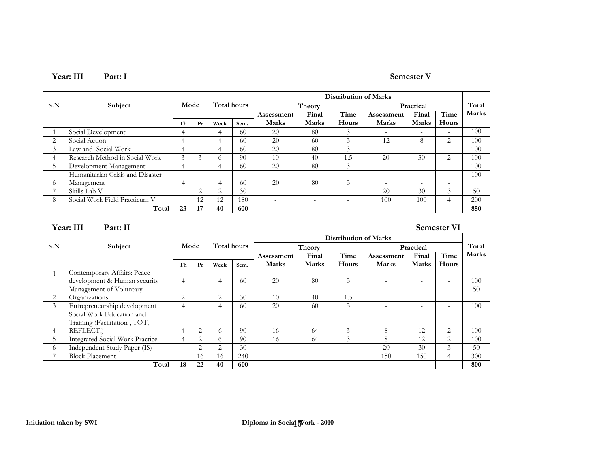#### **Year: III Part: I Semester V**

|                |                                  |      |               |             |      | <b>Distribution of Marks</b> |                          |        |                          |              |                          |              |
|----------------|----------------------------------|------|---------------|-------------|------|------------------------------|--------------------------|--------|--------------------------|--------------|--------------------------|--------------|
| S.N            | Subject                          | Mode |               | Total hours |      |                              | Theory                   |        |                          | Practical    |                          | Total        |
|                |                                  |      |               |             |      | Assessment                   | Final                    | Time   | Assessment               | Final        | Time                     | <b>Marks</b> |
|                |                                  | Th   | Pr            | Week        | Sem. | <b>Marks</b>                 | <b>Marks</b>             | Hours  | <b>Marks</b>             | <b>Marks</b> | Hours                    |              |
|                | Social Development               | 4    |               | 4           | 60   | 20                           | 80                       | 3      | $\overline{\phantom{a}}$ | $\sim$       | $\overline{\phantom{a}}$ | 100          |
| $\overline{2}$ | Social Action                    | 4    |               | 4           | 60   | 20                           | 60                       | 3      | 12                       | 8            | 2                        | 100          |
| 3              | Law and Social Work              | 4    |               | 4           | 60   | 20                           | 80                       | 3      | $\overline{\phantom{a}}$ | $\sim$       | $\overline{\phantom{a}}$ | 100          |
| 4              | Research Method in Social Work   | 3    | $\mathcal{E}$ | $\Omega$    | 90   | 10                           | 40                       | 1.5    | 20                       | 30           | 2                        | 100          |
| 5.             | Development Management           | 4    |               |             | 60   | 20                           | 80                       | 3      | $\overline{\phantom{0}}$ | $\sim$       | $\overline{\phantom{a}}$ | 100          |
|                | Humanitarian Crisis and Disaster |      |               |             |      |                              |                          |        |                          |              |                          | 100          |
| $\sigma$       | Management                       | 4    |               | 4           | 60   | 20                           | 80                       | 3      | $\overline{\phantom{0}}$ | $\sim$       | $\overline{\phantom{0}}$ |              |
|                | Skills Lab V                     |      | 2             | 2           | 30   | $\sim$                       | $\overline{\phantom{a}}$ |        | 20                       | 30           | 3                        | 50           |
| 8              | Social Work Field Practicum V    |      | 12            | 12          | 180  | <b>110</b>                   | -                        | $\sim$ | 100                      | 100          | 4                        | 200          |
|                | Total                            | 23   | 17            | 40          | 600  |                              |                          |        |                          |              |                          | 850          |

**Year: III Part: II Semester VI** 

|                |                                        |                |      |                |             | Distribution of Marks |                          |        |                          |              |                          |       |
|----------------|----------------------------------------|----------------|------|----------------|-------------|-----------------------|--------------------------|--------|--------------------------|--------------|--------------------------|-------|
| S.N            | Subject                                |                | Mode |                | Total hours |                       | Theory                   |        |                          | Practical    |                          |       |
|                |                                        |                |      |                |             | Assessment            | Final                    | Time   | Assessment               | Final        | Time                     | Marks |
|                |                                        | Th             | Pr   | Week           | Sem.        | <b>Marks</b>          | <b>Marks</b>             | Hours  | <b>Marks</b>             | <b>Marks</b> | Hours                    |       |
|                | Contemporary Affairs: Peace            |                |      |                |             |                       |                          |        |                          |              |                          |       |
|                | development & Human security           | $\overline{4}$ |      | 4              | 60          | 20                    | 80                       | 3      | $\sim$                   | ۰            | $\overline{\phantom{a}}$ | 100   |
|                | Management of Voluntary                |                |      |                |             |                       |                          |        |                          |              |                          | 50    |
| 2              | Organizations                          | $\overline{2}$ |      | $\overline{2}$ | 30          | 10                    | 40                       | 1.5    | $\overline{\phantom{a}}$ | ۰            | $\overline{\phantom{0}}$ |       |
| $\mathfrak{Z}$ | Entrepreneurship development           | $\overline{4}$ |      | 4              | 60          | 20                    | 60                       | 3      |                          | $\sim$       | $\overline{\phantom{a}}$ | 100   |
|                | Social Work Education and              |                |      |                |             |                       |                          |        |                          |              |                          |       |
|                | Training (Facilitation, TOT,           |                |      |                |             |                       |                          |        |                          |              |                          |       |
| 4              | REFLECT.                               | 4              | 2    | 6              | 90          | 16                    | 64                       | 3      | 8                        | 12           | $\overline{2}$           | 100   |
| 5.             | <b>Integrated Social Work Practice</b> | 4              | 2    | $\Omega$       | 90          | 16                    | 64                       | 3      | 8                        | 12           | 2                        | 100   |
| 6.             | Independent Study Paper (IS)           |                | 2    | 2              | 30          | ۰.                    | $\overline{\phantom{a}}$ | $\sim$ | 20                       | 30           | 3                        | 50    |
|                | <b>Block Placement</b>                 |                | 16   | 16             | 240         | ۰.                    | ۰.                       | ۰.     | 150                      | 150          | 4                        | 300   |
|                | Total                                  | 18             | 22   | 40             | 600         |                       |                          |        |                          |              |                          | 800   |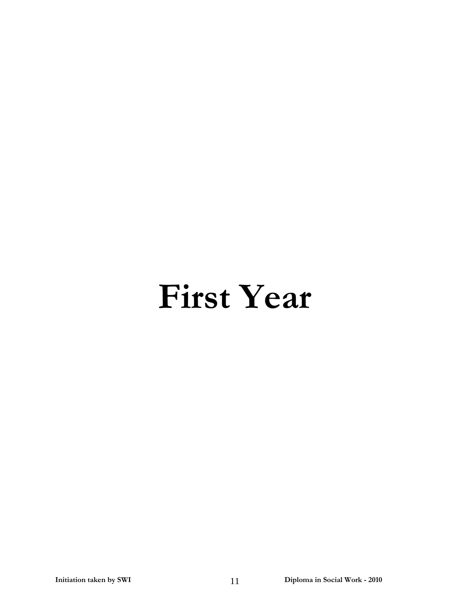# **First Year**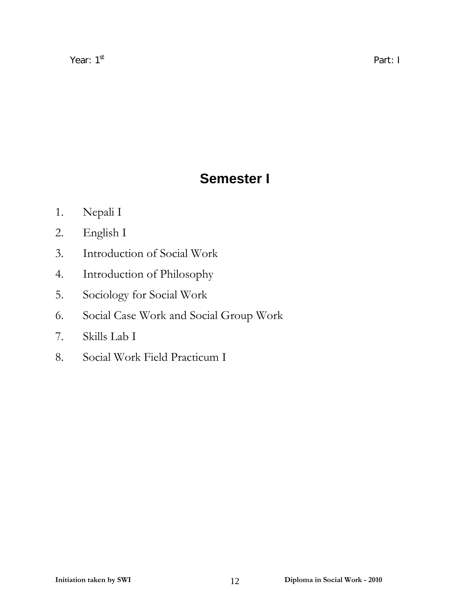# **Semester I**

- 1. Nepali I
- 2. English I
- 3. Introduction of Social Work
- 4. Introduction of Philosophy
- 5. Sociology for Social Work
- 6. Social Case Work and Social Group Work
- 7. Skills Lab I
- 8. Social Work Field Practicum I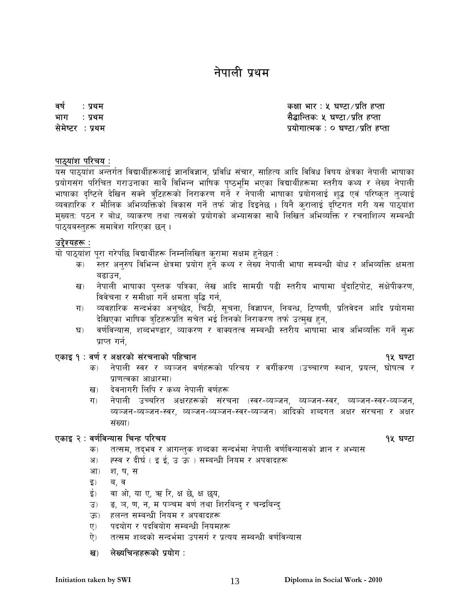# नेपाली प्रथम

वर्ष : प्रथम $\,$ भाग : प्रथम सेमेष्टर : प्रथम

कक्षा भार : ५ घण्टा $/$ प्रति हप्ता सैद्धान्तिकः ५ घण्टा ⁄ प्रति हप्ता प्रयोगात्मक : ० घण्टा/प्रति हप्ता

#### पाठ्यांश परिचय ः

यस पाठ्यांश अन्तर्गत विद्यार्थीहरूलाई ज्ञानविज्ञान, प्रविधि संचार, साहित्य आदि विविध विषय क्षेत्रका नेपाली भाषाका प्रयोगसंग परिचित गराउनाका साथै विभिन्न भाषिक पष्ठभूमि भएका विद्यार्थीहरूमा स्तरीय कथ्य र लेख्य नेपाली भाषाका दृष्टिले देखिन सक्ने त्रटिहरूको निराकरण गर्ने र नेपाली भाषाका प्रयोगलाई शद्ध एवं परिष्कृत तुल्याई व्यवहारिक र मौलिक अभिव्यक्तिको विकास गर्ने तर्फ जोड दिइनेछ । यिनै कुरालाई दृष्टिगत गरी यस पाठ्यांश मुख्यत: पठन र बोध, व्याकरण तथा त्यसको प्रयोगको अभ्यासका साथै लिखित अभिव्यक्ति र रचनाशिल्प सम्बन्धी पाठ्यबस्तुहरू समावेश गरिएका छन् ।

#### उद्देश्यहरू :

यो पाठ्यांश पुरा गरेपछि विद्यार्थीहरू निम्नलिखित कुरामा सक्षम हुनेछन :

- क) स्तर अनुरुप विभिन्न क्षेत्रमा प्रयोग हुने कथ्य र लेख्य नेपाली भाषा सम्बन्धी बोध र अभिव्यक्ति क्षमता बढाउन.
- ख) नेपाली भाषाका पुस्तक पत्रिका, लेख आदि सामग्री पढी स्तरीय भाषामा बुँदाटिपोट, संक्षेपीकरण, विवेचना र समीक्षा गर्ने क्षमता बुद्धि गर्न,
- ग) व्यवहारिक सन्दर्भका अनुच्छेद, चिठी, सूचना, विज्ञापन, निबन्ध, टिप्पणी, प्रतिवेदन आदि प्रयोगमा देखिएका भाषिक त्रुटिहरूप्रति सचेत भई तिनको निराकरण तर्फ उत्मुख हुन,
- घ) वर्णविन्यास, शब्दभण्डार, व्याकरण र वाक्यतत्व सम्बन्धी स्तरीय भाषामा भाव अभिव्यक्ति गर्ने सुभ प्राप्त गर्न,

### PsfO ! M j0f{ / cIf/sf] ;+/rgfsf] klxrfg !% 306f

- क) नेपाली स्वर र व्यञ्जन वर्णहरूको परिचय र वर्गीकरण (उच्चारण स्थान, प्रयत्न, घोषत्व र  $\sqrt{q}$ प्राणत्वका आधारमा
- ख) देवनागरी लिपि र कथ्य नेपाली वर्णहरू
- ग) नेपाली उच्चरित अक्षरहरूको संरचना (स्वर-व्यञ्जन, व्यञ्जन-स्वर, व्यञ्जन-स्वर-व्यञ्जन, व्यञ्जन-व्यञ्जन-स्वर, व्यञ्जन-व्यञ्जन-स्वर-व्यञ्जन) आदिको शब्दगत अक्षर संरचना र अक्षर संख्या)

#### एकाइ २ : वर्णविन्यास चिन्ह परिचय

- 
- क) तत्सम, तद्भव र आगन्तुक शब्दका सन्दर्भमा नेपाली वर्णविन्यासको ज्ञान र अभ्यास
- अ) ह्स्व र दीर्घ ( इ ई, उ ऊ ) सम्बन्धी नियम र अपवादहरू
- आ) श, ष, स
- इ) ब, व
- ई) वा ओ, या ए, ऋ रि, क्ष छे, क्ष छ्य,
- उ) = ड, ञ, ण, न, म पञ्चम वर्ण तथा शिरबिन्द र चन्द्रबिन्द
- ऊ) हलन्त सम्बन्धी नियम र अपवादहरू
- ए) पदयोग र पदवियोग सम्बन्धी नियमहरू
- ऐ) तत्सम शब्दको सन्दर्भमा उपसर्ग र प्रत्यय सम्बन्धी वर्णविन्यास

#### ख) लेख्यचिन्हहरूको प्रयोग :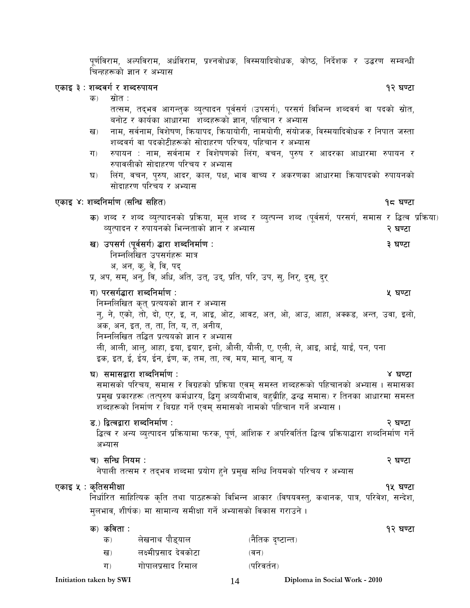पर्णविराम, अल्पविराम, अर्धविराम, प्रश्नवोधक, विस्मयादिबोधक, कोष्ठ, निर्देशक र उद्धरण सम्बन्धी चिन्हहरूको ज्ञान र अभ्यास

### एकाइ ३ : शब्दवर्ग र शब्दरुपायन

क) स्रोत $\,$ :

तत्सम, तद्भव आगन्तुक व्युत्पादन पूर्वसर्ग (उपसर्ग), परसर्ग विभिन्न शब्दवर्ग वा पदको स्रोत, बनोट र कार्यका आधारमा शब्दहरूको ज्ञान, पहिचान र अभ्यास

- ख) नाम, सर्वनाम, विशेषण, क्रियापद, क्रियायोगी, नामयोगी, संयोजक, विस्मयादिवोधक र निपात जस्ता शब्दवर्ग वा पदकोटीहरूको सोदाहरण परिचय, पहिचान र अभ्यास
- ग) रुपायन : नाम, सर्वनाम र विशेषणको लिंग, वचन, पुरुष र आदरका आधारमा रुपायन र रुपावलीको सोदाहरण परिचय र अभ्यास
- घ) लिंग, वचन, पुरुष, आदर, काल, पक्ष, भाव वाच्य र अकरणका आधारमा क्रियापदको रुपायनको सोदाहरण परिचय र अभ्यास

#### PsfO \$M zAblgdf{0f -;lGw ;lxt\_ !\* 306f

क) शब्द र शब्द व्युत्पादनको प्रक्रिया, मूल शब्द र व्युत्पन्न शब्द (पूर्वसर्ग, परसर्ग, समास र द्धित्व प्रक्रिया) व्यत्पादन र रुपायनको भिन्नताको ज्ञान र अभ्यास

#### v\_ pk;u{ -k"j{;u{\_ 4f/f zAblgdf{0f M # 306f

निम्नलिखित उपसर्गहरू मात्र

अ, अन, क्, वे, वि, पद्

प्र, अप, सम्, अनु, वि, अधि, अति, उत्, उद्, प्रति, परि, उप, सु, निर्, दुस्, दुर्

#### ग) परसर्गद्धारा शब्दनिर्माण :  $\hspace{1.5cm}$  which are set of  $\hspace{1.5cm}$  which  $\hspace{1.5cm}$  are  $\hspace{1.5cm}$  and  $\hspace{1.5cm}$

त्तिम्नलिखित कृत् प्रत्ययको ज्ञान र अभ्यास न्, ने, एको, तो, दो, एर, इ, न, आइ, ओट, आवट, अत, ओ, आउ, आहा, अक्कड, अन्त, उवा, इलो, अक, अन, इत, त, ता, ति, य, त, अनीय, त्तिम्नलिखित तद्धित प्रत्ययको ज्ञान र अभ्यास ली, आली, आलु, आहा, इया, इयार, इलो, औली, यौली, ए, एली, ले, आइ, आईं, याईं, पन, पना इक, इत, ई, ईय, ईन, ईण, क, तम, ता, त्व, मय, मान्, वान्, य

#### 3\_ ;df;åf/f zAblgdf{0f M \$ 306f

समासको परिचय, समास र विग्रहको प्रक्रिया एवम् समस्त शब्दहरूको पहिचानको अभ्यास । समासका प्रमुख प्रकारहरू (तत्पुरुष कर्मधारय, द्धिगु अव्ययीभाव, बहुब्रीहि, द्धन्द्ध समास) र तिनका आधारमा समस्त शब्दहरूको निर्माण र बिग्रह गर्ने एवम् समासको नामको पहिचान गर्ने अभ्यास ।

#### 8=\_ låTjåf/f zAblgdf{0f M @ 306f

द्धित्व र अन्य व्युत्पादन प्रक्रियामा फरक, पूर्ण, आंशिक र अपरिवर्तित द्धित्व प्रक्रियाद्धारा शब्दनिर्माण गर्ने अभ्यास

#### r\_ ;lGw lgod M @ 306f

नेपाली तत्सम र तद्भव शब्दमा प्रयोग हुने प्रमुख सन्धि नियमको परिचय र अभ्यास

### एकाइ ५ : कृतिसमीक्षा $\sim$  916  $\sim$  916feed by 306feed by 306feed by 306feed by 306feed by 306feed by 306feed by 306feed by 306feed by 306feed by 306feed by 306feed by 306feed by 306feed by 306feed by 306feed by 306feed by

निर्धारित साहित्यिक कृति तथा पाठहरूको विभिन्न आकार (विषयवस्तु, कथानक, पात्र, परिवेश, सन्देश, मुलभाव, शीर्षक) मा सामान्य समीक्षा गर्ने अभ्यासको विकास गराउने ।

### क) कविता :  $\sqrt{2}$

| क) | लेखनाथ पौड्याल        | (नैतिक दृष्टान्त) |
|----|-----------------------|-------------------|
| ख) | लक्ष्मीप्रसाद देवकोटा | (वन)              |
| ग) | गोपालप्रसाद रिमाल     | (परिवर्तन)        |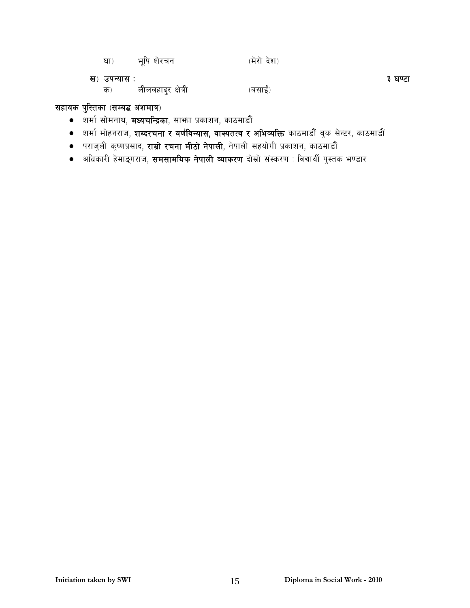| धा)          | भूपि शेरचन         | (मेरो देश) |         |
|--------------|--------------------|------------|---------|
| ख) उपन्यास : |                    |            | ३ घण्टा |
| क)           | लीलबहादुर क्षेत्री | (बसाई)     |         |

### सहायक पुस्तिका (सम्बद्ध अंशमात्र)

- शर्मा सोमनाथ, **मध्यचन्द्रिका**, साभग प्रकाशन, काठमाडौं
- शर्मा मोहनराज, **शब्दरचना र वर्णविन्यास, वाक्यतत्व र अभिव्यक्ति** काठमाडौं बुक सेन्टर, काठमाडौं
- पराजुली कृष्णप्रसाद, **राम्रो रचना मीठो नेपाली**, नेपाली सहयोगी प्रकाशन, काठमाडौं
- अधिकारी हेमाङ्गराज, **समसामयिक नेपाली व्याकरण** दोस्रो संस्करण : विद्यार्थी पुस्तक भण्डार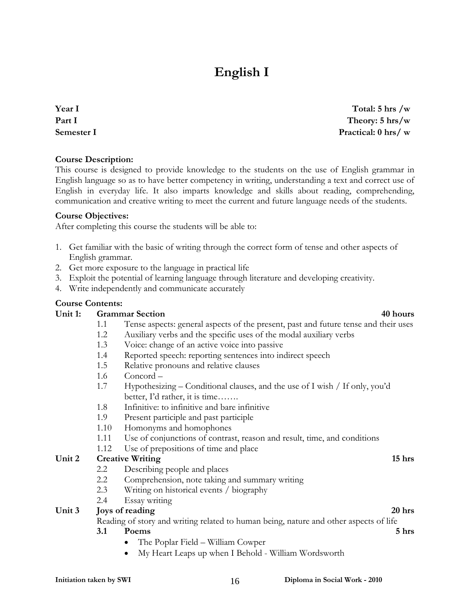# **English I**

**Year I Part I Semester I** 

**Course Description:** 

This course is designed to provide knowledge to the students on the use of English grammar in English language so as to have better competency in writing, understanding a text and correct use of English in everyday life. It also imparts knowledge and skills about reading, comprehending, communication and creative writing to meet the current and future language needs of the students.

#### **Course Objectives:**

After completing this course the students will be able to:

- 1. Get familiar with the basic of writing through the correct form of tense and other aspects of English grammar.
- 2. Get more exposure to the language in practical life
- 3. Exploit the potential of learning language through literature and developing creativity.
- 4. Write independently and communicate accurately

#### **Course Contents:**

#### Unit 1: Grammar Section **40 hours 40 hours**

- 1.1 Tense aspects: general aspects of the present, past and future tense and their uses
- 1.2 Auxiliary verbs and the specific uses of the modal auxiliary verbs
- 1.3 Voice: change of an active voice into passive
- 1.4 Reported speech: reporting sentences into indirect speech
- 1.5 Relative pronouns and relative clauses
- 1.6 Concord –
- 1.7 Hypothesizing Conditional clauses, and the use of I wish / If only, you'd better, I'd rather, it is time…….
- 1.8 Infinitive: to infinitive and bare infinitive
- 1.9 Present participle and past participle
- 1.10 Homonyms and homophones
- 1.11 Use of conjunctions of contrast, reason and result, time, and conditions
- 1.12 Use of prepositions of time and place

#### Unit 2 Creative Writing 15 hrs **15 hrs 15 hrs 15 hrs**

- 2.2 Describing people and places
- 2.2 Comprehension, note taking and summary writing
- 2.3 Writing on historical events / biography
- 2.4 Essay writing

#### Unit 3 Joys of reading 20 hrs **20 hrs** 20 hrs **20 hrs**

Reading of story and writing related to human being, nature and other aspects of life

#### **3.1** Poems 5 hrs

- The Poplar Field William Cowper
- My Heart Leaps up when I Behold William Wordsworth

**Total: 5 hrs /w Theory: 5 hrs/w Practical: 0 hrs/ w**

#### **Initiation taken by SWI**  16 **Diploma in Social Work - 2010**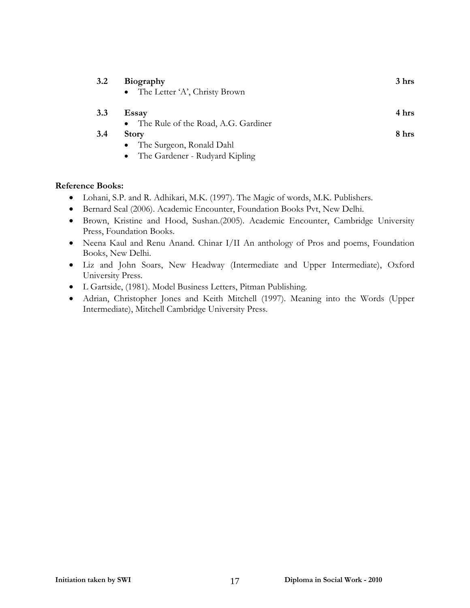| $3.2\,$ | <b>Biography</b><br>• The Letter 'A', Christy Brown | 3 hrs |
|---------|-----------------------------------------------------|-------|
|         |                                                     |       |
| 3.3     | Essay                                               | 4 hrs |
|         | • The Rule of the Road, A.G. Gardiner               |       |
| 3.4     | <b>Story</b>                                        | 8 hrs |
|         | The Surgeon, Ronald Dahl                            |       |
|         | • The Gardener - Rudyard Kipling                    |       |

#### **Reference Books:**

- Lohani, S.P. and R. Adhikari, M.K. (1997). The Magic of words, M.K. Publishers.
- Bernard Seal (2006). Academic Encounter, Foundation Books Pvt, New Delhi.
- Brown, Kristine and Hood, Sushan.(2005). Academic Encounter, Cambridge University Press, Foundation Books.
- Neena Kaul and Renu Anand. Chinar I/II An anthology of Pros and poems, Foundation Books, New Delhi.
- Liz and John Soars, New Headway (Intermediate and Upper Intermediate), Oxford University Press.
- L Gartside, (1981). Model Business Letters, Pitman Publishing.
- Adrian, Christopher Jones and Keith Mitchell (1997). Meaning into the Words (Upper Intermediate), Mitchell Cambridge University Press.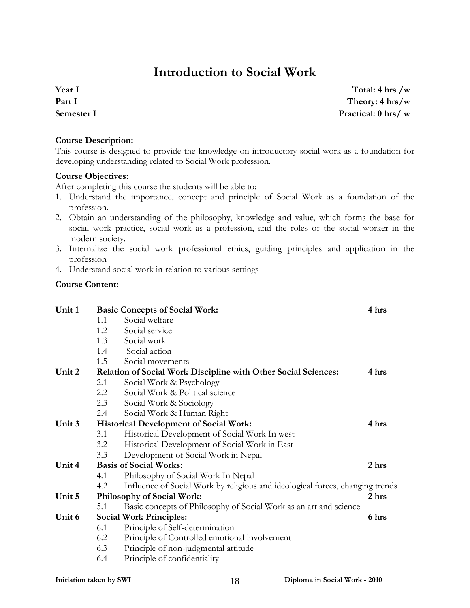# **Introduction to Social Work**

**Year I Part I Semester I** 

**Total: 4 hrs /w Theory: 4 hrs/w Practical: 0 hrs/ w**

#### **Course Description:**

This course is designed to provide the knowledge on introductory social work as a foundation for developing understanding related to Social Work profession.

#### **Course Objectives:**

After completing this course the students will be able to:

- 1. Understand the importance, concept and principle of Social Work as a foundation of the profession.
- 2. Obtain an understanding of the philosophy, knowledge and value, which forms the base for social work practice, social work as a profession, and the roles of the social worker in the modern society.
- 3. Internalize the social work professional ethics, guiding principles and application in the profession
- 4. Understand social work in relation to various settings

#### **Course Content:**

| Unit 1 |     | <b>Basic Concepts of Social Work:</b>                                         | 4 hrs |
|--------|-----|-------------------------------------------------------------------------------|-------|
|        | 1.1 | Social welfare                                                                |       |
|        | 1.2 | Social service                                                                |       |
|        | 1.3 | Social work                                                                   |       |
|        | 1.4 | Social action                                                                 |       |
|        | 1.5 | Social movements                                                              |       |
| Unit 2 |     | <b>Relation of Social Work Discipline with Other Social Sciences:</b>         | 4 hrs |
|        | 2.1 | Social Work & Psychology                                                      |       |
|        | 2.2 | Social Work & Political science                                               |       |
|        | 2.3 | Social Work & Sociology                                                       |       |
|        | 2.4 | Social Work & Human Right                                                     |       |
| Unit 3 |     | <b>Historical Development of Social Work:</b>                                 | 4 hrs |
|        | 3.1 | Historical Development of Social Work In west                                 |       |
|        | 3.2 | Historical Development of Social Work in East                                 |       |
|        | 3.3 | Development of Social Work in Nepal                                           |       |
| Unit 4 |     | <b>Basis of Social Works:</b>                                                 | 2 hrs |
|        | 4.1 | Philosophy of Social Work In Nepal                                            |       |
|        | 4.2 | Influence of Social Work by religious and ideological forces, changing trends |       |
| Unit 5 |     | Philosophy of Social Work:                                                    | 2 hrs |
|        | 5.1 | Basic concepts of Philosophy of Social Work as an art and science             |       |
| Unit 6 |     | <b>Social Work Principles:</b>                                                | 6 hrs |
|        | 6.1 | Principle of Self-determination                                               |       |
|        | 6.2 | Principle of Controlled emotional involvement                                 |       |
|        | 6.3 | Principle of non-judgmental attitude                                          |       |
|        | 6.4 | Principle of confidentiality                                                  |       |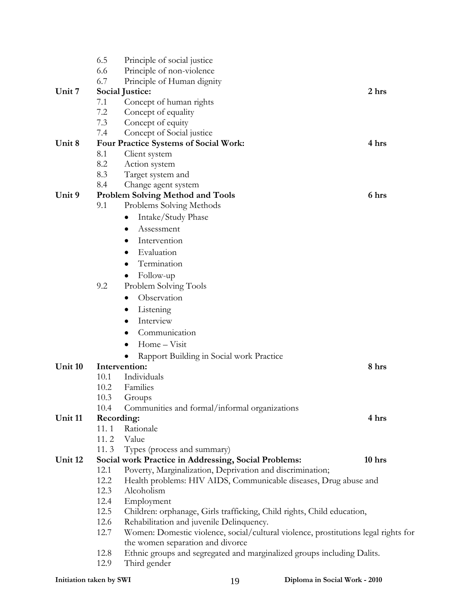|         | 6.5  | Principle of social justice                                                         |        |
|---------|------|-------------------------------------------------------------------------------------|--------|
|         | 6.6  | Principle of non-violence                                                           |        |
|         | 6.7  | Principle of Human dignity                                                          |        |
| Unit 7  |      | Social Justice:                                                                     | 2 hrs  |
|         | 7.1  | Concept of human rights                                                             |        |
|         | 7.2  | Concept of equality                                                                 |        |
|         | 7.3  | Concept of equity                                                                   |        |
|         | 7.4  | Concept of Social justice                                                           |        |
| Unit 8  |      | Four Practice Systems of Social Work:                                               | 4 hrs  |
|         | 8.1  | Client system                                                                       |        |
|         | 8.2  | Action system                                                                       |        |
|         | 8.3  | Target system and                                                                   |        |
|         | 8.4  | Change agent system                                                                 |        |
| Unit 9  |      | <b>Problem Solving Method and Tools</b>                                             | 6 hrs  |
|         | 9.1  | Problems Solving Methods                                                            |        |
|         |      | Intake/Study Phase                                                                  |        |
|         |      | Assessment                                                                          |        |
|         |      | Intervention                                                                        |        |
|         |      | Evaluation                                                                          |        |
|         |      | Termination                                                                         |        |
|         |      | Follow-up                                                                           |        |
|         | 9.2  | Problem Solving Tools                                                               |        |
|         |      | Observation                                                                         |        |
|         |      | Listening                                                                           |        |
|         |      |                                                                                     |        |
|         |      | Interview                                                                           |        |
|         |      | Communication                                                                       |        |
|         |      | Home - Visit                                                                        |        |
|         |      | Rapport Building in Social work Practice                                            |        |
| Unit 10 |      | Intervention:                                                                       | 8 hrs  |
|         | 10.1 | Individuals                                                                         |        |
|         | 10.2 | Families                                                                            |        |
|         | 10.3 | Groups                                                                              |        |
|         | 10.4 | Communities and formal/informal organizations                                       |        |
| Unit 11 |      | Recording:                                                                          | 4 hrs  |
|         | 11.1 | Rationale                                                                           |        |
|         | 11.2 | Value                                                                               |        |
| Unit 12 | 11.3 | Types (process and summary)<br>Social work Practice in Addressing, Social Problems: | 10 hrs |
|         | 12.1 | Poverty, Marginalization, Deprivation and discrimination;                           |        |
|         | 12.2 | Health problems: HIV AIDS, Communicable diseases, Drug abuse and                    |        |
|         | 12.3 | Alcoholism                                                                          |        |
|         | 12.4 | Employment                                                                          |        |
|         | 12.5 | Children: orphanage, Girls trafficking, Child rights, Child education,              |        |
|         | 12.6 | Rehabilitation and juvenile Delinquency.                                            |        |
|         | 12.7 | Women: Domestic violence, social/cultural violence, prostitutions legal rights for  |        |
|         |      | the women separation and divorce                                                    |        |
|         | 12.8 | Ethnic groups and segregated and marginalized groups including Dalits.              |        |
|         | 12.9 | Third gender                                                                        |        |
|         |      |                                                                                     |        |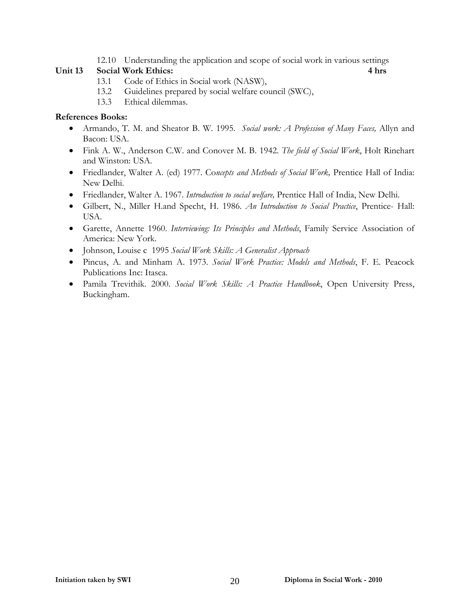#### 12.10 Understanding the application and scope of social work in various settings

#### **Unit 13 Social Work Ethics: 4 hrs**

- 13.1 Code of Ethics in Social work (NASW),
- 13.2 Guidelines prepared by social welfare council (SWC),
- 13.3 Ethical dilemmas.

#### **References Books:**

- Armando, T. M. and Sheator B. W. 1995. *Social work: A Profession of Many Faces,* Allyn and Bacon: USA.
- Fink A. W., Anderson C.W. and Conover M. B. 1942. *The field of Social Work*, Holt Rinehart and Winston: USA.
- Friedlander, Walter A. (ed) 1977. Co*ncepts and Methods of Social Work,* Prentice Hall of India: New Delhi.
- Friedlander, Walter A. 1967. *Introduction to social welfare,* Prentice Hall of India, New Delhi.
- Gilbert, N., Miller H.and Specht, H. 1986. *An Introduction to Social Practice*, Prentice- Hall: USA.
- Garette, Annette 1960. *Interviewing: Its Principles and Methods*, Family Service Association of America: New York.
- Johnson, Louise c 1995 *Social Work Skills: A Generalist Approach*
- Pincus, A. and Minham A. 1973. *Social Work Practice: Models and Methods*, F. E. Peacock Publications Inc: Itasca.
- Pamila Trevithik. 2000. *Social Work Skills: A Practice Handbook*, Open University Press, Buckingham.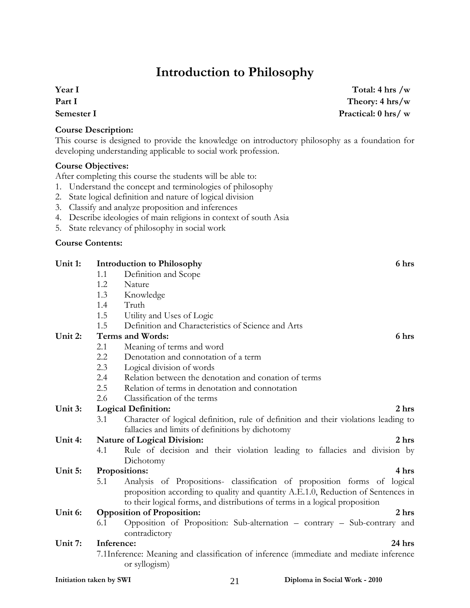# **Introduction to Philosophy**

**Year I Part I Semester I** 

**Total: 4 hrs /w Theory: 4 hrs/w Practical: 0 hrs/ w**

### **Course Description:**

This course is designed to provide the knowledge on introductory philosophy as a foundation for developing understanding applicable to social work profession.

#### **Course Objectives:**

After completing this course the students will be able to:

- 1. Understand the concept and terminologies of philosophy
- 2. State logical definition and nature of logical division
- 3. Classify and analyze proposition and inferences
- 4. Describe ideologies of main religions in context of south Asia
- 5. State relevancy of philosophy in social work

### **Course Contents:**

| Unit 1: |            | 6 hrs<br><b>Introduction to Philosophy</b>                                              |
|---------|------------|-----------------------------------------------------------------------------------------|
|         | 1.1        | Definition and Scope                                                                    |
|         | 1.2        | Nature                                                                                  |
|         | 1.3        | Knowledge                                                                               |
|         | 1.4        | Truth                                                                                   |
|         | 1.5        | Utility and Uses of Logic                                                               |
|         | 1.5        | Definition and Characteristics of Science and Arts                                      |
| Unit 2: |            | <b>Terms and Words:</b><br>6 hrs                                                        |
|         | 2.1        | Meaning of terms and word                                                               |
|         | 2.2        | Denotation and connotation of a term                                                    |
|         | 2.3        | Logical division of words                                                               |
|         | 2.4        | Relation between the denotation and conation of terms                                   |
|         | 2.5        | Relation of terms in denotation and connotation                                         |
|         | 2.6        | Classification of the terms                                                             |
| Unit 3: |            | 2 <sub>hrs</sub><br><b>Logical Definition:</b>                                          |
|         | 3.1        | Character of logical definition, rule of definition and their violations leading to     |
|         |            | fallacies and limits of definitions by dichotomy                                        |
| Unit 4: |            | <b>Nature of Logical Division:</b><br>2 <sub>hrs</sub>                                  |
|         | 4.1        | Rule of decision and their violation leading to fallacies and division by               |
|         |            | Dichotomy                                                                               |
| Unit 5: |            | 4 hrs<br>Propositions:                                                                  |
|         | 5.1        | Analysis of Propositions- classification of proposition forms of logical                |
|         |            | proposition according to quality and quantity A.E.1.0, Reduction of Sentences in        |
|         |            | to their logical forms, and distributions of terms in a logical proposition             |
| Unit 6: |            | <b>Opposition of Proposition:</b><br>2 <sub>hrs</sub>                                   |
|         | 6.1        | Opposition of Proposition: Sub-alternation - contrary - Sub-contrary and                |
|         |            | contradictory                                                                           |
| Unit 7: | Inference: | 24 hrs                                                                                  |
|         |            | 7.1Inference: Meaning and classification of inference (immediate and mediate inference) |
|         |            | or syllogism)                                                                           |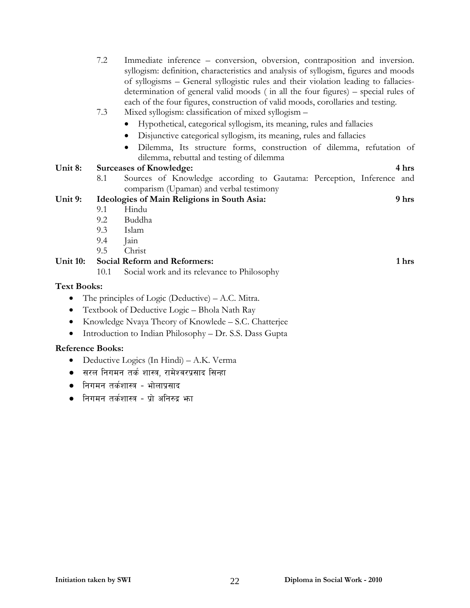7.2 Immediate inference – conversion, obversion, contraposition and inversion. syllogism: definition, characteristics and analysis of syllogism, figures and moods of syllogisms – General syllogistic rules and their violation leading to fallaciesdetermination of general valid moods ( in all the four figures) – special rules of each of the four figures, construction of valid moods, corollaries and testing.

#### 7.3 Mixed syllogism: classification of mixed syllogism –

- Hypothetical, categorical syllogism, its meaning, rules and fallacies
- Disjunctive categorical syllogism, its meaning, rules and fallacies
- Dilemma, Its structure forms, construction of dilemma, refutation of dilemma, rebuttal and testing of dilemma

#### **Unit 8: Surceases of Knowledge: 4 hrs**

8.1 Sources of Knowledge according to Gautama: Perception, Inference and comparism (Upaman) and verbal testimony

#### **Unit 9: Ideologies of Main Religions in South Asia: 9 hrs**

- 9.1 Hindu
- 9.2 Buddha
- 9.3 Islam
- 9.4 Jain
- 9.5 Christ

### **Unit 10: Social Reform and Reformers: 1 hrs**

10.1 Social work and its relevance to Philosophy

### **Text Books:**

- The principles of Logic (Deductive) A.C. Mitra.
- Textbook of Deductive Logic Bhola Nath Ray
- Knowledge Nvaya Theory of Knowlede S.C. Chatterjee
- Introduction to Indian Philosophy Dr. S.S. Dass Gupta

#### **Reference Books:**

- Deductive Logics (In Hindi) A.K. Verma
- सरल निगमन तर्क शास्त्र, रामेश्वरप्रसाद सिन्हा
- निगमन तर्कशास्त्र भोलाप्रसाद
- $\bullet$  निगमन तर्कशास्त्र प्रो अनिरुद्र भा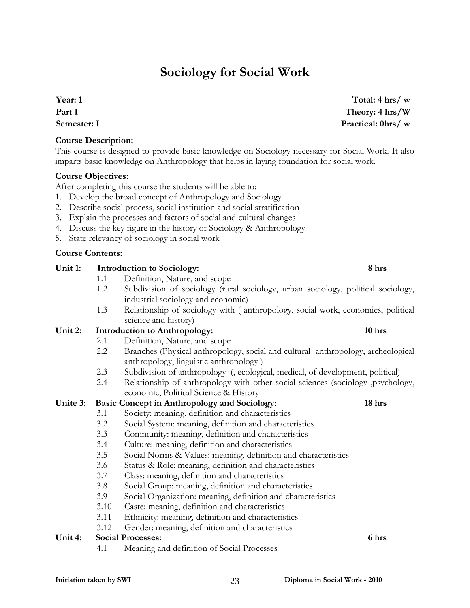# **Sociology for Social Work**

**Year: 1 Part I Semester: I** 

#### **Course Description:**

This course is designed to provide basic knowledge on Sociology necessary for Social Work. It also imparts basic knowledge on Anthropology that helps in laying foundation for social work.

#### **Course Objectives:**

After completing this course the students will be able to:

- 1. Develop the broad concept of Anthropology and Sociology
- 2. Describe social process, social institution and social stratification
- 3. Explain the processes and factors of social and cultural changes
- 4. Discuss the key figure in the history of Sociology & Anthropology
- 5. State relevancy of sociology in social work

#### **Course Contents:**

#### Unit 1: Introduction to Sociology: 8 hrs

- 1.1 Definition, Nature, and scope
- 1.2 Subdivision of sociology (rural sociology, urban sociology, political sociology, industrial sociology and economic)
- 1.3 Relationship of sociology with ( anthropology, social work, economics, political science and history)

#### Unit 2: Introduction to Anthropology: 10 hrs **10 hrs**

- 2.1 Definition, Nature, and scope
	- 2.2 Branches (Physical anthropology, social and cultural anthropology, archeological anthropology, linguistic anthropology )
	- 2.3 Subdivision of anthropology (, ecological, medical, of development, political)
	- 2.4 Relationship of anthropology with other social sciences (sociology ,psychology, economic, Political Science & History

#### **Unite 3: Basic Concept in Anthropology and Sociology: 18 hrs**

- 3.1 Society: meaning, definition and characteristics
	- 3.2 Social System: meaning, definition and characteristics
	- 3.3 Community: meaning, definition and characteristics
	- 3.4 Culture: meaning, definition and characteristics
	- 3.5 Social Norms & Values: meaning, definition and characteristics
	- 3.6 Status & Role: meaning, definition and characteristics
	- 3.7 Class: meaning, definition and characteristics
	- 3.8 Social Group: meaning, definition and characteristics
	- 3.9 Social Organization: meaning, definition and characteristics
	- 3.10 Caste: meaning, definition and characteristics
	- 3.11 Ethnicity: meaning, definition and characteristics
	- 3.12 Gender: meaning, definition and characteristics

### **Unit 4: Social Processes: 6 hrs**

4.1 Meaning and definition of Social Processes

**Total: 4 hrs/ w Theory: 4 hrs/W Practical: 0hrs/ w**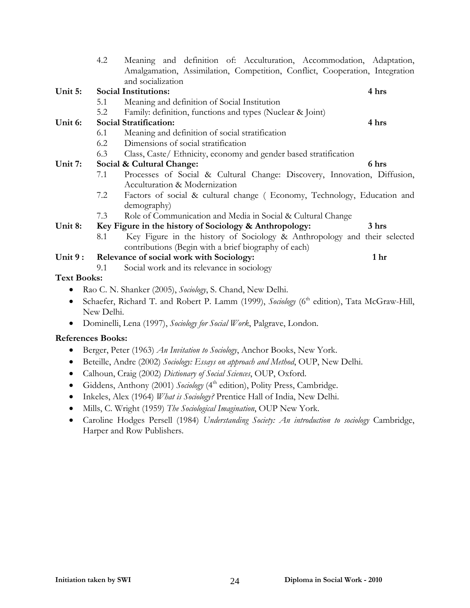|                          | 4.2        | Meaning and definition of: Acculturation, Accommodation, Adaptation,                                                             |       |
|--------------------------|------------|----------------------------------------------------------------------------------------------------------------------------------|-------|
|                          |            | Amalgamation, Assimilation, Competition, Conflict, Cooperation, Integration                                                      |       |
|                          |            | and socialization                                                                                                                |       |
| Unit 5:                  |            | <b>Social Institutions:</b>                                                                                                      | 4 hrs |
|                          | 5.1        | Meaning and definition of Social Institution                                                                                     |       |
|                          | 5.2        | Family: definition, functions and types (Nuclear & Joint)                                                                        |       |
| Unit 6:                  |            | <b>Social Stratification:</b>                                                                                                    | 4 hrs |
|                          | 6.1        | Meaning and definition of social stratification                                                                                  |       |
|                          | 6.2        | Dimensions of social stratification                                                                                              |       |
|                          | 6.3        | Class, Caste/ Ethnicity, economy and gender based stratification                                                                 |       |
| Unit 7:                  |            | Social & Cultural Change:                                                                                                        | 6 hrs |
|                          | 7.1        | Processes of Social & Cultural Change: Discovery, Innovation, Diffusion,<br>Acculturation & Modernization                        |       |
|                          | 7.2        | Factors of social & cultural change (Economy, Technology, Education and<br>demography)                                           |       |
|                          | 7.3        | Role of Communication and Media in Social & Cultural Change                                                                      |       |
| Unit 8:                  |            | Key Figure in the history of Sociology & Anthropology:                                                                           | 3 hrs |
|                          | 8.1        | Key Figure in the history of Sociology & Anthropology and their selected<br>contributions (Begin with a brief biography of each) |       |
| Unit 9:                  |            | Relevance of social work with Sociology:                                                                                         | 1 hr  |
|                          | 9.1        | Social work and its relevance in sociology                                                                                       |       |
| <b>Text Books:</b>       |            |                                                                                                                                  |       |
|                          |            | Rao C. N. Shanker (2005), Sociology, S. Chand, New Delhi.                                                                        |       |
| $\bullet$                | New Delhi. | Schaefer, Richard T. and Robert P. Lamm (1999), Sociology (6 <sup>th</sup> edition), Tata McGraw-Hill,                           |       |
| $\bullet$                |            | Dominelli, Lena (1997), Sociology for Social Work, Palgrave, London.                                                             |       |
| <b>References Books:</b> |            |                                                                                                                                  |       |
|                          |            |                                                                                                                                  |       |
| ٠                        |            | Berger, Peter (1963) An Invitation to Sociology, Anchor Books, New York.                                                         |       |
| $\bullet$                |            | Beteille, Andre (2002) Sociology: Essays on approach and Method, OUP, New Delhi.                                                 |       |
| $\bullet$                |            | Calhoun, Craig (2002) Dictionary of Social Sciences, OUP, Oxford.                                                                |       |
|                          |            | Giddens, Anthony (2001) Sociology (4 <sup>th</sup> edition), Polity Press, Cambridge.                                            |       |

- Inkeles, Alex (1964) *What is Sociology?* Prentice Hall of India, New Delhi.
- Mills, C. Wright (1959) *The Sociological Imagination*, OUP New York.
- Caroline Hodges Persell (1984) *Understanding Society: An introduction to sociology* Cambridge, Harper and Row Publishers.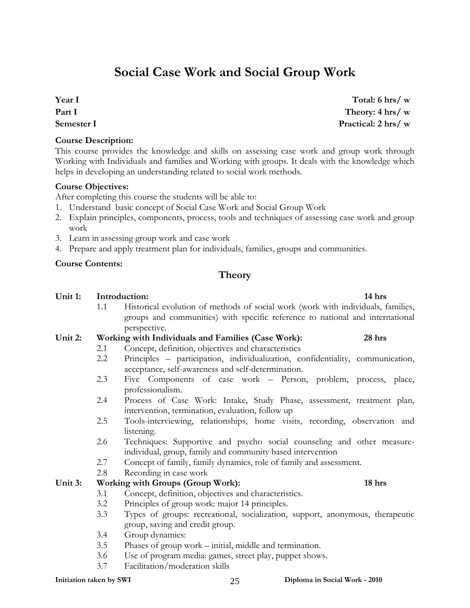# **Social Case Work and Social Group Work**

**Year I Part I Semester I** 

#### **Course Description:**

This course provides the knowledge and skills on assessing case work and group work through Working with Individuals and families and Working with groups. It deals with the knowledge which helps in developing an understanding related to social work methods.

#### **Course Objectives:**

After completing this course the students will be able to:

- 1. Understand basic concept of Social Case Work and Social Group Work
- 2. Explain principles, components, process, tools and techniques of assessing case work and group work
- 3. Learn in assessing group work and case work
- 4. Prepare and apply treatment plan for individuals, families, groups and communities.

#### **Course Contents:**

### **Theory**

#### Unit 1: Introduction: 14 hrs **12** here **12** here **14** here **14** here **14** here **14** here **14** here **14** here **14** here **14** here **14** here **14** here **14** here **14** here **14** here **14** here **14** here **14** here **14** here **14**

1.1 Historical evolution of methods of social work (work with individuals, families, groups and communities) with specific reference to national and international perspective.

#### **Unit 2: Working with Individuals and Families (Case Work): 28 hrs**

- 2.1 Concept, definition, objectives and characteristics
	- 2.2 Principles participation, individualization, confidentiality, communication, acceptance, self-awareness and self-determination.
	- 2.3 Five Components of case work Person, problem, process, place, professionalism.
	- 2.4 Process of Case Work: Intake, Study Phase, assessment, treatment plan, intervention, termination, evaluation, follow up
	- 2.5 Tools-interviewing, relationships, home visits, recording, observation and listening.
	- 2.6 Techniques: Supportive and psycho social counseling and other measureindividual, group, family and community based intervention
	- 2.7 Concept of family, family dynamics, role of family and assessment.
	- 2.8 Recording in case work

#### Unit 3: Working with Groups (Group Work): 18 hrs

- 3.1 Concept, definition, objectives and characteristics.
- 3.2 Principles of group work: major 14 principles.
- 3.3 Types of groups: recreational, socialization, support, anonymous, therapeutic group, saving and credit group.
- 3.4 Group dynamics:
- 3.5 Phases of group work initial, middle and termination.
- 3.6 Use of program media: games, street play, puppet shows.
- 3.7 Facilitation/moderation skills

#### **Initiation taken by SWI 2010** 25 **Diploma in Social Work - 2010**

**Total: 6 hrs/ w Theory: 4 hrs/ w Practical: 2 hrs/ w**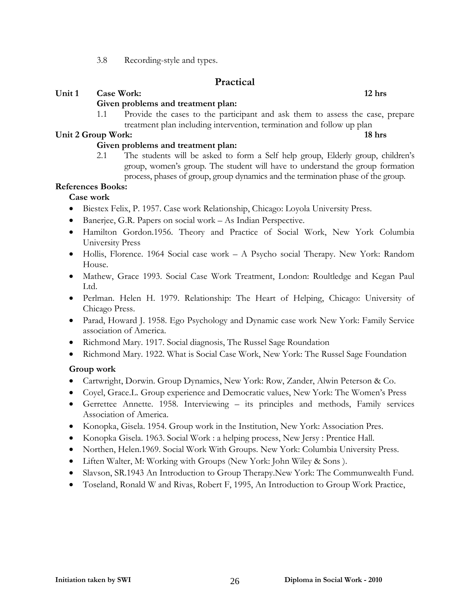3.8 Recording-style and types.

### **Practical**

### Unit 1 Case Work: 12 hrs **12 hrs 12 hrs 12 hrs**

### **Given problems and treatment plan:**

1.1 Provide the cases to the participant and ask them to assess the case, prepare treatment plan including intervention, termination and follow up plan

#### **Unit 2 Group Work:** 18 hrs **18 hrs 18 hrs 18 hrs**

### **Given problems and treatment plan:**

2.1 The students will be asked to form a Self help group, Elderly group, children's group, women's group. The student will have to understand the group formation process, phases of group, group dynamics and the termination phase of the group.

### **References Books:**

### **Case work**

- Biestex Felix, P. 1957. Case work Relationship, Chicago: Loyola University Press.
- Banerjee, G.R. Papers on social work As Indian Perspective.
- Hamilton Gordon.1956. Theory and Practice of Social Work, New York Columbia University Press
- Hollis, Florence. 1964 Social case work A Psycho social Therapy. New York: Random House.
- Mathew, Grace 1993. Social Case Work Treatment, London: Roultledge and Kegan Paul Ltd.
- Perlman. Helen H. 1979. Relationship: The Heart of Helping, Chicago: University of Chicago Press.
- Parad, Howard J. 1958. Ego Psychology and Dynamic case work New York: Family Service association of America.
- Richmond Mary. 1917. Social diagnosis, The Russel Sage Roundation
- Richmond Mary. 1922. What is Social Case Work, New York: The Russel Sage Foundation

### **Group work**

- Cartwright, Dorwin. Group Dynamics, New York: Row, Zander, Alwin Peterson & Co.
- Coyel, Grace.L. Group experience and Democratic values, New York: The Women's Press
- Gerrettee Annette. 1958. Interviewing its principles and methods, Family services Association of America.
- Konopka, Gisela. 1954. Group work in the Institution, New York: Association Pres.
- Konopka Gisela. 1963. Social Work : a helping process, New Jersy : Prentice Hall.
- Northen, Helen.1969. Social Work With Groups. New York: Columbia University Press.
- Liften Walter, M: Working with Groups (New York: John Wiley & Sons ).
- Slavson, SR.1943 An Introduction to Group Therapy.New York: The Communwealth Fund.
- Toseland, Ronald W and Rivas, Robert F, 1995, An Introduction to Group Work Practice,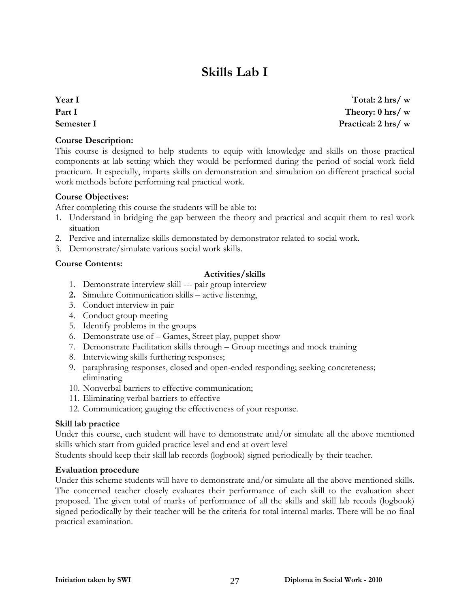# **Skills Lab I**

**Year I Part I Semester I** 

#### **Course Description:**

This course is designed to help students to equip with knowledge and skills on those practical components at lab setting which they would be performed during the period of social work field practicum. It especially, imparts skills on demonstration and simulation on different practical social work methods before performing real practical work.

#### **Course Objectives:**

After completing this course the students will be able to:

- 1. Understand in bridging the gap between the theory and practical and acquit them to real work situation
- 2. Percive and internalize skills demonstated by demonstrator related to social work.
- 3. Demonstrate/simulate various social work skills.

#### **Course Contents:**

#### **Activities/skills**

- 1. Demonstrate interview skill --- pair group interview
- **2.** Simulate Communication skills active listening,
- 3. Conduct interview in pair
- 4. Conduct group meeting
- 5. Identify problems in the groups
- 6. Demonstrate use of Games, Street play, puppet show
- 7. Demonstrate Facilitation skills through Group meetings and mock training
- 8. Interviewing skills furthering responses;
- 9. paraphrasing responses, closed and open-ended responding; seeking concreteness; eliminating
- 10. Nonverbal barriers to effective communication;
- 11. Eliminating verbal barriers to effective
- 12. Communication; gauging the effectiveness of your response.

#### **Skill lab practice**

Under this course, each student will have to demonstrate and/or simulate all the above mentioned skills which start from guided practice level and end at overt level

Students should keep their skill lab records (logbook) signed periodically by their teacher.

#### **Evaluation procedure**

Under this scheme students will have to demonstrate and/or simulate all the above mentioned skills. The concerned teacher closely evaluates their performance of each skill to the evaluation sheet proposed. The given total of marks of performance of all the skills and skill lab recods (logbook) signed periodically by their teacher will be the criteria for total internal marks. There will be no final practical examination.

**Total: 2 hrs/ w Theory: 0 hrs/ w Practical: 2 hrs/ w**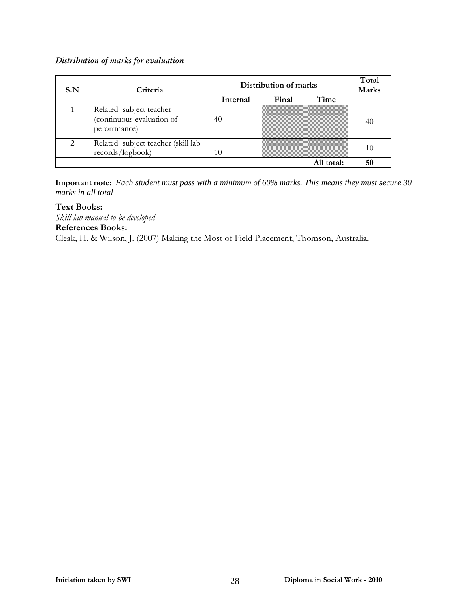### *Distribution of marks for evaluation*

| S.N | Criteria                                                             | Distribution of marks |       |            | Total<br>Marks |
|-----|----------------------------------------------------------------------|-----------------------|-------|------------|----------------|
|     |                                                                      | Internal              | Final | Time       |                |
|     | Related subject teacher<br>(continuous evaluation of<br>perorrmance) | 40                    |       |            | 40             |
|     | Related subject teacher (skill lab<br>records/logbook)               | 10                    |       |            | 10             |
|     |                                                                      |                       |       | All total: | 50             |

**Important note:** *Each student must pass with a minimum of 60% marks. This means they must secure 30 marks in all total*

**Text Books:** 

*Skill lab manual to be developed* 

**References Books:** 

Cleak, H. & Wilson, J. (2007) Making the Most of Field Placement, Thomson, Australia.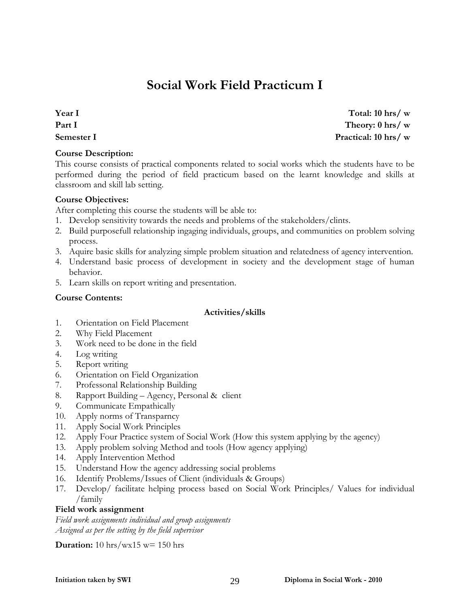# **Social Work Field Practicum I**

**Year I Part I Semester I** 

**Course Description:** 

This course consists of practical components related to social works which the students have to be performed during the period of field practicum based on the learnt knowledge and skills at classroom and skill lab setting.

#### **Course Objectives:**

After completing this course the students will be able to:

- 1. Develop sensitivity towards the needs and problems of the stakeholders/clints.
- 2. Build purposefull relationship ingaging individuals, groups, and communities on problem solving process.
- 3. Aquire basic skills for analyzing simple problem situation and relatedness of agency intervention.
- 4. Understand basic process of development in society and the development stage of human behavior.
- 5. Learn skills on report writing and presentation.

#### **Course Contents:**

#### **Activities/skills**

- 1. Orientation on Field Placement
- 2. Why Field Placement
- 3. Work need to be done in the field
- 4. Log writing
- 5. Report writing
- 6. Orientation on Field Organization
- 7. Professonal Relationship Building
- 8. Rapport Building Agency, Personal & client
- 9. Communicate Empathically
- 10. Apply norms of Transparncy
- 11. Apply Social Work Principles
- 12. Apply Four Practice system of Social Work (How this system applying by the agency)
- 13. Apply problem solving Method and tools (How agency applying)
- 14. Apply Intervention Method
- 15. Understand How the agency addressing social problems
- 16. Identify Problems/Issues of Client (individuals & Groups)
- 17. Develop/ facilitate helping process based on Social Work Principles/ Values for individual /family

#### **Field work assignment**

*Field work assignments individual and group assignments Assigned as per the setting by the field supervisor*

**Duration:** 10 hrs/wx15 w= 150 hrs

**Total: 10 hrs/ w Theory: 0 hrs/ w Practical: 10 hrs/ w**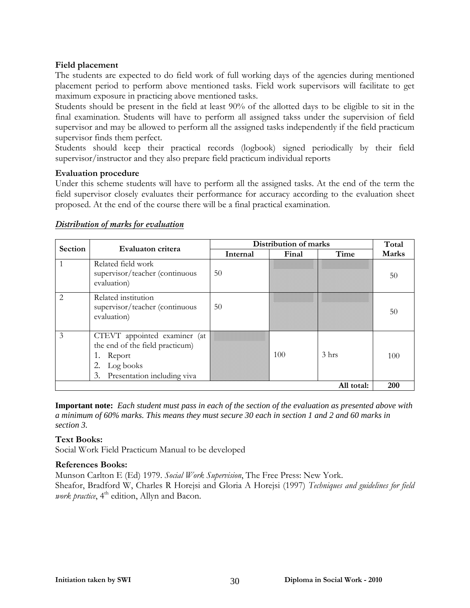### **Field placement**

The students are expected to do field work of full working days of the agencies during mentioned placement period to perform above mentioned tasks. Field work supervisors will facilitate to get maximum exposure in practicing above mentioned tasks.

Students should be present in the field at least 90% of the allotted days to be eligible to sit in the final examination. Students will have to perform all assigned takss under the supervision of field supervisor and may be allowed to perform all the assigned tasks independently if the field practicum supervisor finds them perfect.

Students should keep their practical records (logbook) signed periodically by their field supervisor/instructor and they also prepare field practicum individual reports

#### **Evaluation procedure**

Under this scheme students will have to perform all the assigned tasks. At the end of the term the field supervisor closely evaluates their performance for accuracy according to the evaluation sheet proposed. At the end of the course there will be a final practical examination.

|         | Evaluaton critera                                                                                                        | Distribution of marks |       |                 | Total |  |
|---------|--------------------------------------------------------------------------------------------------------------------------|-----------------------|-------|-----------------|-------|--|
| Section |                                                                                                                          | Internal              | Final | Time            | Marks |  |
|         | Related field work<br>supervisor/teacher (continuous<br>evaluation)                                                      | 50                    |       |                 | 50    |  |
| 2       | Related institution<br>supervisor/teacher (continuous<br>evaluation)                                                     | 50                    |       |                 | 50    |  |
| 3       | CTEVT appointed examiner (at<br>the end of the field practicum)<br>Report<br>Log books<br>3. Presentation including viva |                       | 100   | $3 \text{ hrs}$ | 100   |  |
|         | 200<br>All total:                                                                                                        |                       |       |                 |       |  |

#### *Distribution of marks for evaluation*

**Important note:** *Each student must pass in each of the section of the evaluation as presented above with a minimum of 60% marks. This means they must secure 30 each in section 1 and 2 and 60 marks in section 3.*

#### **Text Books:**

Social Work Field Practicum Manual to be developed

#### **References Books:**

Munson Carlton E (Ed) 1979. *Social Work Supervision*, The Free Press: New York. Sheafor, Bradford W, Charles R Horejsi and Gloria A Horejsi (1997) *Techniques and guidelines for field work practice*, 4<sup>th</sup> edition, Allyn and Bacon.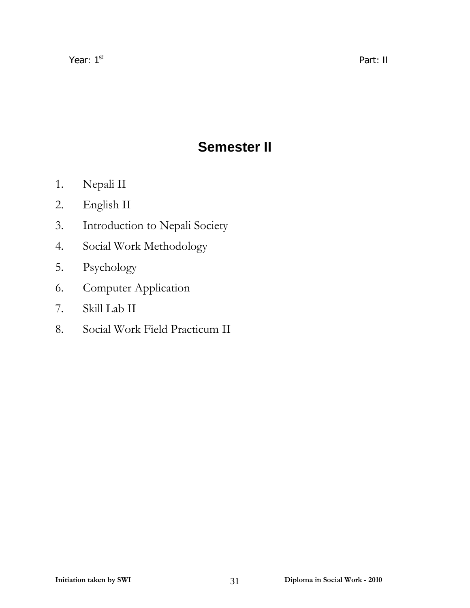# **Semester II**

- 1. Nepali II
- 2. English II
- 3. Introduction to Nepali Society
- 4. Social Work Methodology
- 5. Psychology
- 6. Computer Application
- 7. Skill Lab II
- 8. Social Work Field Practicum II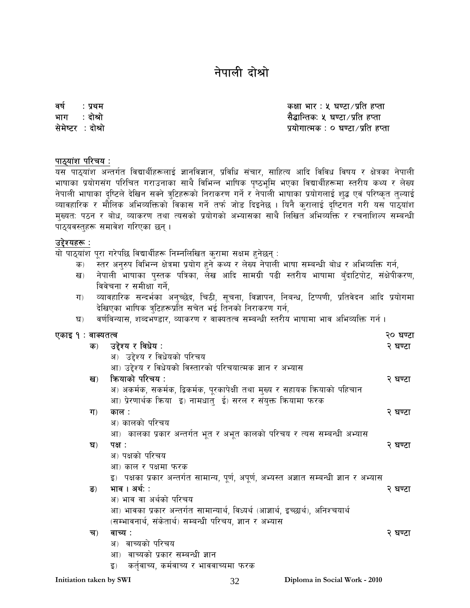# नेपाली दोश्रो

वर्ष : प्रथम $\,$ भाग $\;$ : दोश्रो सेमेष्टर : दोश्रो

कक्षा भार : ५ घण्टा $/$ प्रति हप्ता सैद्धान्तिकः ५ घण्टा ∕ प्रति हप्ता प्रयोगात्मक $: o$  घण्टा $\mathcal{A}$ प्रति हप्ता

#### पाठ्यांश परिचय :

यस पाठ्यांश अन्तर्गत विद्यार्थीहरूलाई ज्ञानविज्ञान, प्रविधि संचार, साहित्य आदि विविध विषय र क्षेत्रका नेपाली भाषाका प्रयोगसंग परिचित गराउनाका साथै विभिन्न भाषिक पष्ठभूमि भएका विद्यार्थीहरूमा स्तरीय कथ्य र लेख्य नेपाली भाषाका दष्टिले देखिन सक्ने त्रटिहरूको निराकरण गर्ने र नेपाली भाषाका प्रयोगलाई शद्ध एवं परिष्कृत तुल्याई व्यावहारिक र मौलिक अभिव्यक्तिको विकास गर्ने तर्फ जोड दिइनेछ । यिनै करालाई दष्टिगत गरी यस पाठयांश मुख्यत: पठन र बोध, व्याकरण तथा त्यसको प्रयोगको अभ्यासका साथै लिखित अभिव्यक्ति र रचनाशिल्प सम्बन्धी पाठ्यवस्तुहरू समावेश गरिएका छन् ।

#### उद्देश्यहरू :

यो पाठयांश परा गरेपछि विद्यार्थीहरू निम्नलिखित कुरामा सक्षम हुनेछन् :

- क) स्तर अनुरुप विभिन्न क्षेत्रमा प्रयोग हुने कथ्य र लेख्य नेपाली भाषा सम्बन्धी बोध र अभिव्यक्ति गर्न,
- ख) नेपाली भाषाका पुस्तक पत्रिका, लेख आदि सामग्री पढी स्तरीय भाषामा बुँदाटिपोट, संक्षेपीकरण, विवेचना र समीक्षा गर्ने.
- ग) व्यावहारिक सन्दर्भका अनुच्छेद, चिठी, सुचना, विज्ञापन, निबन्ध, टिप्पणी, प्रतिवेदन आदि प्रयोगमा देखिएका भाषिक त्रुटिहरूप्रति सचेत भई तिनको निराकरण गर्न,
- घ) वर्णविन्यास, शब्दभण्डार, व्याकरण र वाक्यतत्व सम्बन्धी स्तरीय भाषामा भाव अभिव्यक्ति गर्न ।

|  | एकाइ १ : वाक्यतत्व | २० घण्टा |
|--|--------------------|----------|
|--|--------------------|----------|

|                         | क)             | उद्देश्य र विधेय :                                                                       | २ घण्टा |
|-------------------------|----------------|------------------------------------------------------------------------------------------|---------|
|                         |                | अ) उद्देश्य र विधेयको परिचय                                                              |         |
|                         |                | आ) उद्देश्य र विधेयको विस्तारको परिचयात्मक ज्ञान र अभ्यास                                |         |
|                         | ख)             | कियाको परिचय :                                                                           | २ घण्टा |
|                         |                | अ) अकर्मक, सकर्मक, द्विकर्मक, पूरकापेक्षी तथा मुख्य र सहायक क्रियाको पहिचान              |         |
|                         |                | आ) प्रेरणार्थक क्रिया इ) नामधातु ई) सरल र संयुक्त कियामा फरक                             |         |
|                         | ग)             | काल :                                                                                    | २ घण्टा |
|                         |                | अ) कालको परिचय                                                                           |         |
|                         |                | आ) कालका प्रकार अन्तर्गत भूत र अभूत कालको परिचय र त्यस सम्बन्धी अभ्यास                   |         |
|                         | घ)             | पक्ष :                                                                                   | २ घण्टा |
|                         |                | अ) पक्षको परिचय                                                                          |         |
|                         |                | आ) काल र पक्षमा फरक                                                                      |         |
|                         |                | इ) पक्षका प्रकार अन्तर्गत सामान्य, पूर्ण, अपूर्ण, अभ्यस्त अज्ञात सम्बन्धी ज्ञान र अभ्यास |         |
|                         | $\overline{S}$ | भाव । अर्थः :                                                                            | २ घण्टा |
|                         |                | अ) भाव वा अर्थको परिचय                                                                   |         |
|                         |                | आ) भावका प्रकार अन्तर्गत सामान्यार्थ, विध्यर्थ (आज्ञार्थ, इच्छार्थ), अनिश्चयार्थ         |         |
|                         |                | (सम्भावनार्थ, संकेतार्थ) सम्बन्धी परिचय, ज्ञान र अभ्यास                                  |         |
|                         | च)             | वाच्य :                                                                                  | २ घण्टा |
|                         |                | अ) वाच्यको परिचय                                                                         |         |
|                         |                | आ) वाच्यको प्रकार सम्बन्धी ज्ञान                                                         |         |
|                         |                | कर्तुवाच्य, कर्मवाच्य र भाववाच्यमा फरक<br>इ)                                             |         |
| Initiation taken by SWI |                | Diploma in Social Work - 2010<br>32                                                      |         |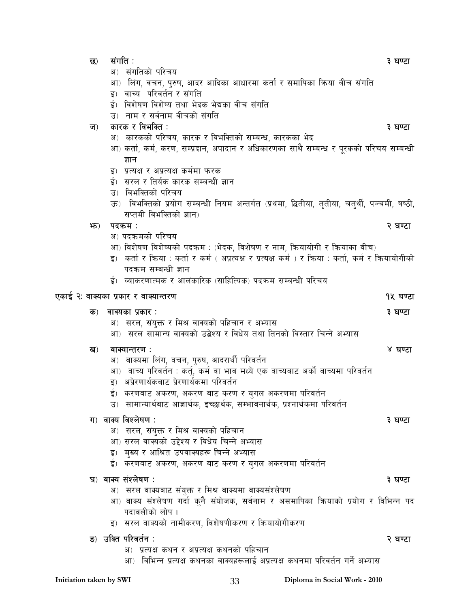| छ)             | संगति :                                                                                                                               | ३ घण्टा  |
|----------------|---------------------------------------------------------------------------------------------------------------------------------------|----------|
|                | संगतिको परिचय<br>अ)                                                                                                                   |          |
|                | लिंग, वचन, पुरुष, आदर आदिका आधारमा कर्ता र समापिका किया बीच संगति<br>आ)                                                               |          |
|                | वाच्य  परिवर्तन र संगति<br>ह)                                                                                                         |          |
|                | ई) विशेषण विशेष्य तथा भेदक भेद्यका वीच संगति                                                                                          |          |
|                | उ) नाम र सर्वनाम वीचको संगति                                                                                                          |          |
| $\overline{u}$ | कारक र विभक्ति :                                                                                                                      | ३ घण्टा  |
|                | अ) कारकको परिचय, कारक र विभक्तिको सम्बन्ध, कारकका भेद                                                                                 |          |
|                | आ) कर्ता, कर्म, करण, सम्प्रदान, अपादान र अधिकारणका साथै सम्बन्ध र पूरकको परिचय सम्बन्धी                                               |          |
|                | ज्ञान                                                                                                                                 |          |
|                | इ)) प्रत्यक्ष र अप्रत्यक्ष कर्ममा फरक                                                                                                 |          |
|                | ई) सरल र तिर्यक कारक सम्बन्धी ज्ञान                                                                                                   |          |
|                | उ) विभक्तिको परिचय                                                                                                                    |          |
|                | ऊ) विभक्तिको प्रयोग सम्बन्धी नियम अन्तर्गत (प्रथमा, द्धितीया, तृतीया, चतुर्थी, पञ्चमी, षष्ठी,                                         |          |
|                | सप्तमी विभक्तिको ज्ञान)                                                                                                               |          |
| भ्रु)          | पदकम :                                                                                                                                | २ घण्टा  |
|                | अ) पदकमको परिचय                                                                                                                       |          |
|                | आ) विशेषण विशेष्यको पदक्रम : (भेदक, विशेषण र नाम, कियायोगी र कियाका वीच)                                                              |          |
|                | इ) कर्ता र किया : कर्ता र कर्म ( अप्रत्यक्ष र प्रत्यक्ष कर्म ) र किया : कर्ता, कर्म र कियायोगीको                                      |          |
|                | पदक्रम सम्बन्धी ज्ञान                                                                                                                 |          |
|                | ई) व्याकरणात्मक र आलंकारिक (साहित्यिक) पदक्रम सम्बन्धी परिचय                                                                          |          |
|                |                                                                                                                                       |          |
|                | एकाई २ः वाक्यका प्रकार र वाक्यान्तरण                                                                                                  | १५ घण्टा |
| क)             | वाक्यका प्रकार :                                                                                                                      | ३ घण्टा  |
|                |                                                                                                                                       |          |
|                | अ) सरल, संयुक्त र मिश्र वाक्यको पहिचान र अभ्यास                                                                                       |          |
|                | आ) सरल सामान्य वाक्यको उद्बेश्य र विधेय तथा तिनको विस्तार चिन्ने अभ्यास                                                               |          |
|                | वाक्यान्तरण :                                                                                                                         | ४ घण्टा  |
| ख)             |                                                                                                                                       |          |
|                | अ) वाक्यमा लिंग, वचन, पुरुष, आदरार्थी परिवर्तन<br>आ)                                                                                  |          |
|                | ्वाच्य परिवर्तन : कर्तू, कर्म वा भाव मध्ये एक वाच्यबाट अर्को वाच्यमा परिवर्तन<br>अप्रेरणार्थकबाट प्रेरणार्थकमा परिवर्तन<br>इ)         |          |
|                |                                                                                                                                       |          |
|                | ई)  करणबाट अकरण, अकरण बाट करण र युगल अकरणमा परिवर्तन<br>उ)  सामान्यार्थबाट आज्ञार्थक, इच्छार्थक, सम्भावनार्थक, प्रश्नार्थकमा परिवर्तन |          |
|                |                                                                                                                                       |          |
|                | ग) वाक्य विश्लेषण :                                                                                                                   | ३ घण्टा  |
|                | अ) सरल, संयुक्त र मिश्र वाक्यको पहिचान                                                                                                |          |
|                | आ) सरल वाक्यको उद्देश्य र विधेय चिन्ने अभ्यास                                                                                         |          |
|                | मुख्य र आश्रित उपवाक्यहरू चिन्ने अभ्यास<br>इ)                                                                                         |          |
|                | ई)  करणबाट अकरण, अकरण बाट करण र युगल अकरणमा परिवर्तन                                                                                  |          |
|                | घ) वाक्य संश्लेषण:                                                                                                                    | ३ घण्टा  |
|                | ्सरल वाक्यबाट संयुक्त र मिश्र वाक्यमा वाक्यसंश्लेषण<br>अ)                                                                             |          |
|                | आ) वाक्य संश्लेषण गर्दा कुनै संयोजक, सर्वनाम र असमापिका क्रियाको प्रयोग र विभिन्न पद                                                  |          |
|                | पदावलीको लोप ।                                                                                                                        |          |
|                | इ) सरल वाक्यको नामीकरण, विशेषणीकरण र कियायोगीकरण                                                                                      |          |
|                |                                                                                                                                       |          |
|                | ङ) उक्ति परिवर्तन :                                                                                                                   | २ घण्टा  |
|                | अ) प्रत्यक्ष कथन र अप्रत्यक्ष कथनको पहिचान<br>आ) विभिन्न प्रत्यक्ष कथनका वाक्यहरूलाई अप्रत्यक्ष कथनमा परिवर्तन गर्ने अभ्यास           |          |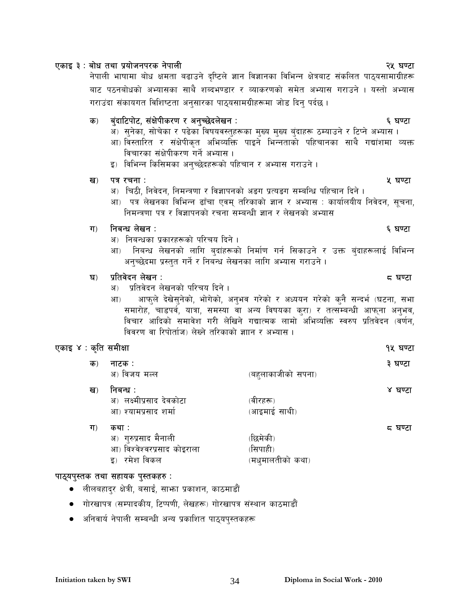### ख) पत्र रचना $\,$ :  $\,$  kg  $\,$  kg  $\,$  kg  $\,$  kg  $\,$  kg  $\,$  kg  $\,$  kg  $\,$  kg  $\,$  kg  $\,$  kg  $\,$  kg  $\,$  kg  $\,$  kg  $\,$  kg  $\,$  kg  $\,$  kg  $\,$  kg  $\,$  kg  $\,$  kg  $\,$  kg  $\,$  kg  $\,$  kg  $\,$  kg  $\,$  kg  $\,$  kg  $\$

- अ) चिठी, निवेदन, निमन्त्रणा र विज्ञापनको अङग प्रत्यङग सम्बन्धि पहिचान दिने ।
- आ) पत्र लेखनका विभिन्न ढाँचा एवम् तरिकाको ज्ञान र अभ्यास : कार्यालयीय निवेदन, सूचना, निमन्त्रणा पत्र र विज्ञापनको रचना सम्बन्धी ज्ञान र लेखनको अभ्यास

### ग) तिबन्धं लेखन $:$

- अ) निबन्धका प्रकारहरूको परिचय दिने ।
- आ) निबन्ध लेखनको लागि बुदांहरूको निर्माण गर्न सिकाउने र उक्त बुंदाहरूलाई विभिन्न अनुच्छेदमा प्रस्तुत गर्ने र निबन्ध लेखनका लागि अभ्यास गराउने ।

### 3\_ k|ltj]bg n]vg M \* 306f

- अ) प्रतिवेदन लेखनको परिचय दिने ।
- आ) आफुले देखेसुनेको, भोगेको, अनुभव गरेको र अध्ययन गरेको कुनै सन्दर्भ (घटना, सभा समारोह, चाडपर्व, यात्रा, समस्या वा अन्य विषयका कुरा) र तत्सम्बन्धी आफ्ना अनुभव, विचार आदिको समावेश गरी लेखिने गद्यात्मक लामो अभिव्यक्ति स्वरुप प्रतिवेदन (वर्णन, विवरण वा रिपोर्ताज) लेख्ने तरिकाको ज्ञाान र अभ्यास ।

### PsfO \$ M s[lt ;dLIff !% 306f

| क) | नाटक :<br>अ) विजय मल्ल                                                       | (बहुलाकाजीको सपना)                       | ३ घण्टा |
|----|------------------------------------------------------------------------------|------------------------------------------|---------|
| ख) | निबन्ध ः<br>अ) लक्ष्मीप्रसाद देवकोटा<br>आ) श्यामप्रसाद शर्मा                 | (वीरहरू)<br>(आइमाई साथी)                 | ४ घण्टा |
| ग) | कथा :<br>अ) गुरुप्रसाद मैनाली<br>आ) विश्वेश्वरप्रसाद कोइराला<br>इ) रमेश विकल | (छिमेकी)<br>(सिपाही)<br>(मध्मालतीको कथा) | द घण्टा |

### पाठ्यपुस्तक तथा सहायक पुस्तकहरु:

- लीलबहाद्र क्षेत्री, बसाईं, साभ्ता प्रकाशन, काठमाडौं
- गोरखापत्र (सम्पादकीय, टिप्पणी, लेखहरू) गोरखापत्र संस्थान काठमाडौं
- $\bullet$   $\,$  अनिवार्य नेपाली सम्बन्धी अन्य प्रकाशित पाठ्यपुस्तकहरू

# PsfO # M af]w tyf k|of]hgk/s g]kfnL @% 306f

नेपाली भाषामा बोध क्षमता बढाउने दष्टिले ज्ञान विज्ञानका विभिन्न क्षेत्रबाट संकलित पाठयसामाग्रीहरू बाट पठनबोधको अभ्यासका साथै शब्दभण्डार र व्याकरणको समेत अभ्यास गराउने । यस्तो अभ्यास गराउंदा संकायगत विशिष्टता अनुसारका पाठ्यसामग्रीहरूमा जोड दिन् पर्दछ ।

## s\_ a'+bfl6kf]6, ;+If]kLs/0f / cg'R5]bn]vg M ^ 306f

- अ) सुनेका, सोचेका र पढेका विषयवस्तुहरूका मुख्य मुख्य बुंदाहरू ठम्याउने र टिप्ने अभ्यास ।
- आ) विस्तारित र सक्षेपीकृत अभिव्यक्ति पाइने भिन्नताको पहिचानका साथै गद्यांशमा व्यक्त विचारका संक्षेपीकरण गर्ने अभ्यास ।
- इ) विभिन्न किसिमका अनुच्छेदहरूको पहिचान र अभ्यास गराउने ।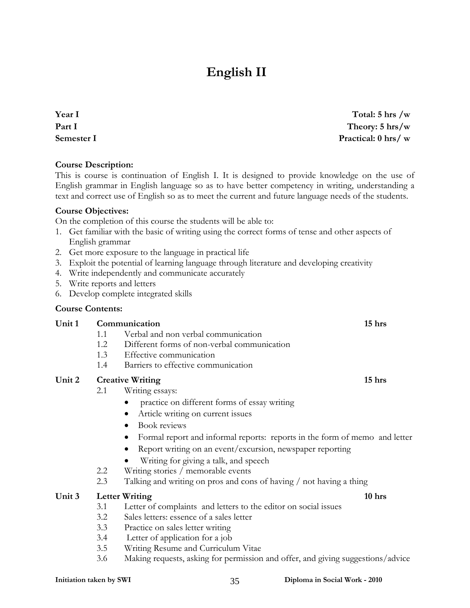# **English II**

**Year I Part I Semester I** 

**Total: 5 hrs /w Theory: 5 hrs/w Practical: 0 hrs/ w**

#### **Course Description:**

This is course is continuation of English I. It is designed to provide knowledge on the use of English grammar in English language so as to have better competency in writing, understanding a text and correct use of English so as to meet the current and future language needs of the students.

#### **Course Objectives:**

On the completion of this course the students will be able to:

- 1. Get familiar with the basic of writing using the correct forms of tense and other aspects of English grammar
- 2. Get more exposure to the language in practical life
- 3. Exploit the potential of learning language through literature and developing creativity
- 4. Write independently and communicate accurately
- 5. Write reports and letters
- 6. Develop complete integrated skills

#### **Course Contents:**

#### Unit 1 **Communication** 15 hrs 1.1 Verbal and non verbal communication

- 1.2 Different forms of non-verbal communication
- 1.3 Effective communication
- 1.4 Barriers to effective communication

#### Unit 2 Creative Writing 15 hrs **15** hrs **15** hrs **15** hrs **15** hrs **15** hrs **15** hrs **15** hrs **15** hrs **15** hrs **15** hrs **15** hrs **15** hrs **15** hrs **15** hrs **15** hrs **15** hrs **15** hrs **15** hrs **15** hrs **15** hrs **15** hrs **1**

- 2.1 Writing essays:
	- practice on different forms of essay writing
	- Article writing on current issues
	- Book reviews
	- Formal report and informal reports: reports in the form of memo and letter
	- Report writing on an event/excursion, newspaper reporting
	- Writing for giving a talk, and speech
- 2.2 Writing stories / memorable events
- 2.3 Talking and writing on pros and cons of having / not having a thing

#### Unit 3 Letter Writing 10 hrs **10 hrs 10 hrs 10 hrs**

- 3.1 Letter of complaints and letters to the editor on social issues
- 3.2 Sales letters: essence of a sales letter
- 3.3 Practice on sales letter writing
- 3.4 Letter of application for a job
- 3.5 Writing Resume and Curriculum Vitae
- 3.6 Making requests, asking for permission and offer, and giving suggestions/advice

#### **Initiation taken by SWI 2010** 35 **Diploma in Social Work - 2010**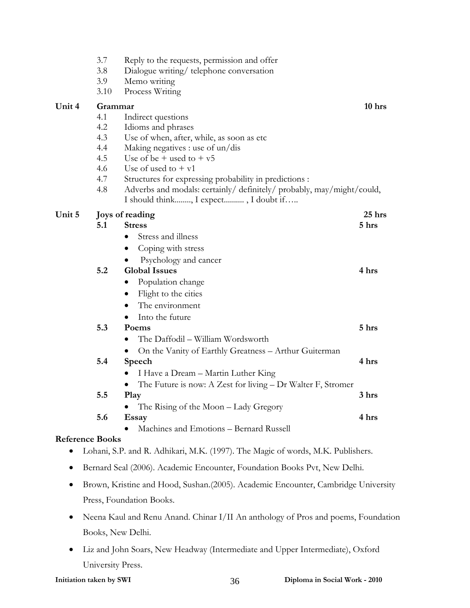|                        | 3.7<br>3.8 | Reply to the requests, permission and offer<br>Dialogue writing/telephone conversation |          |
|------------------------|------------|----------------------------------------------------------------------------------------|----------|
|                        | 3.9        | Memo writing                                                                           |          |
|                        | 3.10       | Process Writing                                                                        |          |
| Unit 4                 | Grammar    |                                                                                        | $10$ hrs |
|                        | 4.1        | Indirect questions                                                                     |          |
|                        | 4.2        | Idioms and phrases                                                                     |          |
|                        | 4.3        | Use of when, after, while, as soon as etc.                                             |          |
|                        | 4.4        | Making negatives : use of un/dis                                                       |          |
|                        | 4.5        | Use of be $+$ used to $+$ v <sub>5</sub>                                               |          |
|                        | 4.6        | Use of used to $+$ v1                                                                  |          |
|                        | 4.7        | Structures for expressing probability in predictions :                                 |          |
|                        | 4.8        | Adverbs and modals: certainly/ definitely/ probably, may/might/could,                  |          |
|                        |            | I should think, I expect, I doubt if                                                   |          |
| Unit 5                 |            | Joys of reading                                                                        | 25 hrs   |
|                        | 5.1        | <b>Stress</b>                                                                          | 5 hrs    |
|                        |            | Stress and illness                                                                     |          |
|                        |            | Coping with stress                                                                     |          |
|                        |            | Psychology and cancer                                                                  |          |
|                        | 5.2        | <b>Global Issues</b>                                                                   | 4 hrs    |
|                        |            | Population change                                                                      |          |
|                        |            | Flight to the cities<br>$\bullet$                                                      |          |
|                        |            | The environment<br>$\bullet$                                                           |          |
|                        |            | Into the future                                                                        |          |
|                        | 5.3        | Poems                                                                                  | 5 hrs    |
|                        |            | The Daffodil - William Wordsworth                                                      |          |
|                        |            | On the Vanity of Earthly Greatness - Arthur Guiterman<br>$\bullet$                     |          |
|                        | 5.4        | Speech                                                                                 | 4 hrs    |
|                        |            | I Have a Dream - Martin Luther King                                                    |          |
|                        |            | The Future is now: A Zest for living - Dr Walter F, Stromer<br>$\bullet$               |          |
|                        | 5.5        | Play                                                                                   | 3 hrs    |
|                        |            | The Rising of the Moon – Lady Gregory                                                  |          |
|                        | 5.6        | Essay                                                                                  | 4 hrs    |
|                        |            | Machines and Emotions - Bernard Russell                                                |          |
| <b>Reference Books</b> |            |                                                                                        |          |
|                        |            | 1 10 11 11 11<br>1.3577 (1007)                                                         |          |

- Lohani, S.P. and R. Adhikari, M.K. (1997). The Magic of words, M.K. Publishers.
- Bernard Seal (2006). Academic Encounter, Foundation Books Pvt, New Delhi.
- Brown, Kristine and Hood, Sushan.(2005). Academic Encounter, Cambridge University Press, Foundation Books.
- Neena Kaul and Renu Anand. Chinar I/II An anthology of Pros and poems, Foundation Books, New Delhi.
- Liz and John Soars, New Headway (Intermediate and Upper Intermediate), Oxford University Press.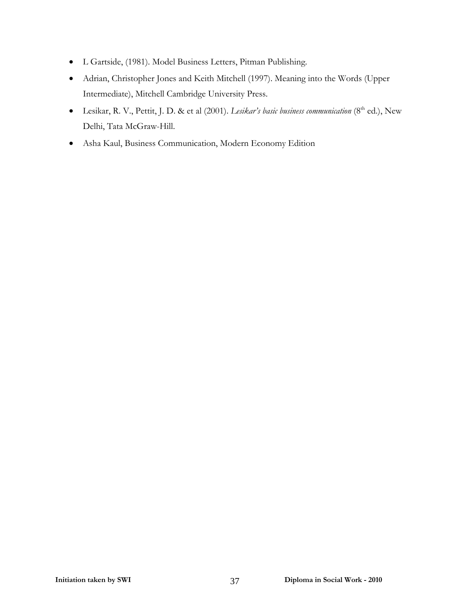- L Gartside, (1981). Model Business Letters, Pitman Publishing.
- Adrian, Christopher Jones and Keith Mitchell (1997). Meaning into the Words (Upper Intermediate), Mitchell Cambridge University Press.
- Lesikar, R. V., Pettit, J. D. & et al (2001). *Lesikar's basic business communication* (8<sup>th</sup> ed.), New Delhi, Tata McGraw-Hill.
- Asha Kaul, Business Communication, Modern Economy Edition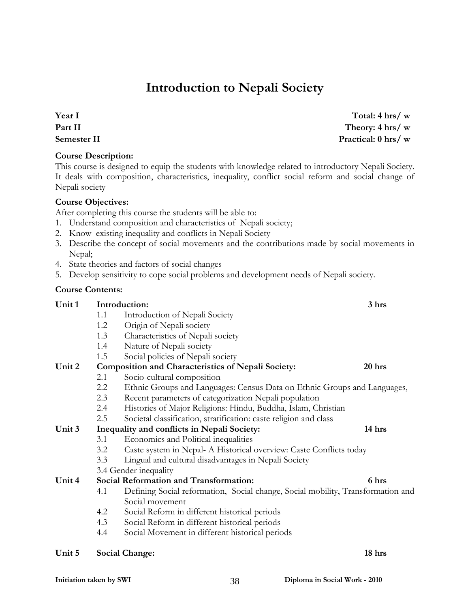# **Introduction to Nepali Society**

**Year I Part II Semester II** 

**Course Description:** 

This course is designed to equip the students with knowledge related to introductory Nepali Society. It deals with composition, characteristics, inequality, conflict social reform and social change of Nepali society

#### **Course Objectives:**

After completing this course the students will be able to:

- 1. Understand composition and characteristics of Nepali society;
- 2. Know existing inequality and conflicts in Nepali Society
- 3. Describe the concept of social movements and the contributions made by social movements in Nepal;
- 4. State theories and factors of social changes
- 5. Develop sensitivity to cope social problems and development needs of Nepali society.

#### **Course Contents:**

| Unit 1 |     | Introduction:                                                                   | 3 hrs  |
|--------|-----|---------------------------------------------------------------------------------|--------|
|        | 1.1 | Introduction of Nepali Society                                                  |        |
|        | 1.2 | Origin of Nepali society                                                        |        |
|        | 1.3 | Characteristics of Nepali society                                               |        |
|        | 1.4 | Nature of Nepali society                                                        |        |
|        | 1.5 | Social policies of Nepali society                                               |        |
| Unit 2 |     | Composition and Characteristics of Nepali Society:                              | 20 hrs |
|        | 2.1 | Socio-cultural composition                                                      |        |
|        | 2.2 | Ethnic Groups and Languages: Census Data on Ethnic Groups and Languages,        |        |
|        | 2.3 | Recent parameters of categorization Nepali population                           |        |
|        | 2.4 | Histories of Major Religions: Hindu, Buddha, Islam, Christian                   |        |
|        | 2.5 | Societal classification, stratification: caste religion and class               |        |
| Unit 3 |     | Inequality and conflicts in Nepali Society:                                     | 14 hrs |
|        | 3.1 | Economics and Political inequalities                                            |        |
|        | 3.2 | Caste system in Nepal- A Historical overview: Caste Conflicts today             |        |
|        | 3.3 | Lingual and cultural disadvantages in Nepali Society                            |        |
|        |     | 3.4 Gender inequality                                                           |        |
| Unit 4 |     | Social Reformation and Transformation:                                          | 6 hrs  |
|        | 4.1 | Defining Social reformation, Social change, Social mobility, Transformation and |        |
|        |     | Social movement                                                                 |        |
|        | 4.2 | Social Reform in different historical periods                                   |        |
|        | 4.3 | Social Reform in different historical periods                                   |        |
|        | 4.4 | Social Movement in different historical periods                                 |        |
| Unit 5 |     | <b>Social Change:</b>                                                           | 18 hrs |

**Total: 4 hrs/ w Theory: 4 hrs/ w Practical: 0 hrs/ w**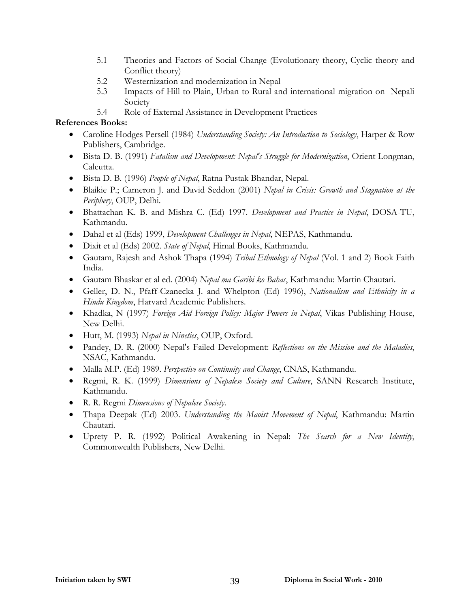- 5.1 Theories and Factors of Social Change (Evolutionary theory, Cyclic theory and Conflict theory)
- 5.2 Westernization and modernization in Nepal
- 5.3 Impacts of Hill to Plain, Urban to Rural and international migration on Nepali Society
- 5.4 Role of External Assistance in Development Practices

- Caroline Hodges Persell (1984) *Understanding Society: An Introduction to Sociology*, Harper & Row Publishers, Cambridge.
- Bista D. B. (1991) *Fatalism and Development: Nepal's Struggle for Modernization*, Orient Longman, Calcutta.
- Bista D. B. (1996) *People of Nepal*, Ratna Pustak Bhandar, Nepal.
- Blaikie P.; Cameron J. and David Seddon (2001) *Nepal in Crisis: Growth and Stagnation at the Periphery*, OUP, Delhi.
- Bhattachan K. B. and Mishra C. (Ed) 1997. *Development and Practice in Nepal*, DOSA-TU, Kathmandu.
- Dahal et al (Eds) 1999, *Development Challenges in Nepal*, NEPAS, Kathmandu.
- Dixit et al (Eds) 2002. *State of Nepal*, Himal Books, Kathmandu.
- Gautam, Rajesh and Ashok Thapa (1994) *Tribal Ethnology of Nepal* (Vol. 1 and 2) Book Faith India.
- Gautam Bhaskar et al ed. (2004) *Nepal ma Garibi ko Bahas*, Kathmandu: Martin Chautari.
- Geller, D. N., Pfaff-Czanecka J. and Whelpton (Ed) 1996), *Nationalism and Ethnicity in a Hindu Kingdom*, Harvard Academic Publishers.
- Khadka, N (1997) *Foreign Aid Foreign Policy: Major Powers in Nepal*, Vikas Publishing House, New Delhi.
- Hutt, M. (1993) *Nepal in Nineties*, OUP, Oxford.
- Pandey, D. R. (2000) Nepal's Failed Development: *Reflections on the Mission and the Maladies*, NSAC, Kathmandu.
- Malla M.P. (Ed) 1989. *Perspective on Continuity and Change*, CNAS, Kathmandu.
- Regmi, R. K. (1999) *Dimensions of Nepalese Society and Culture*, SANN Research Institute, Kathmandu.
- R. R. Regmi *Dimensions of Nepalese Society*.
- Thapa Deepak (Ed) 2003. *Understanding the Maoist Movement of Nepal*, Kathmandu: Martin Chautari.
- Uprety P. R. (1992) Political Awakening in Nepal: *The Search for a New Identity*, Commonwealth Publishers, New Delhi.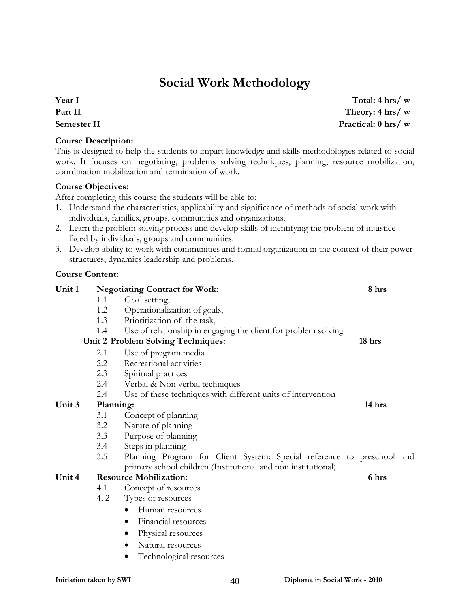# **Social Work Methodology**

**Year I Part II Semester II** 

#### **Course Description:**

This is designed to help the students to impart knowledge and skills methodologies related to social work. It focuses on negotiating, problems solving techniques, planning, resource mobilization, coordination mobilization and termination of work.

#### **Course Objectives:**

After completing this course the students will be able to:

- 1. Understand the characteristics, applicability and significance of methods of social work with individuals, families, groups, communities and organizations.
- 2. Learn the problem solving process and develop skills of identifying the problem of injustice faced by individuals, groups and communities.
- 3. Develop ability to work with communities and formal organization in the context of their power structures, dynamics leadership and problems.

#### **Course Content:**

| Unit 1 |           | <b>Negotiating Contract for Work:</b>                                  | 8 hrs  |  |
|--------|-----------|------------------------------------------------------------------------|--------|--|
|        | 1.1       | Goal setting,                                                          |        |  |
|        | 1.2       | Operationalization of goals,                                           |        |  |
|        | 1.3       | Prioritization of the task,                                            |        |  |
|        | 1.4       | Use of relationship in engaging the client for problem solving         |        |  |
|        |           | Unit 2 Problem Solving Techniques:                                     | 18 hrs |  |
|        | 2.1       | Use of program media                                                   |        |  |
|        | 2.2       | Recreational activities                                                |        |  |
|        | 2.3       | Spiritual practices                                                    |        |  |
|        | 2.4       | Verbal & Non verbal techniques                                         |        |  |
|        | 2.4       | Use of these techniques with different units of intervention           |        |  |
| Unit 3 | Planning: |                                                                        | 14 hrs |  |
|        | 3.1       | Concept of planning                                                    |        |  |
|        | 3.2       | Nature of planning                                                     |        |  |
|        | 3.3       | Purpose of planning                                                    |        |  |
|        | 3.4       | Steps in planning                                                      |        |  |
|        | 3.5       | Planning Program for Client System: Special reference to preschool and |        |  |
|        |           | primary school children (Institutional and non institutional)          |        |  |
| Unit 4 |           | <b>Resource Mobilization:</b>                                          | 6 hrs  |  |
|        | 4.1       | Concept of resources                                                   |        |  |
|        | 4.2       | Types of resources                                                     |        |  |
|        |           | Human resources                                                        |        |  |
|        |           | Financial resources<br>$\bullet$                                       |        |  |
|        |           | Physical resources                                                     |        |  |
|        |           | Natural resources                                                      |        |  |
|        |           | Technological resources                                                |        |  |
|        |           |                                                                        |        |  |

**Total: 4 hrs/ w Theory: 4 hrs/ w Practical: 0 hrs/ w**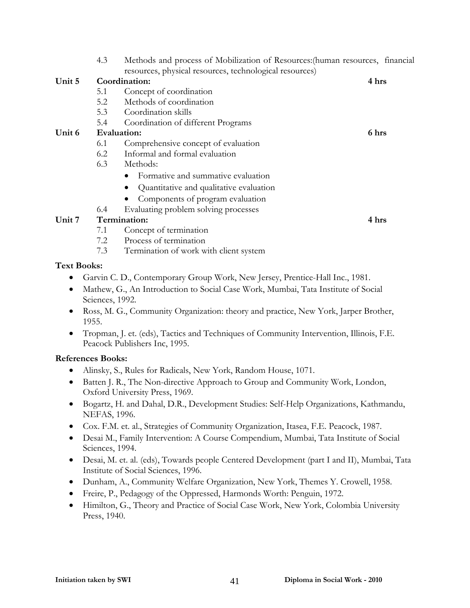|        | 4.3                | Methods and process of Mobilization of Resources: (human resources, financial |       |
|--------|--------------------|-------------------------------------------------------------------------------|-------|
|        |                    | resources, physical resources, technological resources)                       |       |
| Unit 5 |                    | Coordination:                                                                 | 4 hrs |
|        | 5.1                | Concept of coordination                                                       |       |
|        | 5.2                | Methods of coordination                                                       |       |
|        | 5.3                | Coordination skills                                                           |       |
|        | 5.4                | Coordination of different Programs                                            |       |
| Unit 6 | <b>Evaluation:</b> |                                                                               | 6 hrs |
|        | 6.1                | Comprehensive concept of evaluation                                           |       |
|        | 6.2                | Informal and formal evaluation                                                |       |
|        | 6.3                | Methods:                                                                      |       |
|        |                    | Formative and summative evaluation                                            |       |
|        |                    | Quantitative and qualitative evaluation                                       |       |
|        |                    | Components of program evaluation                                              |       |
|        | 6.4                | Evaluating problem solving processes                                          |       |
| Unit 7 |                    | Termination:                                                                  | 4 hrs |
|        | 7.1                | Concept of termination                                                        |       |
|        | 7.2                | Process of termination                                                        |       |
|        | 7.3                | Termination of work with client system                                        |       |

#### **Text Books:**

- Garvin C. D., Contemporary Group Work, New Jersey, Prentice-Hall Inc., 1981.
- Mathew, G., An Introduction to Social Case Work, Mumbai, Tata Institute of Social Sciences, 1992.
- Ross, M. G., Community Organization: theory and practice, New York, Jarper Brother, 1955.
- Tropman, J. et. (eds), Tactics and Techniques of Community Intervention, Illinois, F.E. Peacock Publishers Inc, 1995.

- Alinsky, S., Rules for Radicals, New York, Random House, 1071.
- Batten J. R., The Non-directive Approach to Group and Community Work, London, Oxford University Press, 1969.
- Bogartz, H. and Dahal, D.R., Development Studies: Self-Help Organizations, Kathmandu, NEFAS, 1996.
- Cox. F.M. et. al., Strategies of Community Organization, Itasea, F.E. Peacock, 1987.
- Desai M., Family Intervention: A Course Compendium, Mumbai, Tata Institute of Social Sciences, 1994.
- Desai, M. et. al. (eds), Towards people Centered Development (part I and II), Mumbai, Tata Institute of Social Sciences, 1996.
- Dunham, A., Community Welfare Organization, New York, Themes Y. Crowell, 1958.
- Freire, P., Pedagogy of the Oppressed, Harmonds Worth: Penguin, 1972.
- Himilton, G., Theory and Practice of Social Case Work, New York, Colombia University Press, 1940.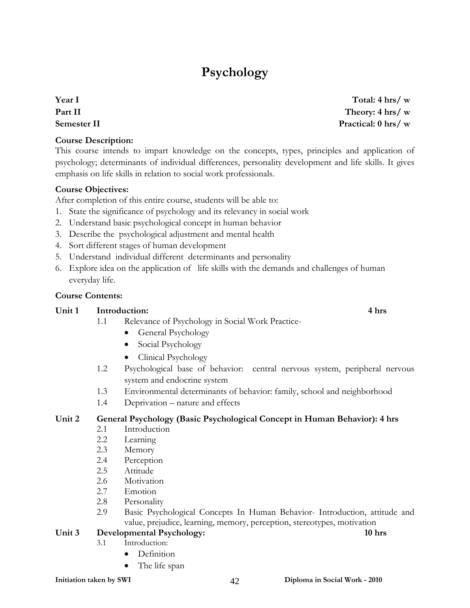# **Psychology**

**Year I Part II Semester II** 

#### **Course Description:**

This course intends to impart knowledge on the concepts, types, principles and application of psychology; determinants of individual differences, personality development and life skills. It gives emphasis on life skills in relation to social work professionals.

#### **Course Objectives:**

After completion of this entire course, students will be able to:

- 1. State the significance of psychology and its relevancy in social work
- 2. Understand basic psychological concept in human behavior
- 3. Describe the psychological adjustment and mental health
- 4. Sort different stages of human development
- 5. Understand individual different determinants and personality
- 6. Explore idea on the application of life skills with the demands and challenges of human everyday life.

#### **Course Contents:**

#### Unit 1 Introduction: 4 hrs

- 1.1 Relevance of Psychology in Social Work Practice-
	- General Psychology
	- Social Psychology
	- Clinical Psychology
- 1.2 Psychological base of behavior: central nervous system, peripheral nervous system and endocrine system
- 1.3 Environmental determinants of behavior: family, school and neighborhood
- 1.4 Deprivation nature and effects

#### **Unit 2 General Psychology (Basic Psychological Concept in Human Behavior): 4 hrs**

- 2.1 Introduction
- 2.2 Learning
- 2.3 Memory
- 2.4 Perception
- 2.5 Attitude
- 2.6 Motivation
- 2.7 Emotion
- 2.8 Personality
- 2.9 Basic Psychological Concepts In Human Behavior- Introduction, attitude and value, prejudice, learning, memory, perception, stereotypes, motivation

#### Unit 3 Developmental Psychology: 10 hrs **10 hrs 10 hrs**

- 3.1 Introduction:
	- Definition
		- The life span

#### **Total: 4 hrs/ w Theory: 4 hrs/ w Practical: 0 hrs/ w**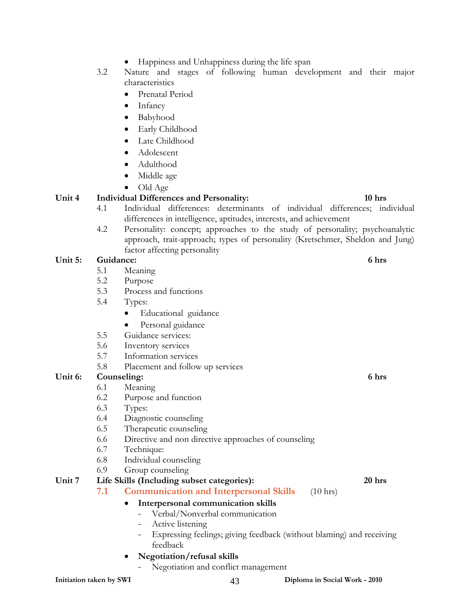- Happiness and Unhappiness during the life span
- 3.2 Nature and stages of following human development and their major characteristics
	- Prenatal Period
	- **Infancy**
	- Babyhood
	- Early Childhood
	- Late Childhood
	- Adolescent
	- Adulthood
	- Middle age
	- Old Age

#### **Unit 4 Individual Differences and Personality: 10 hrs**

- 4.1 Individual differences: determinants of individual differences; individual differences in intelligence, aptitudes, interests, and achievement
- 4.2 Personality: concept; approaches to the study of personality; psychoanalytic approach, trait-approach; types of personality (Kretschmer, Sheldon and Jung) factor affecting personality

#### Unit 5: Guidance: 6 hrs

- 5.1 Meaning
- 5.2 Purpose
- 5.3 Process and functions
- 5.4 Types:
	- Educational guidance
	- Personal guidance
- 5.5 Guidance services:
- 5.6 Inventory services
- 5.7 Information services
- 5.8 Placement and follow up services

#### Unit 6: Counseling: 6 hrs **6** hrs **6 6** hrs **6 6** hrs **6 6** hrs **6 6** hrs **6 6** hrs **6 6** hrs **6 6** hrs **6 6** hrs **6 6** hrs **6 6** hrs **6 6** hrs **6 6** hrs **6 6** hrs **6 6** hrs **6 6** hrs **6 6**

- 6.1 Meaning
- 6.2 Purpose and function
- 6.3 Types:
- 6.4 Diagnostic counseling
- 6.5 Therapeutic counseling
- 6.6 Directive and non directive approaches of counseling
- 6.7 Technique:
- 6.8 Individual counseling
- 6.9 Group counseling

#### **Unit 7 Life Skills (Including subset categories): 20 hrs**

**7.1 Communication and Interpersonal Skills** (10 hrs)

## • **Interpersonal communication skills**

- Verbal/Nonverbal communication
- Active listening
- Expressing feelings; giving feedback (without blaming) and receiving feedback
- **Negotiation/refusal skills** 
	- Negotiation and conflict management

#### **Initiation taken by SWI**   $43$  **Diploma in Social Work - 2010**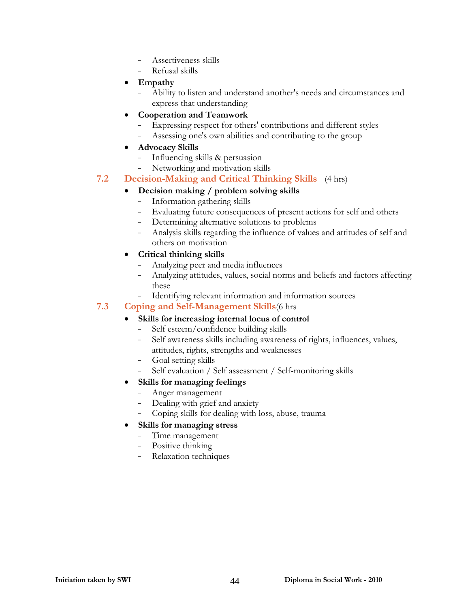- Assertiveness skills
- Refusal skills
- **Empathy**
	- Ability to listen and understand another's needs and circumstances and express that understanding
- **Cooperation and Teamwork**
	- Expressing respect for others' contributions and different styles
	- Assessing one's own abilities and contributing to the group
- **Advocacy Skills**
	- Influencing skills & persuasion
	- Networking and motivation skills

#### **7.2 Decision-Making and Critical Thinking Skills** (4 hrs)

#### • **Decision making / problem solving skills**

- Information gathering skills
- Evaluating future consequences of present actions for self and others
- Determining alternative solutions to problems
- Analysis skills regarding the influence of values and attitudes of self and others on motivation

#### • **Critical thinking skills**

- Analyzing peer and media influences
- Analyzing attitudes, values, social norms and beliefs and factors affecting these
- Identifying relevant information and information sources

#### **7.3 Coping and Self-Management Skills**(6 hrs

#### • **Skills for increasing internal locus of control**

- Self esteem/confidence building skills
- Self awareness skills including awareness of rights, influences, values, attitudes, rights, strengths and weaknesses
- Goal setting skills
- Self evaluation / Self assessment / Self-monitoring skills
- **Skills for managing feelings**
	- Anger management
	- Dealing with grief and anxiety
	- Coping skills for dealing with loss, abuse, trauma
- **Skills for managing stress**
	- Time management
	- Positive thinking
	- Relaxation techniques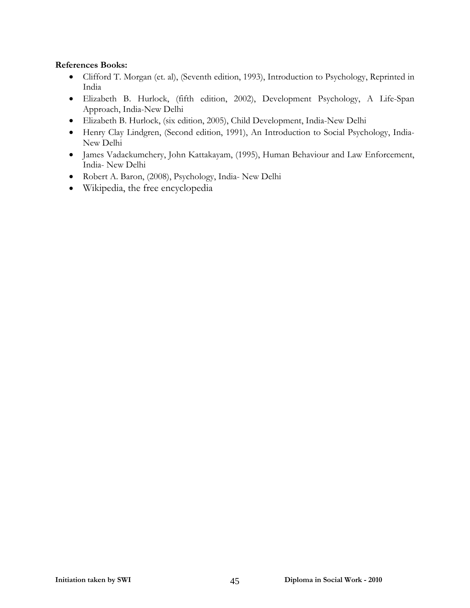- Clifford T. Morgan (et. al), (Seventh edition, 1993), Introduction to Psychology, Reprinted in India
- Elizabeth B. Hurlock, (fifth edition, 2002), Development Psychology, A Life-Span Approach, India-New Delhi
- Elizabeth B. Hurlock, (six edition, 2005), Child Development, India-New Delhi
- Henry Clay Lindgren, (Second edition, 1991), An Introduction to Social Psychology, India-New Delhi
- James Vadackumchery, John Kattakayam, (1995), Human Behaviour and Law Enforcement, India- New Delhi
- Robert A. Baron, (2008), Psychology, India- New Delhi
- Wikipedia, the free encyclopedia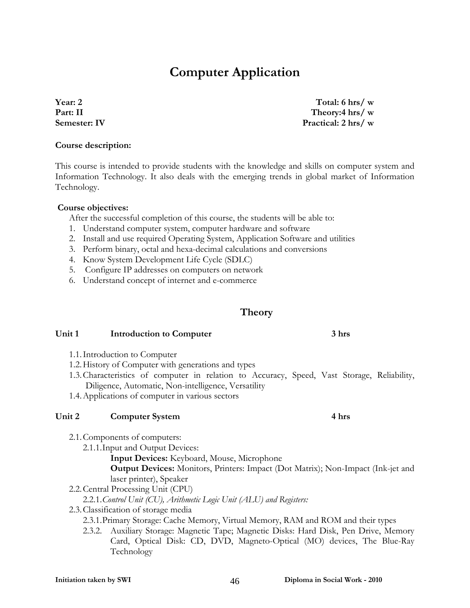# **Computer Application**

**Year: 2 Part: II Semester: IV** 

This course is intended to provide students with the knowledge and skills on computer system and Information Technology. It also deals with the emerging trends in global market of Information Technology.

#### **Course objectives:**

**Course description:**

After the successful completion of this course, the students will be able to:

- 1. Understand computer system, computer hardware and software
- 2. Install and use required Operating System, Application Software and utilities
- 3. Perform binary, octal and hexa-decimal calculations and conversions
- 4. Know System Development Life Cycle (SDLC)
- 5. Configure IP addresses on computers on network
- 6. Understand concept of internet and e-commerce

## **Theory**

#### **Unit 1 Introduction to Computer 3 hrs**

- 1.1.Introduction to Computer
- 1.2.History of Computer with generations and types
- 1.3.Characteristics of computer in relation to Accuracy, Speed, Vast Storage, Reliability, Diligence, Automatic, Non-intelligence, Versatility
- 1.4.Applications of computer in various sectors

#### Unit 2 Computer System 4 hrs

- 2.1.Components of computers:
	- 2.1.1.Input and Output Devices:

**Input Devices:** Keyboard, Mouse, Microphone

**Output Devices:** Monitors, Printers: Impact (Dot Matrix); Non-Impact (Ink-jet and laser printer), Speaker

2.2.Central Processing Unit (CPU)

2.2.1.*Control Unit (CU), Arithmetic Logic Unit (ALU) and Registers:* 

- 2.3.Classification of storage media
	- 2.3.1.Primary Storage: Cache Memory, Virtual Memory, RAM and ROM and their types
	- 2.3.2. Auxiliary Storage: Magnetic Tape; Magnetic Disks: Hard Disk, Pen Drive, Memory Card, Optical Disk: CD, DVD, Magneto-Optical (MO) devices, The Blue-Ray Technology

**Total: 6 hrs/ w Theory:4 hrs/ w Practical: 2 hrs/ w**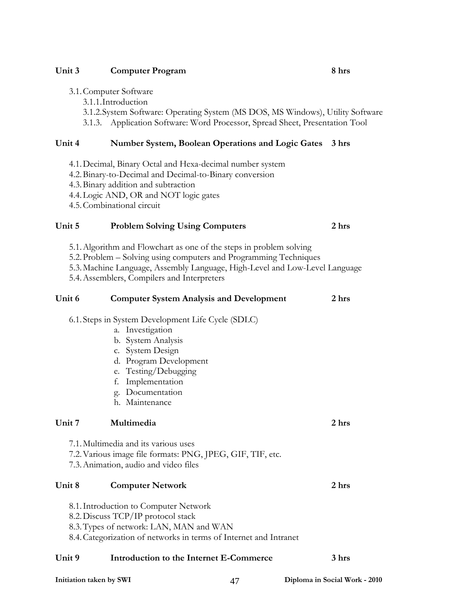#### Unit 3 Computer Program 8 hrs

- 3.1.Computer Software
	- 3.1.1.Introduction
	- 3.1.2.System Software: Operating System (MS DOS, MS Windows), Utility Software 3.1.3. Application Software: Word Processor, Spread Sheet, Presentation Tool

#### **Unit 4 Number System, Boolean Operations and Logic Gates 3 hrs**

- 4.1.Decimal, Binary Octal and Hexa-decimal number system
- 4.2.Binary-to-Decimal and Decimal-to-Binary conversion
- 4.3.Binary addition and subtraction
- 4.4.Logic AND, OR and NOT logic gates
- 4.5.Combinational circuit

#### **Unit 5 Problem Solving Using Computers 2 hrs**

- 5.1.Algorithm and Flowchart as one of the steps in problem solving
- 5.2.Problem Solving using computers and Programming Techniques
- 5.3.Machine Language, Assembly Language, High-Level and Low-Level Language
- 5.4.Assemblers, Compilers and Interpreters

## **Unit 6 Computer System Analysis and Development 2 hrs**  6.1. Steps in System Development Life Cycle (SDLC) a. Investigation b. System Analysis c. System Design d. Program Development

- e. Testing/Debugging
- f. Implementation
- g. Documentation
- h. Maintenance

#### **Unit 7 Multimedia 2 hrs**

- 7.1.Multimedia and its various uses
- 7.2.Various image file formats: PNG, JPEG, GIF, TIF, etc.
- 7.3.Animation, audio and video files

#### **Unit 8 Computer Network 2 hrs**

- 8.1.Introduction to Computer Network
- 8.2.Discuss TCP/IP protocol stack
- 8.3.Types of network: LAN, MAN and WAN
- 8.4.Categorization of networks in terms of Internet and Intranet

#### **Unit 9 Introduction to the Internet E-Commerce 3 hrs**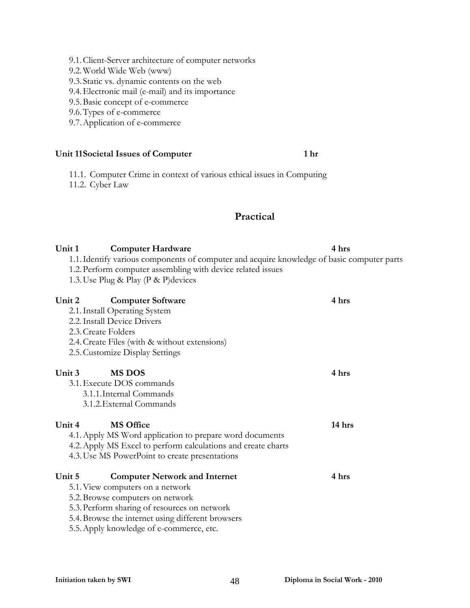#### 9.1.Client-Server architecture of computer networks

- 9.2.World Wide Web (www)
- 9.3. Static vs. dynamic contents on the web
- 9.4.Electronic mail (e-mail) and its importance
- 9.5.Basic concept of e-commerce
- 9.6.Types of e-commerce
- 9.7.Application of e-commerce

#### Unit 11 Societal Issues of Computer 1 hr

11.1. Computer Crime in context of various ethical issues in Computing 11.2. Cyber Law

#### **Practical**

## Unit 1 Computer Hardware 4 hrs 1.1.Identify various components of computer and acquire knowledge of basic computer parts 1.2.Perform computer assembling with device related issues 1.3.Use Plug & Play (P & P)devices Unit 2 Computer Software 4 hrs 2.1.Install Operating System 2.2.Install Device Drivers 2.3.Create Folders 2.4.Create Files (with & without extensions) 2.5.Customize Display Settings Unit 3 MS DOS 4 hrs 3.1.Execute DOS commands 3.1.1.Internal Commands 3.1.2.External Commands Unit 4 **MS Office** 14 hrs **14 hrs** 4.1.Apply MS Word application to prepare word documents 4.2.Apply MS Excel to perform calculations and create charts 4.3.Use MS PowerPoint to create presentations Unit 5 Computer Network and Internet 4 hrs 5.1.View computers on a network

- 5.2.Browse computers on network
- 5.3.Perform sharing of resources on network
- 5.4.Browse the internet using different browsers
- 5.5.Apply knowledge of e-commerce, etc.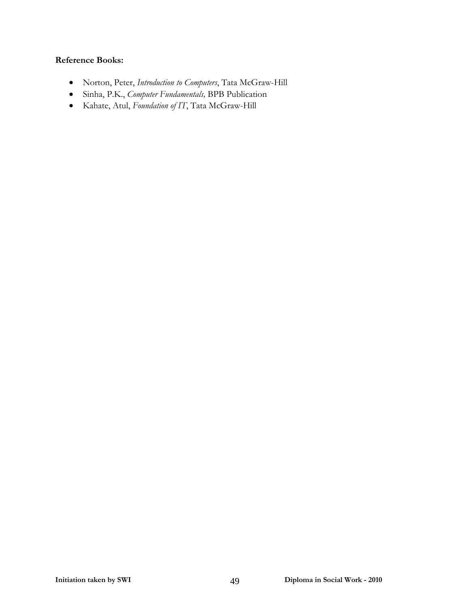- Norton, Peter, *Introduction to Computers*, Tata McGraw-Hill
- Sinha, P.K., *Computer Fundamentals,* BPB Publication
- Kahate, Atul, *Foundation of IT*, Tata McGraw-Hill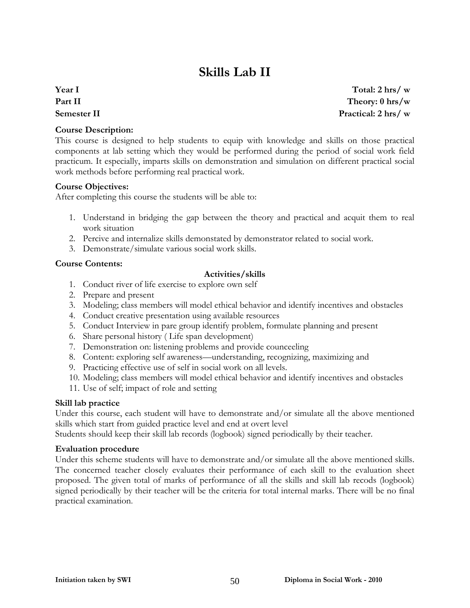# **Skills Lab II**

**Year I Part II Semester II** 

**Total: 2 hrs/ w Theory: 0 hrs/w Practical: 2 hrs/ w**

#### **Course Description:**

This course is designed to help students to equip with knowledge and skills on those practical components at lab setting which they would be performed during the period of social work field practicum. It especially, imparts skills on demonstration and simulation on different practical social work methods before performing real practical work.

#### **Course Objectives:**

After completing this course the students will be able to:

- 1. Understand in bridging the gap between the theory and practical and acquit them to real work situation
- 2. Percive and internalize skills demonstated by demonstrator related to social work.
- 3. Demonstrate/simulate various social work skills.

#### **Course Contents:**

#### **Activities/skills**

- 1. Conduct river of life exercise to explore own self
- 2. Prepare and present
- 3. Modeling; class members will model ethical behavior and identify incentives and obstacles
- 4. Conduct creative presentation using available resources
- 5. Conduct Interview in pare group identify problem, formulate planning and present
- 6. Share personal history ( Life span development)
- 7. Demonstration on: listening problems and provide counceeling
- 8. Content: exploring self awareness—understanding, recognizing, maximizing and
- 9. Practicing effective use of self in social work on all levels.
- 10. Modeling; class members will model ethical behavior and identify incentives and obstacles
- 11. Use of self; impact of role and setting

#### **Skill lab practice**

Under this course, each student will have to demonstrate and/or simulate all the above mentioned skills which start from guided practice level and end at overt level

Students should keep their skill lab records (logbook) signed periodically by their teacher.

#### **Evaluation procedure**

Under this scheme students will have to demonstrate and/or simulate all the above mentioned skills. The concerned teacher closely evaluates their performance of each skill to the evaluation sheet proposed. The given total of marks of performance of all the skills and skill lab recods (logbook) signed periodically by their teacher will be the criteria for total internal marks. There will be no final practical examination.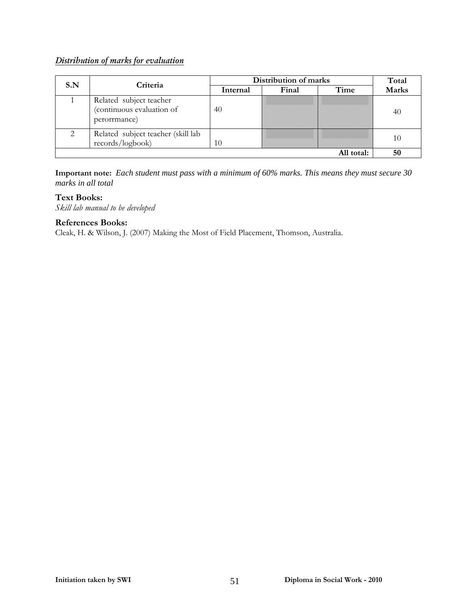#### *Distribution of marks for evaluation*

| S.N | Criteria                                                             | Distribution of marks | Total |            |              |
|-----|----------------------------------------------------------------------|-----------------------|-------|------------|--------------|
|     |                                                                      | Internal              | Final | Time       | <b>Marks</b> |
|     | Related subject teacher<br>(continuous evaluation of<br>perorrmance) | 40                    |       |            | 40           |
|     | Related subject teacher (skill lab<br>records/logbook)               | 10                    |       |            | 10           |
|     |                                                                      |                       |       | All total: | 50           |

**Important note:** *Each student must pass with a minimum of 60% marks. This means they must secure 30 marks in all total*

#### **Text Books:**

*Skill lab manual to be developed* 

#### **References Books:**

Cleak, H. & Wilson, J. (2007) Making the Most of Field Placement, Thomson, Australia.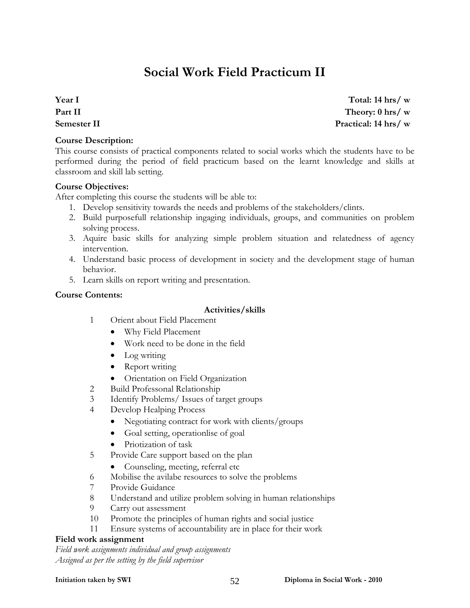# **Social Work Field Practicum II**

**Year I Part II Semester II** 

#### **Course Description:**

This course consists of practical components related to social works which the students have to be performed during the period of field practicum based on the learnt knowledge and skills at classroom and skill lab setting.

#### **Course Objectives:**

After completing this course the students will be able to:

- 1. Develop sensitivity towards the needs and problems of the stakeholders/clints.
- 2. Build purposefull relationship ingaging individuals, groups, and communities on problem solving process.
- 3. Aquire basic skills for analyzing simple problem situation and relatedness of agency intervention.
- 4. Understand basic process of development in society and the development stage of human behavior.
- 5. Learn skills on report writing and presentation.

#### **Course Contents:**

#### **Activities/skills**

- 1 Orient about Field Placement
	- Why Field Placement
	- Work need to be done in the field
	- Log writing
	- Report writing
	- Orientation on Field Organization
- 2 Build Professonal Relationship
- 3 Identify Problems/ Issues of target groups
- 4 Develop Healping Process
	- Negotiating contract for work with clients/groups
	- Goal setting, operationlise of goal
	- Priotization of task
- 5 Provide Care support based on the plan
	- Counseling, meeting, referral etc
- 6 Mobilise the avilabe resources to solve the problems
- 7 Provide Guidance
- 8 Understand and utilize problem solving in human relationships
- 9 Carry out assessment
- 10 Promote the principles of human rights and social justice
- 11 Ensure systems of accountability are in place for their work

#### **Field work assignment**

*Field work assignments individual and group assignments Assigned as per the setting by the field supervisor*

**Total: 14 hrs/ w Theory: 0 hrs/ w Practical: 14 hrs/ w**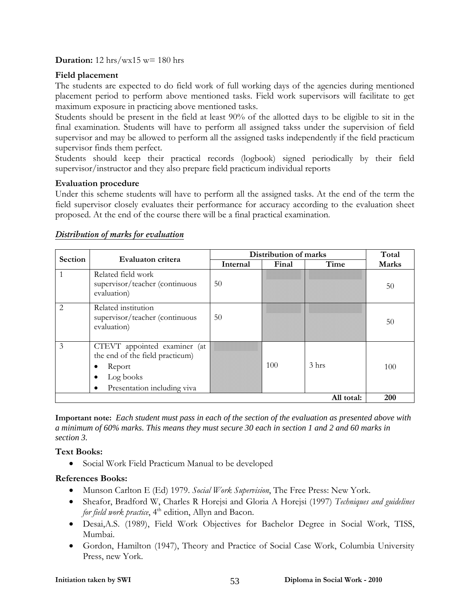**Duration:** 12 hrs/wx15 w= 180 hrs

#### **Field placement**

The students are expected to do field work of full working days of the agencies during mentioned placement period to perform above mentioned tasks. Field work supervisors will facilitate to get maximum exposure in practicing above mentioned tasks.

Students should be present in the field at least 90% of the allotted days to be eligible to sit in the final examination. Students will have to perform all assigned takss under the supervision of field supervisor and may be allowed to perform all the assigned tasks independently if the field practicum supervisor finds them perfect.

Students should keep their practical records (logbook) signed periodically by their field supervisor/instructor and they also prepare field practicum individual reports

#### **Evaluation procedure**

Under this scheme students will have to perform all the assigned tasks. At the end of the term the field supervisor closely evaluates their performance for accuracy according to the evaluation sheet proposed. At the end of the course there will be a final practical examination.

| <b>Section</b> | Evaluaton critera                                                                                                          | Distribution of marks | Total |                  |              |
|----------------|----------------------------------------------------------------------------------------------------------------------------|-----------------------|-------|------------------|--------------|
|                |                                                                                                                            | Internal              | Final | Time             | <b>Marks</b> |
|                | Related field work<br>supervisor/teacher (continuous<br>evaluation)                                                        | 50                    |       |                  | 50           |
| $\mathfrak{D}$ | Related institution<br>supervisor/teacher (continuous<br>evaluation)                                                       | 50                    |       |                  | 50           |
| $\mathcal{E}$  | CTEVT appointed examiner (at<br>the end of the field practicum)<br>Report<br>Log books<br>Presentation including viva<br>٠ |                       | 100   | 3 <sub>hrs</sub> | 100          |
|                |                                                                                                                            |                       |       | All total:       | 200          |

#### *Distribution of marks for evaluation*

**Important note:** *Each student must pass in each of the section of the evaluation as presented above with a minimum of 60% marks. This means they must secure 30 each in section 1 and 2 and 60 marks in section 3.*

#### **Text Books:**

• Social Work Field Practicum Manual to be developed

- Munson Carlton E (Ed) 1979. *Social Work Supervision*, The Free Press: New York.
- Sheafor, Bradford W, Charles R Horejsi and Gloria A Horejsi (1997) *Techniques and guidelines for field work practice*, 4<sup>th</sup> edition, Allyn and Bacon.
- Desai,A.S. (1989), Field Work Objectives for Bachelor Degree in Social Work, TISS, Mumbai.
- Gordon, Hamilton (1947), Theory and Practice of Social Case Work, Columbia University Press, new York.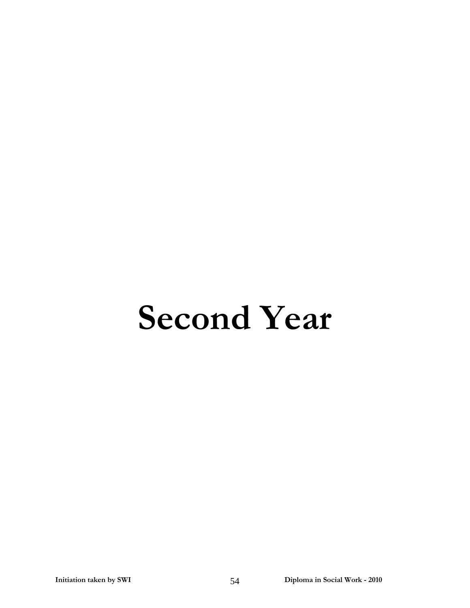# **Second Year**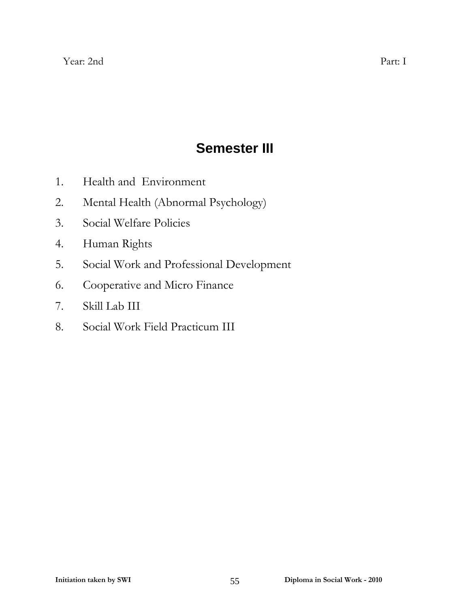# **Semester III**

- 1. Health and Environment
- 2. Mental Health (Abnormal Psychology)
- 3. Social Welfare Policies
- 4. Human Rights
- 5. Social Work and Professional Development
- 6. Cooperative and Micro Finance
- 7. Skill Lab III
- 8. Social Work Field Practicum III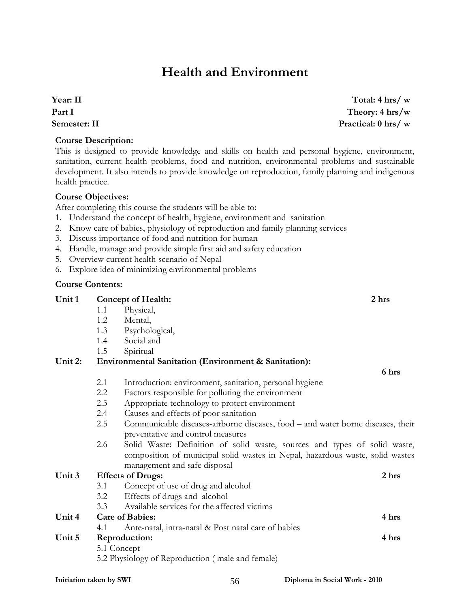# **Health and Environment**

**Year: II Part I Semester: II** 

#### **Course Description:**

This is designed to provide knowledge and skills on health and personal hygiene, environment, sanitation, current health problems, food and nutrition, environmental problems and sustainable development. It also intends to provide knowledge on reproduction, family planning and indigenous health practice.

#### **Course Objectives:**

After completing this course the students will be able to:

- 1. Understand the concept of health, hygiene, environment and sanitation
- 2. Know care of babies, physiology of reproduction and family planning services
- 3. Discuss importance of food and nutrition for human
- 4. Handle, manage and provide simple first aid and safety education
- 5. Overview current health scenario of Nepal
- 6. Explore idea of minimizing environmental problems

#### **Course Contents:**

#### **Unit 1 Concept of Health: 2 hrs**  1.1 Physical, 1.2 Mental,

- 1.3 Psychological,
- 1.4 Social and
- 1.5 Spiritual

#### **Unit 2: Environmental Sanitation (Environment & Sanitation):**

 **6 hrs** 

- 2.1 Introduction: environment, sanitation, personal hygiene
- 2.2 Factors responsible for polluting the environment
- 2.3 Appropriate technology to protect environment
- 2.4 Causes and effects of poor sanitation
- 2.5 Communicable diseases-airborne diseases, food and water borne diseases, their preventative and control measures
- 2.6 Solid Waste: Definition of solid waste, sources and types of solid waste, composition of municipal solid wastes in Nepal, hazardous waste, solid wastes management and safe disposal

| Unit 3 |                        | <b>Effects of Drugs:</b>                            | 2 hrs |
|--------|------------------------|-----------------------------------------------------|-------|
|        | 3.1                    | Concept of use of drug and alcohol                  |       |
|        | 3.2                    | Effects of drugs and alcohol                        |       |
|        | 3.3                    | Available services for the affected victims         |       |
| Unit 4 | <b>Care of Babies:</b> | 4 hrs                                               |       |
|        | 4.1                    | Ante-natal, intra-natal & Post natal care of babies |       |
| Unit 5 |                        | Reproduction:                                       | 4 hrs |
|        | 5.1 Concept            |                                                     |       |
|        |                        | $\mathsf{E} \cap \mathbb{D}$                        |       |

5.2 Physiology of Reproduction ( male and female)

**Total: 4 hrs/ w Theory: 4 hrs/w Practical: 0 hrs/ w**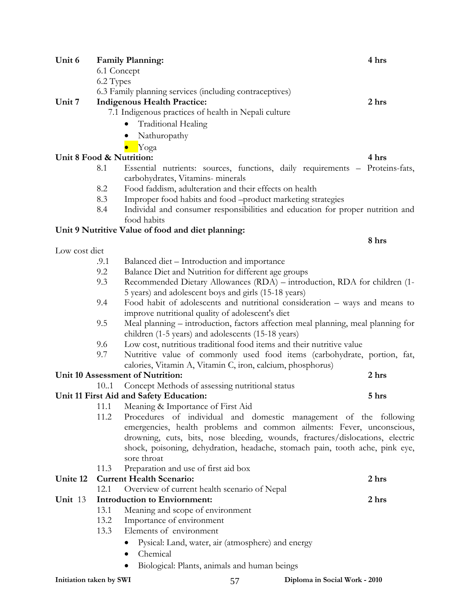|                          |      | 6.3 Family planning services (including contraceptives)                          |       |  |  |  |  |
|--------------------------|------|----------------------------------------------------------------------------------|-------|--|--|--|--|
| Unit 7                   |      | <b>Indigenous Health Practice:</b>                                               | 2 hrs |  |  |  |  |
|                          |      | 7.1 Indigenous practices of health in Nepali culture                             |       |  |  |  |  |
|                          |      | <b>Traditional Healing</b>                                                       |       |  |  |  |  |
|                          |      | Nathuropathy                                                                     |       |  |  |  |  |
|                          |      | Yoga                                                                             |       |  |  |  |  |
| Unit 8 Food & Nutrition: |      |                                                                                  | 4 hrs |  |  |  |  |
|                          | 8.1  | Essential nutrients: sources, functions, daily requirements - Proteins-fats,     |       |  |  |  |  |
|                          |      | carbohydrates, Vitamins- minerals                                                |       |  |  |  |  |
|                          | 8.2  | Food faddism, adulteration and their effects on health                           |       |  |  |  |  |
|                          | 8.3  | Improper food habits and food -product marketing strategies                      |       |  |  |  |  |
|                          | 8.4  | Individal and consumer responsibilities and education for proper nutrition and   |       |  |  |  |  |
|                          |      | food habits                                                                      |       |  |  |  |  |
|                          |      | Unit 9 Nutritive Value of food and diet planning:                                |       |  |  |  |  |
|                          |      |                                                                                  | 8 hrs |  |  |  |  |
| Low cost diet            |      |                                                                                  |       |  |  |  |  |
|                          | .9.1 | Balanced diet - Introduction and importance                                      |       |  |  |  |  |
|                          | 9.2  | Balance Diet and Nutrition for different age groups                              |       |  |  |  |  |
|                          | 9.3  | Recommended Dietary Allowances (RDA) – introduction, RDA for children (1-        |       |  |  |  |  |
|                          |      | 5 years) and adolescent boys and girls (15-18 years)                             |       |  |  |  |  |
|                          | 9.4  | Food habit of adolescents and nutritional consideration - ways and means to      |       |  |  |  |  |
|                          |      | improve nutritional quality of adolescent's diet                                 |       |  |  |  |  |
|                          | 9.5  | Meal planning – introduction, factors affection meal planning, meal planning for |       |  |  |  |  |
|                          |      | children (1-5 years) and adolescents (15-18 years)                               |       |  |  |  |  |
|                          | 9.6  | Low cost, nutritious traditional food items and their nutritive value            |       |  |  |  |  |
|                          | 9.7  | Nutritive value of commonly used food items (carbohydrate, portion, fat,         |       |  |  |  |  |
|                          |      | calories, Vitamin A, Vitamin C, iron, calcium, phosphorus)                       |       |  |  |  |  |
|                          |      | Unit 10 Assessment of Nutrition:                                                 | 2 hrs |  |  |  |  |
|                          | 10.1 | Concept Methods of assessing nutritional status                                  |       |  |  |  |  |
|                          |      | Unit 11 First Aid and Safety Education:                                          | 5 hrs |  |  |  |  |
|                          | 11.1 | Meaning & Importance of First Aid                                                |       |  |  |  |  |
|                          | 11.2 | Procedures of individual and domestic management of the following                |       |  |  |  |  |
|                          |      | emergencies, health problems and common ailments: Fever, unconscious,            |       |  |  |  |  |
|                          |      | drowning, cuts, bits, nose bleeding, wounds, fractures/dislocations, electric    |       |  |  |  |  |
|                          |      | shock, poisoning, dehydration, headache, stomach pain, tooth ache, pink eye,     |       |  |  |  |  |
|                          |      | sore throat                                                                      |       |  |  |  |  |
|                          | 11.3 | Preparation and use of first aid box                                             |       |  |  |  |  |
| Unite 12                 |      | <b>Current Health Scenario:</b>                                                  | 2 hrs |  |  |  |  |
|                          | 12.1 | Overview of current health scenario of Nepal                                     |       |  |  |  |  |
| Unit 13                  |      | <b>Introduction to Enviornment:</b>                                              | 2 hrs |  |  |  |  |
|                          | 13.1 | Meaning and scope of environment                                                 |       |  |  |  |  |
|                          | 13.2 | Importance of environment                                                        |       |  |  |  |  |
|                          | 13.3 | Elements of environment                                                          |       |  |  |  |  |
|                          |      | Pysical: Land, water, air (atmosphere) and energy                                |       |  |  |  |  |
|                          |      | Chemical                                                                         |       |  |  |  |  |
|                          |      |                                                                                  |       |  |  |  |  |
|                          |      | Biological: Plants, animals and human beings                                     |       |  |  |  |  |

**Unit 6 Family Planning: 4 hrs** 

6.1 Concept 6.2 Types

**Initiation taken by SWI** 57 **Diploma in Social Work - 2010**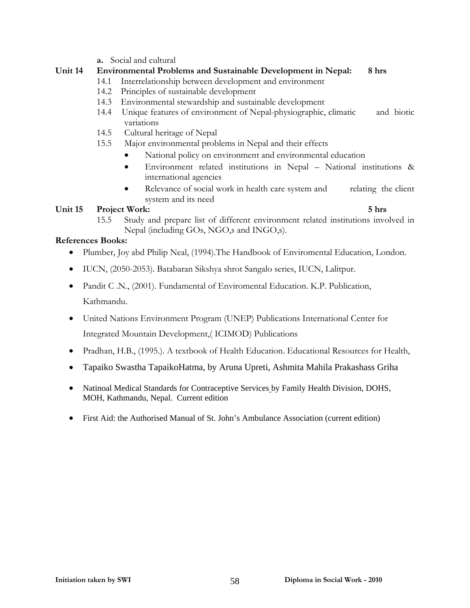**a.** Social and cultural

#### **Unit 14 Environmental Problems and Sustainable Development in Nepal: 8 hrs**

- 14.1 Interrelationship between development and environment
- 14.2 Principles of sustainable development
- 14.3 Environmental stewardship and sustainable development
- 14.4 Unique features of environment of Nepal-physiographic, climatic and biotic variations
- 14.5 Cultural heritage of Nepal
- 15.5 Major environmental problems in Nepal and their effects
	- National policy on environment and environmental education
	- Environment related institutions in Nepal National institutions & international agencies
	- Relevance of social work in health care system and relating the client system and its need

#### Unit 15 Project Work: 5 hrs **5** hrs **5** hrs **5** hrs **5** hrs **5** hrs **5** hrs **5** hrs **5** hrs **5** hrs **5** hrs **5** hrs **5** hrs **5** hrs **5** hrs **6 1**

15.5 Study and prepare list of different environment related institutions involved in Nepal (including GOs, NGO,s and INGO,s).

- Plumber, Joy abd Philip Neal, (1994). The Handbook of Enviromental Education, London.
- IUCN, (2050-2053). Batabaran Sikshya shrot Sangalo series, IUCN, Lalitpur.
- Pandit C .N., (2001). Fundamental of Enviromental Education. K.P. Publication, Kathmandu.
- United Nations Environment Program (UNEP) Publications International Center for Integrated Mountain Development,( ICIMOD) Publications
- Pradhan, H.B., (1995.). A textbook of Health Education. Educational Resources for Health,
- Tapaiko Swastha TapaikoHatma, by Aruna Upreti, Ashmita Mahila Prakashass Griha
- Natinoal Medical Standards for Contraceptive Services by Family Health Division, DOHS, MOH, Kathmandu, Nepal. Current edition
- First Aid: the Authorised Manual of St. John's Ambulance Association (current edition)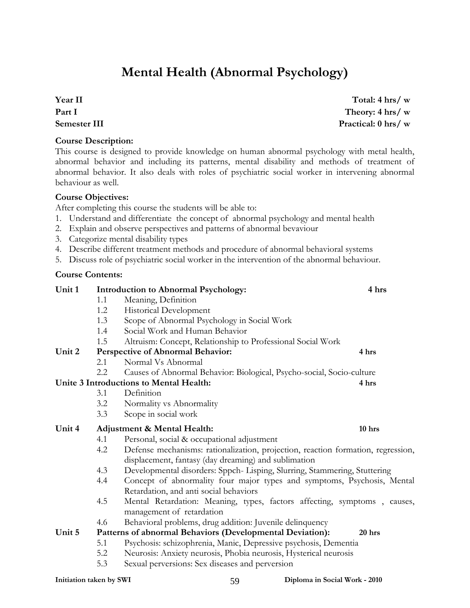# **Mental Health (Abnormal Psychology)**

**Year II Part I Semester III** 

#### **Course Description:**

This course is designed to provide knowledge on human abnormal psychology with metal health, abnormal behavior and including its patterns, mental disability and methods of treatment of abnormal behavior. It also deals with roles of psychiatric social worker in intervening abnormal behaviour as well.

#### **Course Objectives:**

After completing this course the students will be able to:

- 1. Understand and differentiate the concept of abnormal psychology and mental health
- 2. Explain and observe perspectives and patterns of abnormal bevaviour
- 3. Categorize mental disability types
- 4. Describe different treatment methods and procedure of abnormal behavioral systems
- 5. Discuss role of psychiatric social worker in the intervention of the abnormal behaviour.

**Unit 1 Introduction to Abnormal Psychology: 4 hrs** 

#### **Course Contents:**

|                         | 1.1 | Meaning, Definition                                                              |  |
|-------------------------|-----|----------------------------------------------------------------------------------|--|
|                         | 1.2 | Historical Development                                                           |  |
|                         | 1.3 | Scope of Abnormal Psychology in Social Work                                      |  |
|                         | 1.4 | Social Work and Human Behavior                                                   |  |
|                         | 1.5 | Altruism: Concept, Relationship to Professional Social Work                      |  |
| Unit 2                  |     | Perspective of Abnormal Behavior:<br>4 hrs                                       |  |
|                         | 2.1 | Normal Vs Abnormal                                                               |  |
|                         | 2.2 | Causes of Abnormal Behavior: Biological, Psycho-social, Socio-culture            |  |
|                         |     | Unite 3 Introductions to Mental Health:<br>4 hrs                                 |  |
|                         | 3.1 | Definition                                                                       |  |
|                         | 3.2 | Normality vs Abnormality                                                         |  |
|                         | 3.3 | Scope in social work                                                             |  |
| Unit 4                  |     | <b>Adjustment &amp; Mental Health:</b><br>10 hrs                                 |  |
|                         | 4.1 | Personal, social & occupational adjustment                                       |  |
|                         | 4.2 | Defense mechanisms: rationalization, projection, reaction formation, regression, |  |
|                         |     | displacement, fantasy (day dreaming) and sublimation                             |  |
|                         | 4.3 | Developmental disorders: Sppch- Lisping, Slurring, Stammering, Stuttering        |  |
|                         | 4.4 | Concept of abnormality four major types and symptoms, Psychosis, Mental          |  |
|                         |     | Retardation, and anti social behaviors                                           |  |
|                         | 4.5 | Mental Retardation: Meaning, types, factors affecting, symptoms, causes,         |  |
|                         |     | management of retardation                                                        |  |
|                         | 4.6 | Behavioral problems, drug addition: Juvenile delinquency                         |  |
| Unit 5                  |     | Patterns of abnormal Behaviors (Developmental Deviation):<br>20 hrs              |  |
|                         | 5.1 | Psychosis: schizophrenia, Manic, Depressive psychosis, Dementia                  |  |
|                         | 5.2 | Neurosis: Anxiety neurosis, Phobia neurosis, Hysterical neurosis                 |  |
|                         | 5.3 | Sexual perversions: Sex diseases and perversion                                  |  |
| Initiation taken by SWI |     | Diploma in Social Work - 2010<br>59                                              |  |

**Total: 4 hrs/ w Theory: 4 hrs/ w Practical: 0 hrs/ w**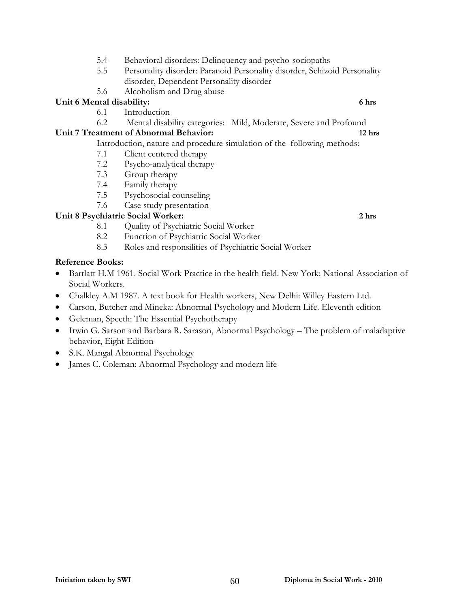- 5.4 Behavioral disorders: Delinquency and psycho-sociopaths
- 5.5 Personality disorder: Paranoid Personality disorder, Schizoid Personality disorder, Dependent Personality disorder
- 5.6 Alcoholism and Drug abuse

#### **Unit 6 Mental disability: 6 hrs**

- 6.1 Introduction
- 6.2 Mental disability categories: Mild, Moderate, Severe and Profound

#### **Unit 7 Treatment of Abnormal Behavior: 12 hrs**

- Introduction, nature and procedure simulation of the following methods:
- 7.1 Client centered therapy
- 7.2 Psycho-analytical therapy
- 7.3 Group therapy
- 7.4 Family therapy
- 7.5 Psychosocial counseling
- 7.6 Case study presentation

#### **Unit 8 Psychiatric Social Worker: 2 hrs**

- 8.1 Quality of Psychiatric Social Worker
- 8.2 Function of Psychiatric Social Worker
- 8.3 Roles and responsilities of Psychiatric Social Worker

- Bartlatt H.M 1961. Social Work Practice in the health field. New York: National Association of Social Workers.
- Chalkley A.M 1987. A text book for Health workers, New Delhi: Willey Eastern Ltd.
- Carson, Butcher and Mineka: Abnormal Psychology and Modern Life. Eleventh edition
- Geleman, Specth: The Essential Psychotherapy
- Irwin G. Sarson and Barbara R. Sarason, Abnormal Psychology The problem of maladaptive behavior, Eight Edition
- S.K. Mangal Abnormal Psychology
- James C. Coleman: Abnormal Psychology and modern life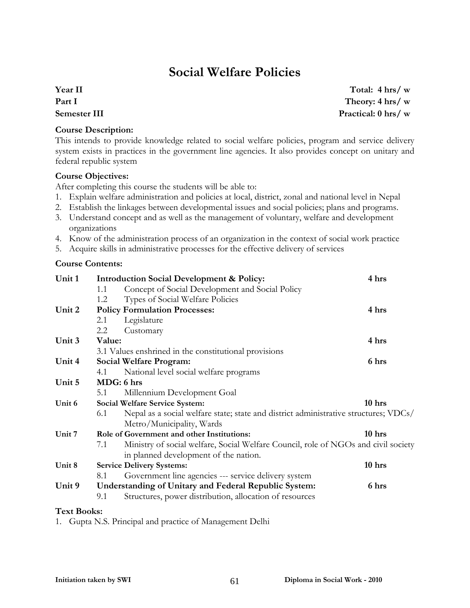# **Social Welfare Policies**

## **Year II Part I Semester III**

**Course Description:** 

This intends to provide knowledge related to social welfare policies, program and service delivery system exists in practices in the government line agencies. It also provides concept on unitary and federal republic system

#### **Course Objectives:**

After completing this course the students will be able to:

- 1. Explain welfare administration and policies at local, district, zonal and national level in Nepal
- 2. Establish the linkages between developmental issues and social policies; plans and programs.
- 3. Understand concept and as well as the management of voluntary, welfare and development organizations
- 4. Know of the administration process of an organization in the context of social work practice
- 5. Acquire skills in administrative processes for the effective delivery of services

#### **Course Contents:**

| Unit 1             | <b>Introduction Social Development &amp; Policy:</b>                                        |                                                                                    |        |  |  |  |
|--------------------|---------------------------------------------------------------------------------------------|------------------------------------------------------------------------------------|--------|--|--|--|
|                    | 1.1                                                                                         | Concept of Social Development and Social Policy                                    |        |  |  |  |
|                    | 1.2                                                                                         | Types of Social Welfare Policies                                                   |        |  |  |  |
| Unit 2             |                                                                                             | <b>Policy Formulation Processes:</b>                                               | 4 hrs  |  |  |  |
|                    | 2.1                                                                                         | Legislature                                                                        |        |  |  |  |
|                    | 2.2                                                                                         | Customary                                                                          |        |  |  |  |
| Unit 3             | Value:                                                                                      |                                                                                    | 4 hrs  |  |  |  |
|                    |                                                                                             | 3.1 Values enshrined in the constitutional provisions                              |        |  |  |  |
| Unit 4             |                                                                                             | <b>Social Welfare Program:</b>                                                     | 6 hrs  |  |  |  |
|                    | 4.1                                                                                         | National level social welfare programs                                             |        |  |  |  |
| Unit 5             | MDG: 6 hrs                                                                                  |                                                                                    |        |  |  |  |
|                    | 5.1                                                                                         | Millennium Development Goal                                                        |        |  |  |  |
| Unit 6             | Social Welfare Service System:                                                              | 10 hrs                                                                             |        |  |  |  |
|                    | Nepal as a social welfare state; state and district administrative structures; VDCs/<br>6.1 |                                                                                    |        |  |  |  |
|                    |                                                                                             | Metro/Municipality, Wards                                                          |        |  |  |  |
| Unit 7             |                                                                                             | Role of Government and other Institutions:                                         | 10 hrs |  |  |  |
|                    | 7.1                                                                                         | Ministry of social welfare, Social Welfare Council, role of NGOs and civil society |        |  |  |  |
|                    |                                                                                             | in planned development of the nation.                                              |        |  |  |  |
| Unit 8             |                                                                                             | <b>Service Delivery Systems:</b>                                                   | 10 hrs |  |  |  |
|                    | 8.1                                                                                         | Government line agencies --- service delivery system                               |        |  |  |  |
| Unit 9             |                                                                                             | <b>Understanding of Unitary and Federal Republic System:</b>                       | 6 hrs  |  |  |  |
|                    | 9.1                                                                                         | Structures, power distribution, allocation of resources                            |        |  |  |  |
| <b>Text Books:</b> |                                                                                             |                                                                                    |        |  |  |  |

1. Gupta N.S. Principal and practice of Management Delhi

**Total: 4 hrs/ w Theory: 4 hrs/ w Practical: 0 hrs/ w**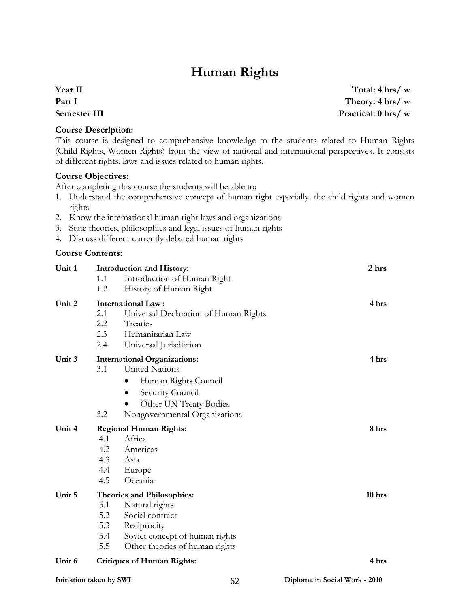# **Human Rights**

## **Year II Part I Semester III**

**Course Description:** 

This course is designed to comprehensive knowledge to the students related to Human Rights (Child Rights, Women Rights) from the view of national and international perspectives. It consists of different rights, laws and issues related to human rights.

#### **Course Objectives:**

After completing this course the students will be able to:

- 1. Understand the comprehensive concept of human right especially, the child rights and women rights
- 2. Know the international human right laws and organizations
- 3. State theories, philosophies and legal issues of human rights
- 4. Discuss different currently debated human rights

#### **Course Contents:**

| Unit 1 | Introduction and History:                    |          |  |
|--------|----------------------------------------------|----------|--|
|        | Introduction of Human Right<br>1.1           |          |  |
|        | 1.2<br>History of Human Right                |          |  |
| Unit 2 | <b>International Law:</b>                    | 4 hrs    |  |
|        | 2.1<br>Universal Declaration of Human Rights |          |  |
|        | 2.2<br>Treaties                              |          |  |
|        | 2.3<br>Humanitarian Law                      |          |  |
|        | 2.4<br>Universal Jurisdiction                |          |  |
| Unit 3 | <b>International Organizations:</b>          | 4 hrs    |  |
|        | <b>United Nations</b><br>3.1                 |          |  |
|        | Human Rights Council                         |          |  |
|        | Security Council<br>$\bullet$                |          |  |
|        | Other UN Treaty Bodies                       |          |  |
|        | 3.2<br>Nongovernmental Organizations         |          |  |
| Unit 4 | <b>Regional Human Rights:</b>                |          |  |
|        | Africa<br>4.1                                |          |  |
|        | 4.2<br>Americas                              |          |  |
|        | 4.3<br>Asia                                  |          |  |
|        | 4.4<br>Europe                                |          |  |
|        | 4.5<br>Oceania                               |          |  |
| Unit 5 | <b>Theories and Philosophies:</b>            | $10$ hrs |  |
|        | Natural rights<br>5.1                        |          |  |
|        | 5.2<br>Social contract                       |          |  |
|        | 5.3<br>Reciprocity                           |          |  |
|        | 5.4<br>Soviet concept of human rights        |          |  |
|        | 5.5<br>Other theories of human rights        |          |  |
| Unit 6 | <b>Critiques of Human Rights:</b>            | 4 hrs    |  |
|        |                                              |          |  |

**Total: 4 hrs/ w Theory: 4 hrs/ w Practical: 0 hrs/ w**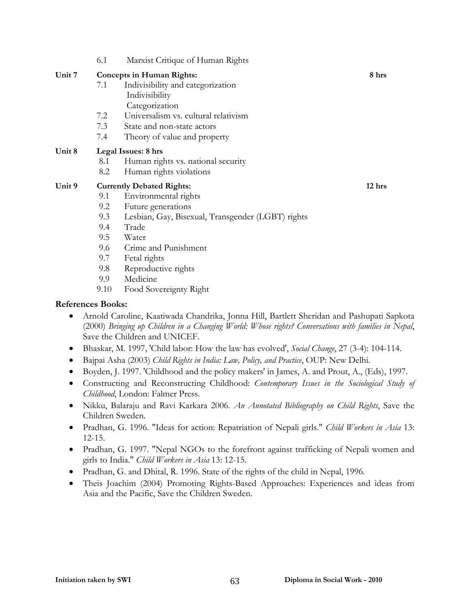6.1 Marxist Critique of Human Rights

#### Unit 7 Concepts in Human Rights: 8 hrs

- 7.1 Indivisibility and categorization Indivisibility **Categorization**
- 7.2 Universalism vs. cultural relativism
- 7.3 State and non-state actors
- 7.4 Theory of value and property

#### **Unit 8 Legal Issues: 8 hrs**

- 8.1 Human rights vs. national security
- 8.2 Human rights violations

#### Unit 9 Currently Debated Rights: 12 hrs **12 hrs 12 hrs**

- 9.1 Environmental rights
- 9.2 Future generations
- 9.3 Lesbian, Gay, Bisexual, Transgender (LGBT) rights
- 9.4 Trade
- 9.5 Water
- 9.6 Crime and Punishment
- 9.7 Fetal rights
- 9.8 Reproductive rights
- 9.9 Medicine
- 9.10 Food Sovereignty Right

- Arnold Caroline, Kaatiwada Chandrika, Jonna Hill, Bartlett Sheridan and Pashupati Sapkota (2000) *Bringing up Children in a Changing World: Whose rights? Conversations with families in Nepal*, Save the Children and UNICEF.
- Bhaskar, M. 1997, 'Child labor: How the law has evolved', *Social Change*, 27 (3-4): 104-114.
- Bajpai Asha (2003) *Child Rights in India: Law, Policy, and Practice*, OUP: New Delhi.
- Boyden, J. 1997. 'Childhood and the policy makers' in James, A. and Prout, A., (Eds), 1997.
- Constructing and Reconstructing Childhood: *Contemporary Issues in the Sociological Study of Childhood*, London: Falmer Press.
- Nikku, Balaraju and Ravi Karkara 2006. *An Annotated Bibliography on Child Rights*, Save the Children Sweden.
- Pradhan, G. 1996. "Ideas for action: Repatriation of Nepali girls." *Child Workers in Asia* 13: 12-15.
- Pradhan, G. 1997. "Nepal NGOs to the forefront against trafficking of Nepali women and girls to India." *Child Workers in Asia* 13: 12-15.
- Pradhan, G. and Dhital, R. 1996. State of the rights of the child in Nepal, 1996.
- Theis Joachim (2004) Promoting Rights-Based Approaches: Experiences and ideas from Asia and the Pacific, Save the Children Sweden.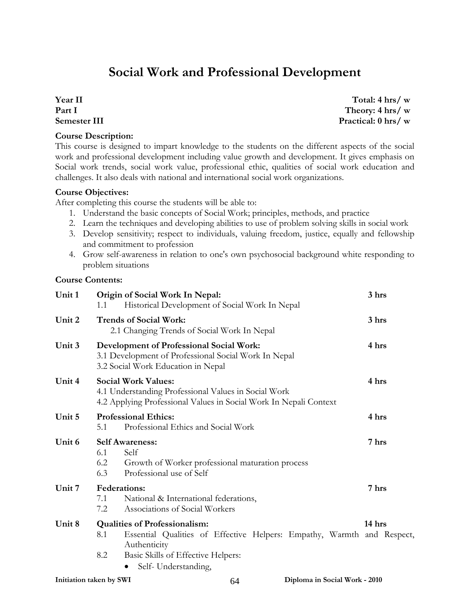# **Social Work and Professional Development**

#### **Year II Part I Semester III**

#### **Course Description:**

**Total: 4 hrs/ w Theory: 4 hrs/ w Practical: 0 hrs/ w**

This course is designed to impart knowledge to the students on the different aspects of the social work and professional development including value growth and development. It gives emphasis on Social work trends, social work value, professional ethic, qualities of social work education and challenges. It also deals with national and international social work organizations.

#### **Course Objectives:**

After completing this course the students will be able to:

- 1. Understand the basic concepts of Social Work; principles, methods, and practice
- 2. Learn the techniques and developing abilities to use of problem solving skills in social work
- 3. Develop sensitivity; respect to individuals, valuing freedom, justice, equally and fellowship and commitment to profession
- 4. Grow self-awareness in relation to one's own psychosocial background white responding to problem situations

#### **Course Contents:**

| Unit 1                  | Origin of Social Work In Nepal:<br>Historical Development of Social Work In Nepal<br>1.1                                                                | 3 hrs  |
|-------------------------|---------------------------------------------------------------------------------------------------------------------------------------------------------|--------|
| Unit 2                  | <b>Trends of Social Work:</b><br>2.1 Changing Trends of Social Work In Nepal                                                                            | 3 hrs  |
| Unit 3                  | <b>Development of Professional Social Work:</b><br>3.1 Development of Professional Social Work In Nepal<br>3.2 Social Work Education in Nepal           | 4 hrs  |
| Unit 4                  | <b>Social Work Values:</b><br>4.1 Understanding Professional Values in Social Work<br>4.2 Applying Professional Values in Social Work In Nepali Context | 4 hrs  |
| Unit 5                  | <b>Professional Ethics:</b><br>Professional Ethics and Social Work<br>5.1                                                                               | 4 hrs  |
| Unit 6                  | <b>Self Awareness:</b><br>6.1<br>Self<br>6.2<br>Growth of Worker professional maturation process<br>Professional use of Self<br>6.3                     | 7 hrs  |
| Unit 7                  | <b>Federations:</b><br>National & International federations,<br>7.1<br>Associations of Social Workers<br>7.2                                            | 7 hrs  |
| Unit 8                  | <b>Qualities of Professionalism:</b><br>Essential Qualities of Effective Helpers: Empathy, Warmth and Respect,<br>8.1<br>Authenticity                   | 14 hrs |
|                         | Basic Skills of Effective Helpers:<br>8.2<br>Self-Understanding,                                                                                        |        |
| Initiation taken by SWI | Diploma in Social Work - 2010<br>64                                                                                                                     |        |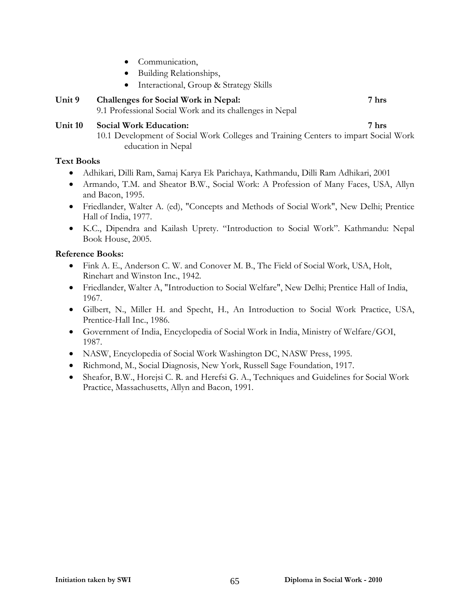- Communication,
- Building Relationships,
- Interactional, Group & Strategy Skills

## **Unit 9 Challenges for Social Work in Nepal: 7 hrs**

9.1 Professional Social Work and its challenges in Nepal

#### **Unit 10 Social Work Education: 7 hrs**

10.1 Development of Social Work Colleges and Training Centers to impart Social Work education in Nepal

#### **Text Books**

- Adhikari, Dilli Ram, Samaj Karya Ek Parichaya, Kathmandu, Dilli Ram Adhikari, 2001
- Armando, T.M. and Sheator B.W., Social Work: A Profession of Many Faces, USA, Allyn and Bacon, 1995.
- Friedlander, Walter A. (ed), "Concepts and Methods of Social Work", New Delhi; Prentice Hall of India, 1977.
- K.C., Dipendra and Kailash Uprety. "Introduction to Social Work". Kathmandu: Nepal Book House, 2005.

- Fink A. E., Anderson C. W. and Conover M. B., The Field of Social Work, USA, Holt, Rinehart and Winston Inc., 1942.
- Friedlander, Walter A, "Introduction to Social Welfare", New Delhi; Prentice Hall of India, 1967.
- Gilbert, N., Miller H. and Specht, H., An Introduction to Social Work Practice, USA, Prentice-Hall Inc., 1986.
- Government of India, Encyclopedia of Social Work in India, Ministry of Welfare/GOI, 1987.
- NASW, Encyclopedia of Social Work Washington DC, NASW Press, 1995.
- Richmond, M., Social Diagnosis, New York, Russell Sage Foundation, 1917.
- Sheafor, B.W., Horejsi C. R. and Herefsi G. A., Techniques and Guidelines for Social Work Practice, Massachusetts, Allyn and Bacon, 1991.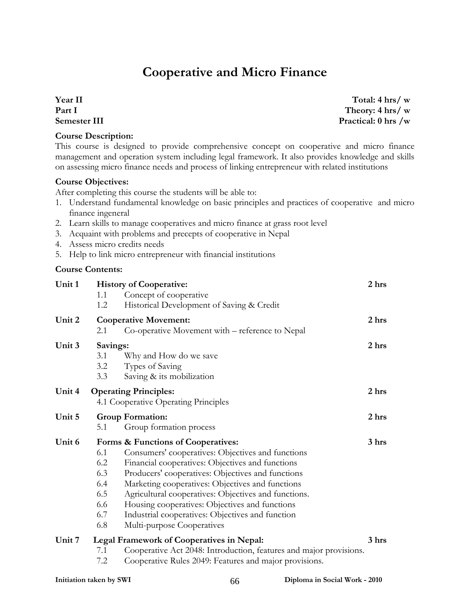# **Cooperative and Micro Finance**

**Year II Part I Semester III** 

**Course Description:** 

This course is designed to provide comprehensive concept on cooperative and micro finance management and operation system including legal framework. It also provides knowledge and skills on assessing micro finance needs and process of linking entrepreneur with related institutions

#### **Course Objectives:**

After completing this course the students will be able to:

- 1. Understand fundamental knowledge on basic principles and practices of cooperative and micro finance ingeneral
- 2. Learn skills to manage cooperatives and micro finance at grass root level
- 3. Acquaint with problems and precepts of cooperative in Nepal
- 4. Assess micro credits needs
- 5. Help to link micro entrepreneur with financial institutions

#### **Course Contents:**

| Unit 1 | <b>History of Cooperative:</b><br>1.1<br>1.2         | Concept of cooperative<br>Historical Development of Saving & Credit                                                                                                                                                                                                                                                                                                                                                                              | 2 <sub>hrs</sub> |
|--------|------------------------------------------------------|--------------------------------------------------------------------------------------------------------------------------------------------------------------------------------------------------------------------------------------------------------------------------------------------------------------------------------------------------------------------------------------------------------------------------------------------------|------------------|
| Unit 2 | 2.1                                                  | <b>Cooperative Movement:</b><br>Co-operative Movement with – reference to Nepal                                                                                                                                                                                                                                                                                                                                                                  | 2 <sub>hrs</sub> |
| Unit 3 | Savings:<br>3.1<br>3.2<br>3.3                        | Why and How do we save<br>Types of Saving<br>Saving & its mobilization                                                                                                                                                                                                                                                                                                                                                                           | 2 <sub>hrs</sub> |
| Unit 4 | <b>Operating Principles:</b>                         | 4.1 Cooperative Operating Principles                                                                                                                                                                                                                                                                                                                                                                                                             | 2 hrs            |
| Unit 5 | <b>Group Formation:</b><br>5.1                       | Group formation process                                                                                                                                                                                                                                                                                                                                                                                                                          | 2 hrs            |
| Unit 6 | 6.1<br>6.2<br>6.3<br>6.4<br>6.5<br>6.6<br>6.7<br>6.8 | Forms & Functions of Cooperatives:<br>Consumers' cooperatives: Objectives and functions<br>Financial cooperatives: Objectives and functions<br>Producers' cooperatives: Objectives and functions<br>Marketing cooperatives: Objectives and functions<br>Agricultural cooperatives: Objectives and functions.<br>Housing cooperatives: Objectives and functions<br>Industrial cooperatives: Objectives and function<br>Multi-purpose Cooperatives | 3 <sub>hrs</sub> |
| Unit 7 |                                                      | <b>Legal Framework of Cooperatives in Nepal:</b>                                                                                                                                                                                                                                                                                                                                                                                                 | 3 hrs            |
|        | 7.1<br>7.2                                           | Cooperative Act 2048: Introduction, features and major provisions.<br>Cooperative Rules 2049: Features and major provisions.                                                                                                                                                                                                                                                                                                                     |                  |

**Total: 4 hrs/ w Theory: 4 hrs/ w Practical: 0 hrs /w**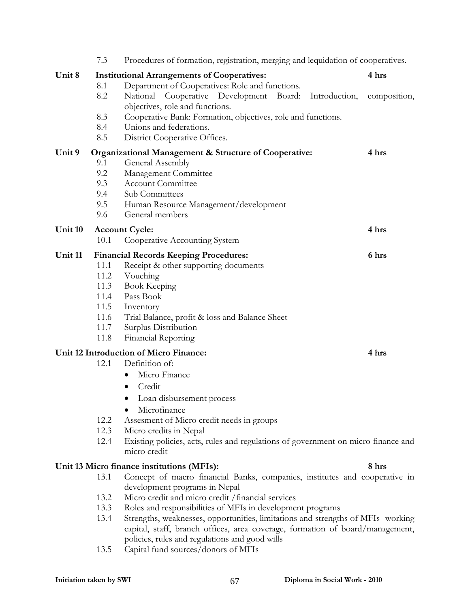|         | 7.3                                                            | Procedures of formation, registration, merging and lequidation of cooperatives.   |              |  |  |  |
|---------|----------------------------------------------------------------|-----------------------------------------------------------------------------------|--------------|--|--|--|
| Unit 8  |                                                                | <b>Institutional Arrangements of Cooperatives:</b>                                | 4 hrs        |  |  |  |
|         | 8.1                                                            | Department of Cooperatives: Role and functions.                                   |              |  |  |  |
|         | 8.2                                                            | National Cooperative Development Board:<br>Introduction,                          | composition, |  |  |  |
|         |                                                                | objectives, role and functions.                                                   |              |  |  |  |
|         | 8.3                                                            | Cooperative Bank: Formation, objectives, role and functions.                      |              |  |  |  |
|         | 8.4                                                            | Unions and federations.                                                           |              |  |  |  |
|         | 8.5                                                            | District Cooperative Offices.                                                     |              |  |  |  |
| Unit 9  | 4 hrs<br>Organizational Management & Structure of Cooperative: |                                                                                   |              |  |  |  |
|         | 9.1                                                            | General Assembly                                                                  |              |  |  |  |
|         | 9.2                                                            | Management Committee                                                              |              |  |  |  |
|         | 9.3                                                            | <b>Account Committee</b>                                                          |              |  |  |  |
|         | 9.4                                                            | Sub Committees                                                                    |              |  |  |  |
|         | 9.5                                                            | Human Resource Management/development                                             |              |  |  |  |
|         | 9.6                                                            | General members                                                                   |              |  |  |  |
| Unit 10 |                                                                | <b>Account Cycle:</b>                                                             | 4 hrs        |  |  |  |
|         | 10.1                                                           | Cooperative Accounting System                                                     |              |  |  |  |
| Unit 11 |                                                                | <b>Financial Records Keeping Procedures:</b>                                      | 6 hrs        |  |  |  |
|         | 11.1                                                           | Receipt & other supporting documents                                              |              |  |  |  |
|         | 11.2                                                           | Vouching                                                                          |              |  |  |  |
|         | 11.3                                                           | <b>Book Keeping</b>                                                               |              |  |  |  |
|         | 11.4                                                           | Pass Book                                                                         |              |  |  |  |
|         | 11.5                                                           | Inventory                                                                         |              |  |  |  |
|         | 11.6                                                           | Trial Balance, profit & loss and Balance Sheet                                    |              |  |  |  |
|         | 11.7                                                           | Surplus Distribution                                                              |              |  |  |  |
|         | 11.8                                                           | <b>Financial Reporting</b>                                                        |              |  |  |  |
|         |                                                                | Unit 12 Introduction of Micro Finance:                                            | 4 hrs        |  |  |  |
|         | 12.1                                                           | Definition of:                                                                    |              |  |  |  |
|         |                                                                | Micro Finance                                                                     |              |  |  |  |
|         |                                                                | Credit<br>٠                                                                       |              |  |  |  |
|         |                                                                | Loan disbursement process                                                         |              |  |  |  |
|         |                                                                | Microfinance                                                                      |              |  |  |  |
|         | 12.2                                                           | Assesment of Micro credit needs in groups                                         |              |  |  |  |
|         | 12.3                                                           | Micro credits in Nepal                                                            |              |  |  |  |
|         | 12.4                                                           | Existing policies, acts, rules and regulations of government on micro finance and |              |  |  |  |
|         |                                                                | micro credit                                                                      |              |  |  |  |
|         |                                                                | Unit 13 Micro finance institutions (MFIs):                                        | 8 hrs        |  |  |  |
|         | 13.1                                                           | Concept of macro financial Banks, companies, institutes and cooperative in        |              |  |  |  |
|         |                                                                | development programs in Nepal                                                     |              |  |  |  |
|         | 13.2                                                           | Micro credit and micro credit / financial services                                |              |  |  |  |
|         | 13.3                                                           | Roles and responsibilities of MFIs in development programs                        |              |  |  |  |
|         | 13.4                                                           | Strengths, weaknesses, opportunities, limitations and strengths of MFIs-working   |              |  |  |  |
|         |                                                                | capital, staff, branch offices, area coverage, formation of board/management,     |              |  |  |  |
|         |                                                                | policies, rules and regulations and good wills                                    |              |  |  |  |
|         | 13.5                                                           | Capital fund sources/donors of MFIs                                               |              |  |  |  |
|         |                                                                |                                                                                   |              |  |  |  |
|         |                                                                |                                                                                   |              |  |  |  |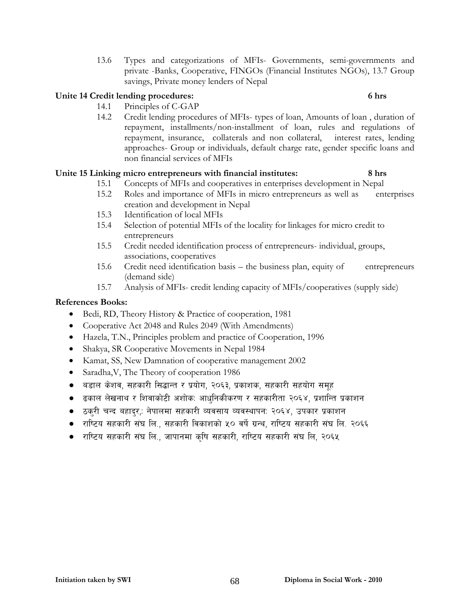13.6 Types and categorizations of MFIs- Governments, semi-governments and private -Banks, Cooperative, FINGOs (Financial Institutes NGOs), 13.7 Group savings, Private money lenders of Nepal

#### **Unite 14 Credit lending procedures: 6 hrs**

- 14.1 Principles of C-GAP
- 14.2 Credit lending procedures of MFIs- types of loan, Amounts of loan , duration of repayment, installments/non-installment of loan, rules and regulations of repayment, insurance, collaterals and non collateral, interest rates, lending approaches- Group or individuals, default charge rate, gender specific loans and non financial services of MFIs

#### **Unite 15 Linking micro entrepreneurs with financial institutes: 8 hrs**

- 15.1 Concepts of MFIs and cooperatives in enterprises development in Nepal
- 15.2 Roles and importance of MFIs in micro entrepreneurs as well as enterprises creation and development in Nepal
- 15.3 Identification of local MFIs
- 15.4 Selection of potential MFIs of the locality for linkages for micro credit to entrepreneurs
- 15.5 Credit needed identification process of entrepreneurs- individual, groups, associations, cooperatives
- 15.6 Credit need identification basis the business plan, equity of entrepreneurs (demand side)
- 15.7 Analysis of MFIs- credit lending capacity of MFIs/cooperatives (supply side)

- Bedi, RD, Theory History & Practice of cooperation, 1981
- Cooperative Act 2048 and Rules 2049 (With Amendments)
- Hazela, T.N., Principles problem and practice of Cooperation, 1996
- Shakya, SR Cooperative Movements in Nepal 1984
- Kamat, SS, New Damnation of cooperative management 2002
- Saradha, V, The Theory of cooperation 1986
- $\bullet$  aडाल केशव, सहकारी सिद्धान्त र प्रयोग, २०६३, प्रकाशक, सहकारी सहयोग समूह
- $\bullet$   $\,$  ढकाल लेखनाथ र शिवाकोटी अशोक: आधनिकीकरण र सहकारीता २०६४, प्रशान्ति प्रकाशन
- ठकरी चन्द बहादर,: नेपालमा सहकारी व्यवसाय व्यवस्थापन: २०६४, उपकार प्रकाशन
- राष्टिय सहकारी संघ लि., सहकारी विकाशको ५० वर्षे ग्रन्थ, राष्टिय सहकारी संघ लि. २०६६
- राष्टिय सहकारी संघ लि., जापानमा कृषि सहकारी, राष्टिय सहकारी संघ लि, २०६५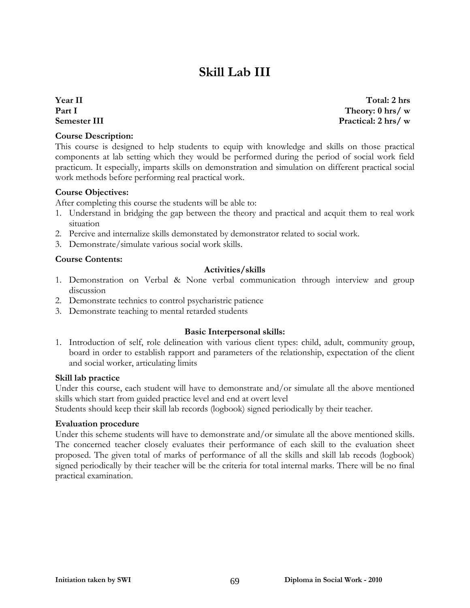# **Skill Lab III**

#### **Year II Part I Semester III**

#### **Course Description:**

This course is designed to help students to equip with knowledge and skills on those practical components at lab setting which they would be performed during the period of social work field practicum. It especially, imparts skills on demonstration and simulation on different practical social work methods before performing real practical work.

#### **Course Objectives:**

After completing this course the students will be able to:

- 1. Understand in bridging the gap between the theory and practical and acquit them to real work situation
- 2. Percive and internalize skills demonstated by demonstrator related to social work.
- 3. Demonstrate/simulate various social work skills.

#### **Course Contents:**

#### **Activities/skills**

- 1. Demonstration on Verbal & None verbal communication through interview and group discussion
- 2. Demonstrate technics to control psycharistric patience
- 3. Demonstrate teaching to mental retarded students

#### **Basic Interpersonal skills:**

1. Introduction of self, role delineation with various client types: child, adult, community group, board in order to establish rapport and parameters of the relationship, expectation of the client and social worker, articulating limits

#### **Skill lab practice**

Under this course, each student will have to demonstrate and/or simulate all the above mentioned skills which start from guided practice level and end at overt level

Students should keep their skill lab records (logbook) signed periodically by their teacher.

#### **Evaluation procedure**

Under this scheme students will have to demonstrate and/or simulate all the above mentioned skills. The concerned teacher closely evaluates their performance of each skill to the evaluation sheet proposed. The given total of marks of performance of all the skills and skill lab recods (logbook) signed periodically by their teacher will be the criteria for total internal marks. There will be no final practical examination.

**Total: 2 hrs Theory: 0 hrs/ w Practical: 2 hrs/ w**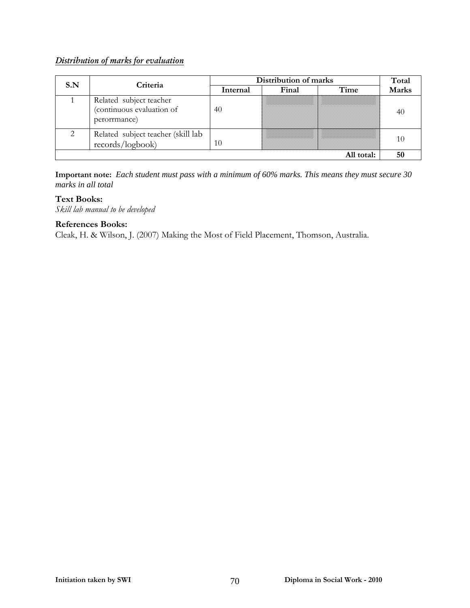#### *Distribution of marks for evaluation*

| S.N | Criteria                                                             | Distribution of marks | Total |            |              |  |
|-----|----------------------------------------------------------------------|-----------------------|-------|------------|--------------|--|
|     |                                                                      | Internal              | Final | Time       | <b>Marks</b> |  |
|     | Related subject teacher<br>(continuous evaluation of<br>perorrmance) | 40                    |       |            | 40           |  |
|     | Related subject teacher (skill lab<br>records/logbook)               | 10                    |       |            | 10           |  |
|     |                                                                      |                       |       | All total: | 50           |  |

**Important note:** *Each student must pass with a minimum of 60% marks. This means they must secure 30 marks in all total*

#### **Text Books:**

*Skill lab manual to be developed* 

#### **References Books:**

Cleak, H. & Wilson, J. (2007) Making the Most of Field Placement, Thomson, Australia.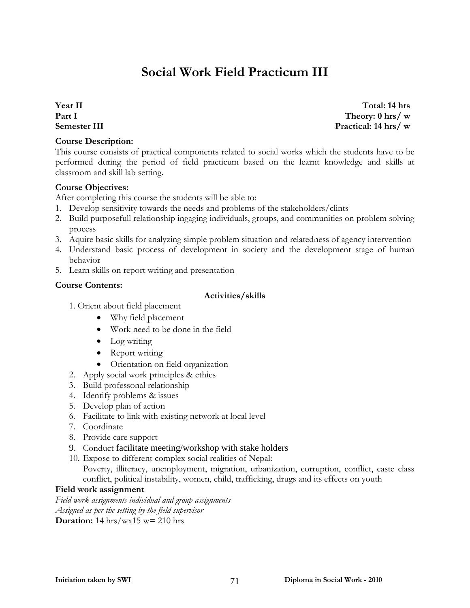# **Social Work Field Practicum III**

**Year II Part I Semester III** 

#### **Course Description:**

**Total: 14 hrs Theory: 0 hrs/ w Practical: 14 hrs/ w**

This course consists of practical components related to social works which the students have to be performed during the period of field practicum based on the learnt knowledge and skills at classroom and skill lab setting.

#### **Course Objectives:**

After completing this course the students will be able to:

- 1. Develop sensitivity towards the needs and problems of the stakeholders/clints
- 2. Build purposefull relationship ingaging individuals, groups, and communities on problem solving process
- 3. Aquire basic skills for analyzing simple problem situation and relatedness of agency intervention
- 4. Understand basic process of development in society and the development stage of human behavior
- 5. Learn skills on report writing and presentation

#### **Course Contents:**

#### **Activities/skills**

- 1. Orient about field placement
	- Why field placement
	- Work need to be done in the field
	- Log writing
	- Report writing
	- Orientation on field organization
- 2. Apply social work principles & ethics
- 3. Build professonal relationship
- 4. Identify problems & issues
- 5. Develop plan of action
- 6. Facilitate to link with existing network at local level
- 7. Coordinate
- 8. Provide care support
- 9. Conduct facilitate meeting/workshop with stake holders
- 10. Expose to different complex social realities of Nepal:

Poverty, illiteracy, unemployment, migration, urbanization, corruption, conflict, caste class conflict, political instability, women, child, trafficking, drugs and its effects on youth

#### **Field work assignment**

*Field work assignments individual and group assignments Assigned as per the setting by the field supervisor* **Duration:** 14 hrs/wx15 w= 210 hrs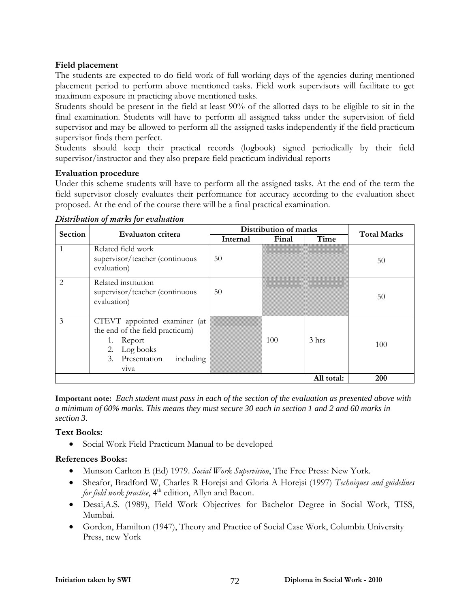#### **Field placement**

The students are expected to do field work of full working days of the agencies during mentioned placement period to perform above mentioned tasks. Field work supervisors will facilitate to get maximum exposure in practicing above mentioned tasks.

Students should be present in the field at least 90% of the allotted days to be eligible to sit in the final examination. Students will have to perform all assigned takss under the supervision of field supervisor and may be allowed to perform all the assigned tasks independently if the field practicum supervisor finds them perfect.

Students should keep their practical records (logbook) signed periodically by their field supervisor/instructor and they also prepare field practicum individual reports

#### **Evaluation procedure**

Under this scheme students will have to perform all the assigned tasks. At the end of the term the field supervisor closely evaluates their performance for accuracy according to the evaluation sheet proposed. At the end of the course there will be a final practical examination.

| Section                       | Evaluaton critera                                                                                                                    | Distribution of marks |       |                  |                    |
|-------------------------------|--------------------------------------------------------------------------------------------------------------------------------------|-----------------------|-------|------------------|--------------------|
|                               |                                                                                                                                      | Internal              | Final | Time             | <b>Total Marks</b> |
| 1                             | Related field work<br>supervisor/teacher (continuous<br>evaluation)                                                                  | 50                    |       |                  | 50                 |
| $\mathfrak{D}_{\mathfrak{p}}$ | Related institution<br>supervisor/teacher (continuous<br>evaluation)                                                                 | 50                    |       |                  | 50                 |
| 3                             | CTEVT appointed examiner (at<br>the end of the field practicum)<br>1. Report<br>2. Log books<br>3. Presentation<br>including<br>viva |                       | 100   | 3 <sub>hrs</sub> | 100                |
|                               | 200                                                                                                                                  |                       |       |                  |                    |

*Distribution of marks for evaluation*

**Important note:** *Each student must pass in each of the section of the evaluation as presented above with a minimum of 60% marks. This means they must secure 30 each in section 1 and 2 and 60 marks in section 3.*

#### **Text Books:**

• Social Work Field Practicum Manual to be developed

- Munson Carlton E (Ed) 1979. *Social Work Supervision*, The Free Press: New York.
- Sheafor, Bradford W, Charles R Horejsi and Gloria A Horejsi (1997) *Techniques and guidelines for field work practice*, 4<sup>th</sup> edition, Allyn and Bacon.
- Desai,A.S. (1989), Field Work Objectives for Bachelor Degree in Social Work, TISS, Mumbai.
- Gordon, Hamilton (1947), Theory and Practice of Social Case Work, Columbia University Press, new York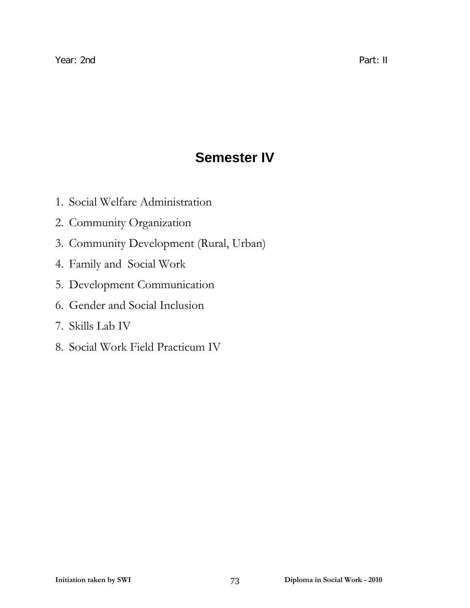## **Semester IV**

- 1. Social Welfare Administration
- 2. Community Organization
- 3. Community Development (Rural, Urban)
- 4. Family and Social Work
- 5. Development Communication
- 6. Gender and Social Inclusion
- 7. Skills Lab IV
- 8. Social Work Field Practicum IV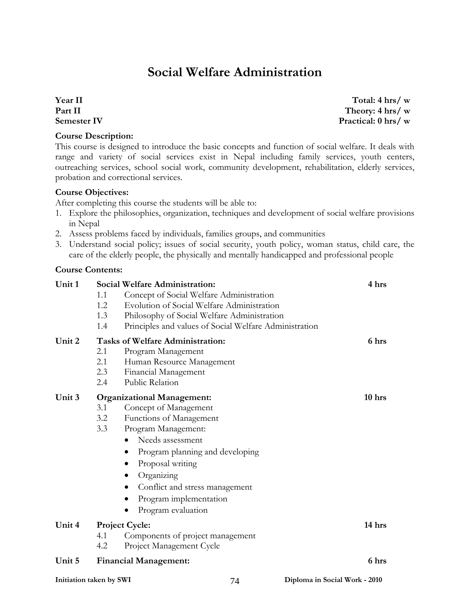## **Social Welfare Administration**

#### **Year II Part II Semester IV**

#### **Course Description:**

This course is designed to introduce the basic concepts and function of social welfare. It deals with range and variety of social services exist in Nepal including family services, youth centers, outreaching services, school social work, community development, rehabilitation, elderly services,

### **Course Objectives:**

probation and correctional services.

After completing this course the students will be able to:

- 1. Explore the philosophies, organization, techniques and development of social welfare provisions in Nepal
- 2. Assess problems faced by individuals, families groups, and communities
- 3. Understand social policy; issues of social security, youth policy, woman status, child care, the care of the elderly people, the physically and mentally handicapped and professional people

#### **Course Contents:**

| Unit 1                  | 1.1<br>1.2<br>1.3<br>1.4 | <b>Social Welfare Administration:</b><br>Concept of Social Welfare Administration<br>Evolution of Social Welfare Administration<br>Philosophy of Social Welfare Administration<br>Principles and values of Social Welfare Administration                                                                                                         | 4 hrs                         |
|-------------------------|--------------------------|--------------------------------------------------------------------------------------------------------------------------------------------------------------------------------------------------------------------------------------------------------------------------------------------------------------------------------------------------|-------------------------------|
| Unit 2                  | 2.1<br>2.1<br>2.3<br>2.4 | <b>Tasks of Welfare Administration:</b><br>Program Management<br>Human Resource Management<br>Financial Management<br>Public Relation                                                                                                                                                                                                            | 6 hrs                         |
| Unit 3                  | 3.1<br>3.2<br>3.3        | <b>Organizational Management:</b><br>Concept of Management<br>Functions of Management<br>Program Management:<br>Needs assessment<br>$\bullet$<br>Program planning and developing<br>$\bullet$<br>Proposal writing<br>$\bullet$<br>Organizing<br>Conflict and stress management<br>٠<br>Program implementation<br>Program evaluation<br>$\bullet$ | 10 <sub>hrs</sub>             |
| Unit 4                  | 4.1<br>4.2               | <b>Project Cycle:</b><br>Components of project management<br>Project Management Cycle                                                                                                                                                                                                                                                            | 14 hrs                        |
| Unit 5                  |                          | <b>Financial Management:</b>                                                                                                                                                                                                                                                                                                                     | 6 hrs                         |
| Initiation taken by SWI |                          | 74                                                                                                                                                                                                                                                                                                                                               | Diploma in Social Work - 2010 |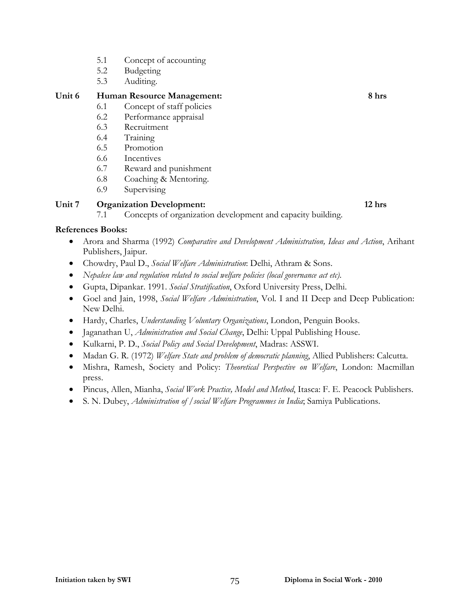- 5.1 Concept of accounting
- 5.2 Budgeting
- 5.3 Auditing.

#### **Unit 6 Human Resource Management: 8 hrs**

- 6.1 Concept of staff policies
- 6.2 Performance appraisal
- 6.3 Recruitment
- 6.4 Training
- 6.5 Promotion
- 6.6 Incentives
- 6.7 Reward and punishment
- 6.8 Coaching & Mentoring.
- 6.9 Supervising

#### **Unit 7 Organization Development: 12 hrs**

7.1 Concepts of organization development and capacity building.

- Arora and Sharma (1992) *Comparative and Development Administration, Ideas and Action*, Arihant Publishers, Jaipur.
- Chowdry, Paul D., *Social Welfare Administration*: Delhi, Athram & Sons.
- *Nepalese law and regulation related to social welfare policies (local governance act etc)*.
- Gupta, Dipankar. 1991. *Social Stratification*, Oxford University Press, Delhi.
- Goel and Jain, 1998, *Social Welfare Administration*, Vol. I and II Deep and Deep Publication: New Delhi.
- Hardy, Charles, *Understanding Voluntary Organizations*, London, Penguin Books.
- Jaganathan U, *Administration and Social Change*, Delhi: Uppal Publishing House.
- Kulkarni, P. D., *Social Policy and Social Development*, Madras: ASSWI.
- Madan G. R. (1972) *Welfare State and problem of democratic planning*, Allied Publishers: Calcutta.
- Mishra, Ramesh, Society and Policy: *Theoretical Perspective on Welfare*, London: Macmillan press.
- Pincus, Allen, Mianha, *Social Work Practice, Model and Method*, Itasca: F. E. Peacock Publishers.
- S. N. Dubey, *Administration of /social Welfare Programmes in India*; Samiya Publications.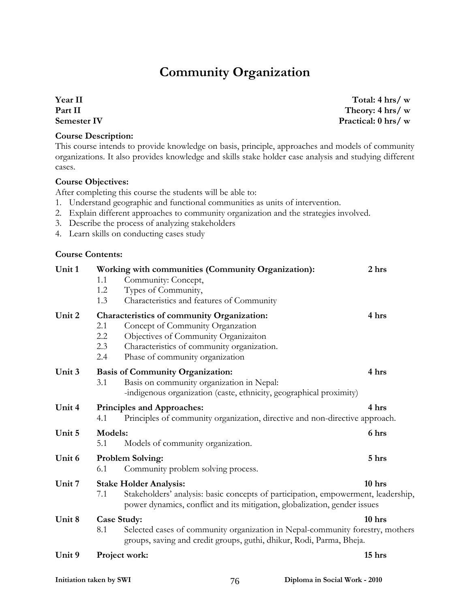### **Community Organization**

**Year II Part II Semester IV** 

#### **Course Description:**

This course intends to provide knowledge on basis, principle, approaches and models of community organizations. It also provides knowledge and skills stake holder case analysis and studying different cases.

#### **Course Objectives:**

After completing this course the students will be able to:

- 1. Understand geographic and functional communities as units of intervention.
- 2. Explain different approaches to community organization and the strategies involved.
- 3. Describe the process of analyzing stakeholders
- 4. Learn skills on conducting cases study

#### **Course Contents:**

| Unit 1 | Working with communities (Community Organization):<br>Community: Concept,<br>1.1<br>Types of Community,<br>1.2<br>Characteristics and features of Community<br>1.3                                                                      | 2 hrs  |
|--------|-----------------------------------------------------------------------------------------------------------------------------------------------------------------------------------------------------------------------------------------|--------|
| Unit 2 | Characteristics of community Organization:<br>2.1<br>Concept of Community Organzation<br>Objectives of Community Organizaiton<br>2.2<br>$2.3\,$<br>Characteristics of community organization.<br>Phase of community organization<br>2.4 | 4 hrs  |
| Unit 3 | <b>Basis of Community Organization:</b><br>Basis on community organization in Nepal:<br>3.1<br>-indigenous organization (caste, ethnicity, geographical proximity)                                                                      | 4 hrs  |
| Unit 4 | Principles and Approaches:<br>Principles of community organization, directive and non-directive approach.<br>4.1                                                                                                                        | 4 hrs  |
| Unit 5 | Models:<br>Models of community organization.<br>5.1                                                                                                                                                                                     | 6 hrs  |
| Unit 6 | <b>Problem Solving:</b><br>Community problem solving process.<br>6.1                                                                                                                                                                    | 5 hrs  |
| Unit 7 | <b>Stake Holder Analysis:</b><br>Stakeholders' analysis: basic concepts of participation, empowerment, leadership,<br>7.1<br>power dynamics, conflict and its mitigation, globalization, gender issues                                  | 10 hrs |
| Unit 8 | <b>Case Study:</b><br>Selected cases of community organization in Nepal-community forestry, mothers<br>8.1<br>groups, saving and credit groups, guthi, dhikur, Rodi, Parma, Bheja.                                                      | 10 hrs |
| Unit 9 | Project work:                                                                                                                                                                                                                           | 15 hrs |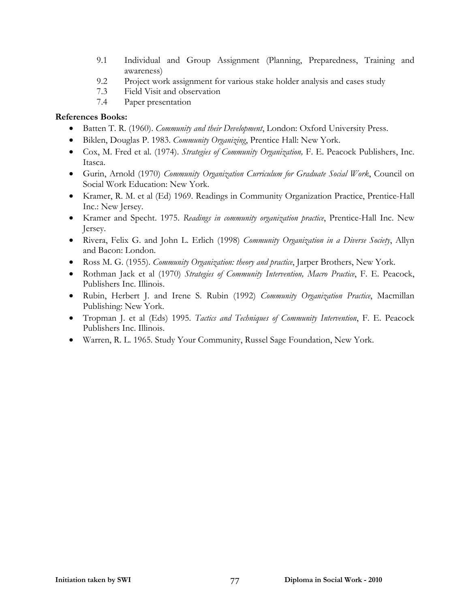- 9.1 Individual and Group Assignment (Planning, Preparedness, Training and awareness)
- 9.2 Project work assignment for various stake holder analysis and cases study
- 7.3 Field Visit and observation
- 7.4 Paper presentation

- Batten T. R. (1960). *Community and their Development*, London: Oxford University Press.
- Biklen, Douglas P. 1983. *Community Organizing*, Prentice Hall: New York.
- Cox, M. Fred et al. (1974). *Strategies of Community Organization,* F. E. Peacock Publishers, Inc. Itasca.
- Gurin, Arnold (1970) *Community Organization Curriculum for Graduate Social Work*, Council on Social Work Education: New York.
- Kramer, R. M. et al (Ed) 1969. Readings in Community Organization Practice, Prentice-Hall Inc.: New Jersey.
- Kramer and Specht. 1975. *Readings in community organization practice*, Prentice-Hall Inc. New Jersey.
- Rivera, Felix G. and John L. Erlich (1998) *Community Organization in a Diverse Society*, Allyn and Bacon: London.
- Ross M. G. (1955). *Community Organization: theory and practice*, Jarper Brothers, New York.
- Rothman Jack et al (1970) *Strategies of Community Intervention, Macro Practice*, F. E. Peacock, Publishers Inc. Illinois.
- Rubin, Herbert J. and Irene S. Rubin (1992) *Community Organization Practice*, Macmillan Publishing: New York.
- Tropman J. et al (Eds) 1995. *Tactics and Techniques of Community Intervention*, F. E. Peacock Publishers Inc. Illinois.
- Warren, R. L. 1965. Study Your Community, Russel Sage Foundation, New York.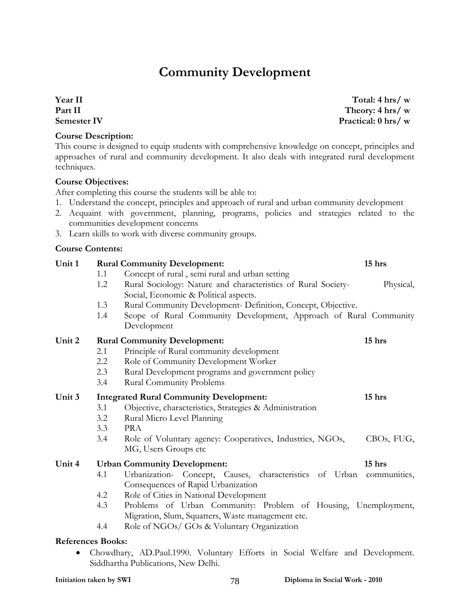## **Community Development**

**Year II Part II Semester IV** 

#### **Course Description:**

This course is designed to equip students with comprehensive knowledge on concept, principles and approaches of rural and community development. It also deals with integrated rural development techniques.

#### **Course Objectives:**

After completing this course the students will be able to:

1. Understand the concept, principles and approach of rural and urban community development

**Unit 1 Rural Community Development: 15 hrs** 

- 2. Acquaint with government, planning, programs, policies and strategies related to the communities development concerns
- 3. Learn skills to work with diverse community groups.

#### **Course Contents:**

|                                     | 1.1 | Concept of rural, semi rural and urban setting                                                             |            |  |
|-------------------------------------|-----|------------------------------------------------------------------------------------------------------------|------------|--|
|                                     | 1.2 | Rural Sociology: Nature and characteristics of Rural Society-                                              | Physical,  |  |
|                                     |     | Social, Economic & Political aspects.                                                                      |            |  |
|                                     | 1.3 | Rural Community Development- Definition, Concept, Objective.                                               |            |  |
|                                     | 1.4 | Scope of Rural Community Development, Approach of Rural Community                                          |            |  |
|                                     |     | Development                                                                                                |            |  |
| Unit 2                              |     | <b>Rural Community Development:</b>                                                                        | 15 hrs     |  |
|                                     | 2.1 | Principle of Rural community development                                                                   |            |  |
|                                     | 2.2 | Role of Community Development Worker                                                                       |            |  |
|                                     | 2.3 | Rural Development programs and government policy                                                           |            |  |
|                                     | 3.4 | <b>Rural Community Problems</b>                                                                            |            |  |
| Unit 3                              |     | <b>Integrated Rural Community Development:</b>                                                             | 15 hrs     |  |
|                                     | 3.1 | Objective, characteristics, Strategies & Administration                                                    |            |  |
|                                     | 3.2 | Rural Micro Level Planning                                                                                 |            |  |
|                                     | 3.3 | <b>PRA</b>                                                                                                 |            |  |
|                                     | 3.4 | Role of Voluntary agency: Cooperatives, Industries, NGOs,                                                  | CBOs, FUG, |  |
|                                     |     | MG, Users Groups etc                                                                                       |            |  |
| Unit 4                              |     | <b>Urban Community Development:</b>                                                                        | 15 hrs     |  |
|                                     | 4.1 | Urbanization- Concept, Causes, characteristics of Urban communities,<br>Consequences of Rapid Urbanization |            |  |
|                                     | 4.2 | Role of Cities in National Development                                                                     |            |  |
|                                     | 4.3 | Problems of Urban Community: Problem of Housing, Unemployment,                                             |            |  |
|                                     |     | Migration, Slum, Squatters, Waste management etc.                                                          |            |  |
|                                     | 4.4 | Role of NGOs/ GOs & Voluntary Organization                                                                 |            |  |
|                                     |     |                                                                                                            |            |  |
| <b>References Books:</b>            |     |                                                                                                            |            |  |
|                                     |     | Chowdhary, AD.Paul.1990. Voluntary Efforts in Social Welfare and Development.                              |            |  |
| Siddhartha Publications, New Delhi. |     |                                                                                                            |            |  |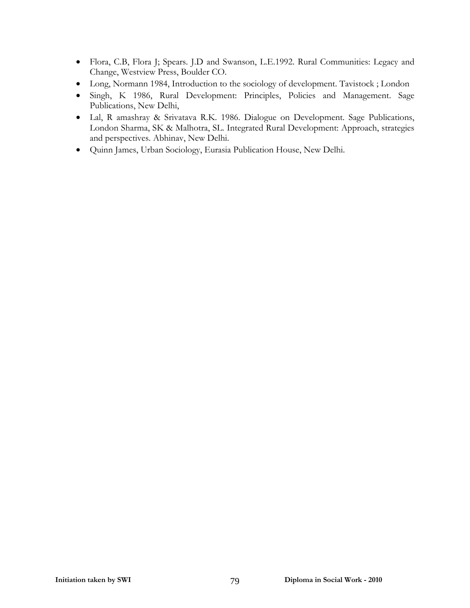- Flora, C.B, Flora J; Spears. J.D and Swanson, L.E.1992. Rural Communities: Legacy and Change, Westview Press, Boulder CO.
- Long, Normann 1984, Introduction to the sociology of development. Tavistock ; London
- Singh, K 1986, Rural Development: Principles, Policies and Management. Sage Publications, New Delhi,
- Lal, R amashray & Srivatava R.K. 1986. Dialogue on Development. Sage Publications, London Sharma, SK & Malhotra, SL. Integrated Rural Development: Approach, strategies and perspectives. Abhinav, New Delhi.
- Quinn James, Urban Sociology, Eurasia Publication House, New Delhi.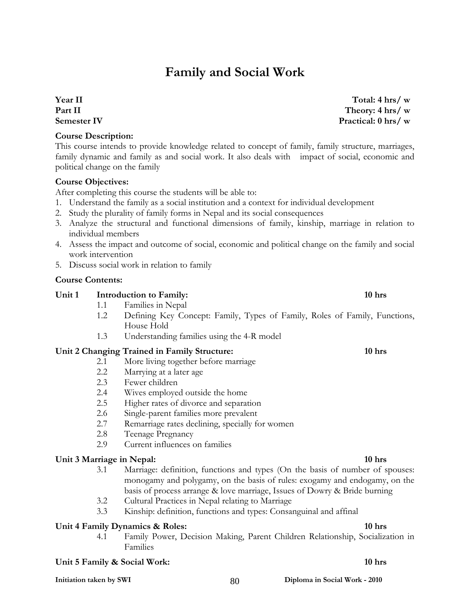## **Family and Social Work**

**Year II Part II Semester IV** 

#### **Course Description:**

This course intends to provide knowledge related to concept of family, family structure, marriages, family dynamic and family as and social work. It also deals with impact of social, economic and political change on the family

#### **Course Objectives:**

After completing this course the students will be able to:

- 1. Understand the family as a social institution and a context for individual development
- 2. Study the plurality of family forms in Nepal and its social consequences
- 3. Analyze the structural and functional dimensions of family, kinship, marriage in relation to individual members
- 4. Assess the impact and outcome of social, economic and political change on the family and social work intervention
- 5. Discuss social work in relation to family

#### **Course Contents:**

#### Unit 1 Introduction to Family: 10 hrs

- 1.1 Families in Nepal
- 1.2 Defining Key Concept: Family, Types of Family, Roles of Family, Functions, House Hold
- 1.3 Understanding families using the 4-R model

#### **Unit 2 Changing Trained in Family Structure: 10 hrs**

- 2.1 More living together before marriage
- 2.2 Marrying at a later age
- 2.3 Fewer children
- 2.4 Wives employed outside the home
- 2.5 Higher rates of divorce and separation
- 2.6 Single-parent families more prevalent
- 2.7 Remarriage rates declining, specially for women
- 2.8 Teenage Pregnancy
- 2.9 Current influences on families

#### Unit 3 Marriage in Nepal: 10 hrs **10 hrs 10 hrs 10 hrs**

- 3.1 Marriage: definition, functions and types (On the basis of number of spouses: monogamy and polygamy, on the basis of rules: exogamy and endogamy, on the basis of process arrange & love marriage, Issues of Dowry & Bride burning
- 3.2 Cultural Practices in Nepal relating to Marriage
- 3.3 Kinship: definition, functions and types: Consanguinal and affinal

#### Unit 4 Family Dynamics & Roles: 10 hrs **10 hrs 10 hrs 10 hrs**

4.1 Family Power, Decision Making, Parent Children Relationship, Socialization in Families

#### **Unit 5 Family & Social Work:** 10 hrs **10 hrs 10 hrs 10 hrs**

### **Initiation taken by SWI 80 80 80 80 80 80 80 1 Diploma in Social Work - 2010**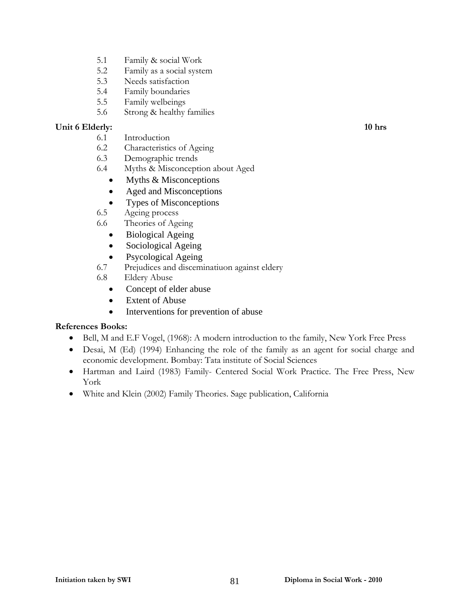- 5.1 Family & social Work
- 5.2 Family as a social system
- 5.3 Needs satisfaction
- 5.4 Family boundaries
- 5.5 Family welbeings
- 5.6 Strong & healthy families

#### Unit 6 Elderly: 10 hrs **10 hrs 10 hrs 10 hrs 10 hrs 10 hrs 10 hrs 10 hrs 10 hrs 10 hrs 10 hrs 10 hrs 10 hrs 10 hrs 10 hrs 10 hrs 10 hrs 10 hrs 10 hrs 10 hrs 10 hrs 10 hrs 10 hrs**

- 6.1 Introduction
- 6.2 Characteristics of Ageing
- 6.3 Demographic trends
- 6.4 Myths & Misconception about Aged
	- Myths & Misconceptions
	- Aged and Misconceptions
	- Types of Misconceptions
- 6.5 Ageing process
- 6.6 Theories of Ageing
	- Biological Ageing
	- Sociological Ageing
	- Psycological Ageing
- 6.7 Prejudices and disceminatiuon against eldery
- 6.8 Eldery Abuse
	- Concept of elder abuse
	- Extent of Abuse
	- Interventions for prevention of abuse

- Bell, M and E.F Vogel, (1968): A modern introduction to the family, New York Free Press
- Desai, M (Ed) (1994) Enhancing the role of the family as an agent for social charge and economic development. Bombay: Tata institute of Social Sciences
- Hartman and Laird (1983) Family- Centered Social Work Practice. The Free Press, New York
- White and Klein (2002) Family Theories. Sage publication, California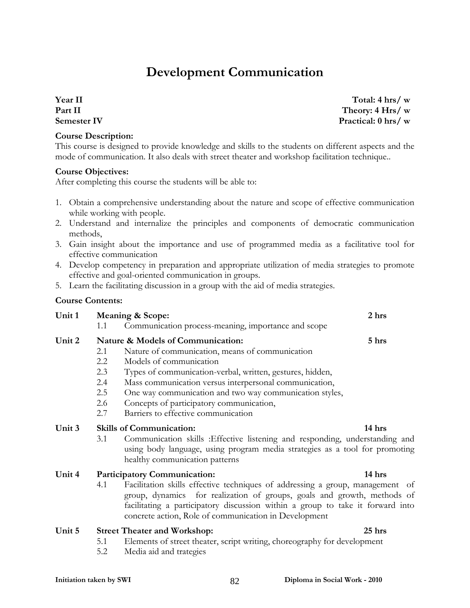## **Development Communication**

**Year II Part II Semester IV** 

#### **Course Description:**

This course is designed to provide knowledge and skills to the students on different aspects and the mode of communication. It also deals with street theater and workshop facilitation technique..

#### **Course Objectives:**

After completing this course the students will be able to:

- 1. Obtain a comprehensive understanding about the nature and scope of effective communication while working with people.
- 2. Understand and internalize the principles and components of democratic communication methods,
- 3. Gain insight about the importance and use of programmed media as a facilitative tool for effective communication
- 4. Develop competency in preparation and appropriate utilization of media strategies to promote effective and goal-oriented communication in groups.
- 5. Learn the facilitating discussion in a group with the aid of media strategies.

#### **Course Contents:**

**Unit 1 Meaning & Scope: 2 hrs**  1.1 Communication process-meaning, importance and scope

#### **Unit 2 Nature & Models of Communication: 5 hrs**

- 2.1 Nature of communication, means of communication
- 2.2 Models of communication
- 2.3 Types of communication-verbal, written, gestures, hidden,
- 2.4 Mass communication versus interpersonal communication,
- 2.5 One way communication and two way communication styles,
- 2.6 Concepts of participatory communication,
- 2.7 Barriers to effective communication

#### **Unit 3 Skills of Communication: 14 hrs**

3.1 Communication skills :Effective listening and responding, understanding and using body language, using program media strategies as a tool for promoting healthy communication patterns

#### **Unit 4 Participatory Communication: 14 hrs**

4.1 Facilitation skills effective techniques of addressing a group, management of group, dynamics for realization of groups, goals and growth, methods of facilitating a participatory discussion within a group to take it forward into concrete action, Role of communication in Development

#### **Unit 5 Street Theater and Workshop: 25 hrs**

- 5.1 Elements of street theater, script writing, choreography for development
- 5.2 Media aid and trategies

#### **Initiation taken by SWI 82** Diploma in Social Work - 2010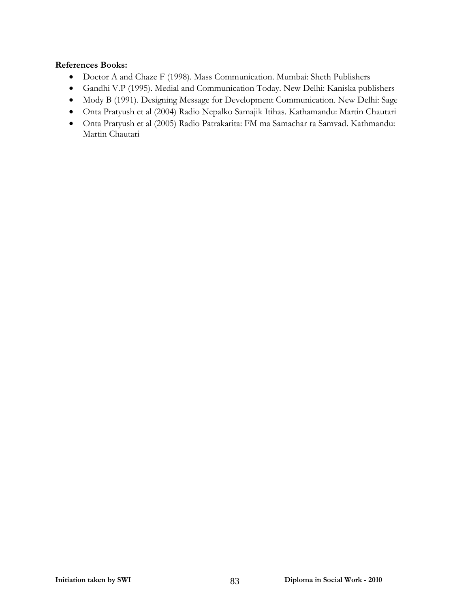- Doctor A and Chaze F (1998). Mass Communication. Mumbai: Sheth Publishers
- Gandhi V.P (1995). Medial and Communication Today. New Delhi: Kaniska publishers
- Mody B (1991). Designing Message for Development Communication. New Delhi: Sage
- Onta Pratyush et al (2004) Radio Nepalko Samajik Itihas. Kathamandu: Martin Chautari
- Onta Pratyush et al (2005) Radio Patrakarita: FM ma Samachar ra Samvad. Kathmandu: Martin Chautari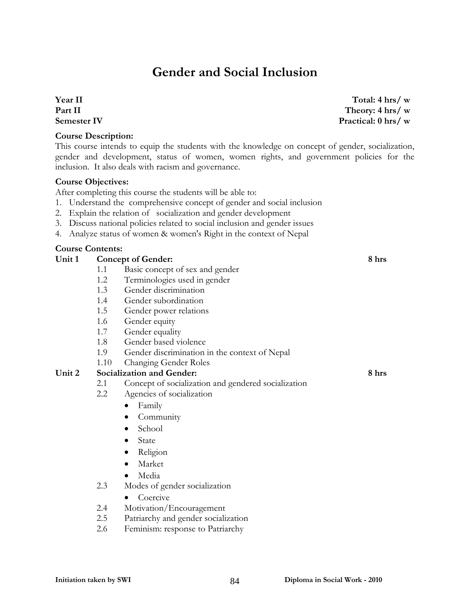### **Gender and Social Inclusion**

#### **Year II Part II Semester IV**

#### **Course Description:**

This course intends to equip the students with the knowledge on concept of gender, socialization, gender and development, status of women, women rights, and government policies for the inclusion. It also deals with racism and governance.

#### **Course Objectives:**

After completing this course the students will be able to:

- 1. Understand the comprehensive concept of gender and social inclusion
- 2. Explain the relation of socialization and gender development
- 3. Discuss national policies related to social inclusion and gender issues
- 4. Analyze status of women & women's Right in the context of Nepal

#### **Course Contents:**

#### **Unit 1 Concept of Gender: 8 hrs**  1.1 Basic concept of sex and gender 1.2 Terminologies used in gender 1.3 Gender discrimination 1.4 Gender subordination

- 1.5 Gender power relations
- 1.6 Gender equity
- 1.7 Gender equality
- 1.8 Gender based violence
- 1.9 Gender discrimination in the context of Nepal
- 1.10 Changing Gender Roles

#### **Unit 2 Socialization and Gender: 8 hrs**

- 2.1 Concept of socialization and gendered socialization
- 2.2 Agencies of socialization
	- Family
	- Community
	- School
	- State
	- Religion
	- Market
	- Media
- 2.3 Modes of gender socialization
	- Coercive
- 2.4 Motivation/Encouragement
- 2.5 Patriarchy and gender socialization
- 2.6 Feminism: response to Patriarchy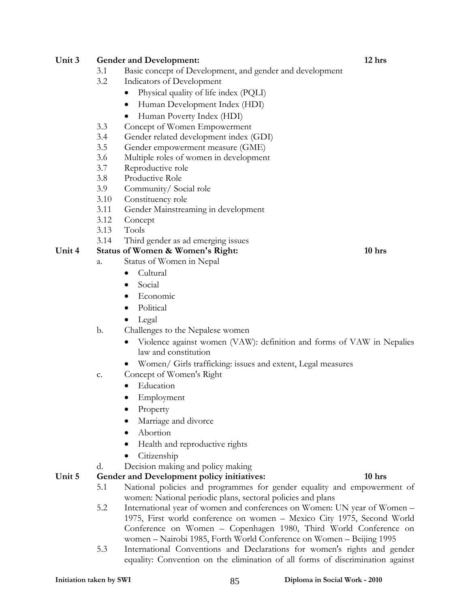#### **Unit 3 Gender and Development: 12 hrs**

- 3.1 Basic concept of Development, and gender and development
- 3.2 Indicators of Development
	- Physical quality of life index (PQLI)
	- Human Development Index (HDI)
	- Human Poverty Index (HDI)
- 3.3 Concept of Women Empowerment
- 3.4 Gender related development index (GDI)
- 3.5 Gender empowerment measure (GME)
- 3.6 Multiple roles of women in development
- 3.7 Reproductive role
- 3.8 Productive Role
- 3.9 Community/ Social role
- 3.10 Constituency role
- 3.11 Gender Mainstreaming in development
- 3.12 Concept
- 3.13 Tools

#### 3.14 Third gender as ad emerging issues

- Unit 4 Status of Women & Women's Right: 10 hrs **10** hrs
	- a. Status of Women in Nepal
		- Cultural
		- Social
		- Economic
		- Political
		- Legal

#### b. Challenges to the Nepalese women

- Violence against women (VAW): definition and forms of VAW in Nepalies law and constitution
- Women/ Girls trafficking: issues and extent, Legal measures
- c. Concept of Women's Right
	- Education
	- **Employment**
	- Property
	- Marriage and divorce
	- Abortion
	- Health and reproductive rights
	- Citizenship
- d. Decision making and policy making

#### **Unit 5 Gender and Development policy initiatives: 10 hrs**

- 5.1 National policies and programmes for gender equality and empowerment of women: National periodic plans, sectoral policies and plans
- 5.2 International year of women and conferences on Women: UN year of Women 1975, First world conference on women – Mexico City 1975, Second World Conference on Women – Copenhagen 1980, Third World Conference on women – Nairobi 1985, Forth World Conference on Women – Beijing 1995
- 5.3 International Conventions and Declarations for women's rights and gender equality: Convention on the elimination of all forms of discrimination against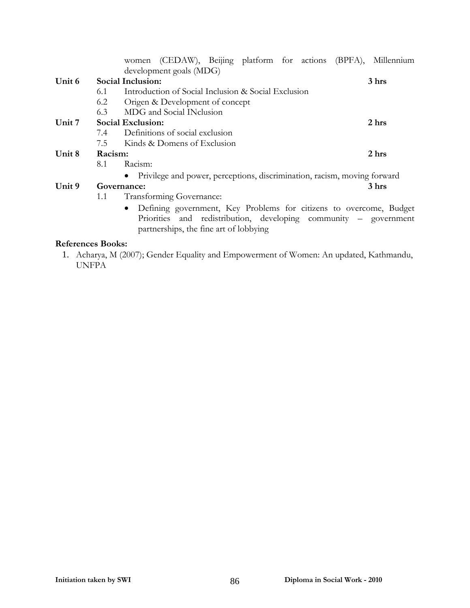|        |         |                   | women (CEDAW), Beijing platform for actions (BPFA), Millennium                                                                                                                   |  |  |                |
|--------|---------|-------------------|----------------------------------------------------------------------------------------------------------------------------------------------------------------------------------|--|--|----------------|
|        |         |                   | development goals (MDG)                                                                                                                                                          |  |  |                |
| Unit 6 |         | Social Inclusion: |                                                                                                                                                                                  |  |  | 3 <sub>h</sub> |
|        | 6.1     |                   | Introduction of Social Inclusion & Social Exclusion                                                                                                                              |  |  |                |
|        | 6.2     |                   | Origen & Development of concept                                                                                                                                                  |  |  |                |
|        | 6.3     |                   | MDG and Social INclusion                                                                                                                                                         |  |  |                |
| Unit 7 |         | Social Exclusion: |                                                                                                                                                                                  |  |  | 2 hrs          |
|        | 7.4     |                   | Definitions of social exclusion                                                                                                                                                  |  |  |                |
|        | 7.5     |                   | Kinds & Domens of Exclusion                                                                                                                                                      |  |  |                |
| Unit 8 | Racism: |                   |                                                                                                                                                                                  |  |  | 2 hrs          |
|        | 8.1     | Racism:           |                                                                                                                                                                                  |  |  |                |
|        |         |                   | · Privilege and power, perceptions, discrimination, racism, moving forward                                                                                                       |  |  |                |
| Unit 9 |         | Governance:       |                                                                                                                                                                                  |  |  | 3 hrs          |
|        | 1.1     |                   | Transforming Governance:                                                                                                                                                         |  |  |                |
|        |         |                   | Defining government, Key Problems for citizens to overcome, Budget<br>Priorities and redistribution, developing community – government<br>partnerships, the fine art of lobbying |  |  |                |

#### **References Books:**

1. Acharya, M (2007); Gender Equality and Empowerment of Women: An updated, Kathmandu, UNFPA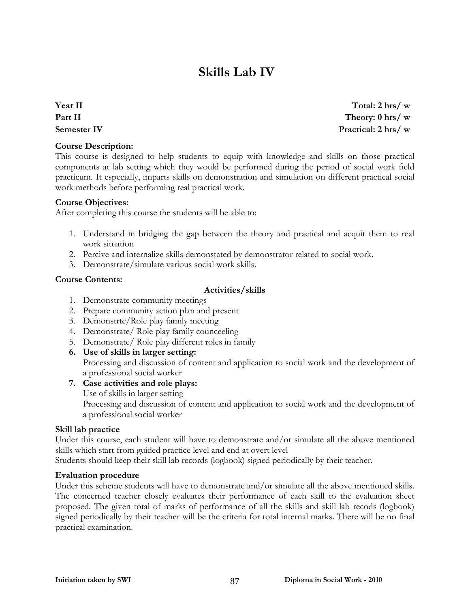## **Skills Lab IV**

**Year II Part II Semester IV** 

#### **Course Description:**

This course is designed to help students to equip with knowledge and skills on those practical components at lab setting which they would be performed during the period of social work field practicum. It especially, imparts skills on demonstration and simulation on different practical social work methods before performing real practical work.

#### **Course Objectives:**

After completing this course the students will be able to:

- 1. Understand in bridging the gap between the theory and practical and acquit them to real work situation
- 2. Percive and internalize skills demonstated by demonstrator related to social work.
- 3. Demonstrate/simulate various social work skills.

#### **Course Contents:**

#### **Activities/skills**

- 1. Demonstrate community meetings
- 2. Prepare community action plan and present
- 3. Demonstrte/Role play family meeting
- 4. Demonstrate/ Role play family counceeling
- 5. Demonstrate/ Role play different roles in family
- **6. Use of skills in larger setting:**

Processing and discussion of content and application to social work and the development of a professional social worker

#### **7. Case activities and role plays:**

Use of skills in larger setting

Processing and discussion of content and application to social work and the development of a professional social worker

#### **Skill lab practice**

Under this course, each student will have to demonstrate and/or simulate all the above mentioned skills which start from guided practice level and end at overt level

Students should keep their skill lab records (logbook) signed periodically by their teacher.

#### **Evaluation procedure**

Under this scheme students will have to demonstrate and/or simulate all the above mentioned skills. The concerned teacher closely evaluates their performance of each skill to the evaluation sheet proposed. The given total of marks of performance of all the skills and skill lab recods (logbook) signed periodically by their teacher will be the criteria for total internal marks. There will be no final practical examination.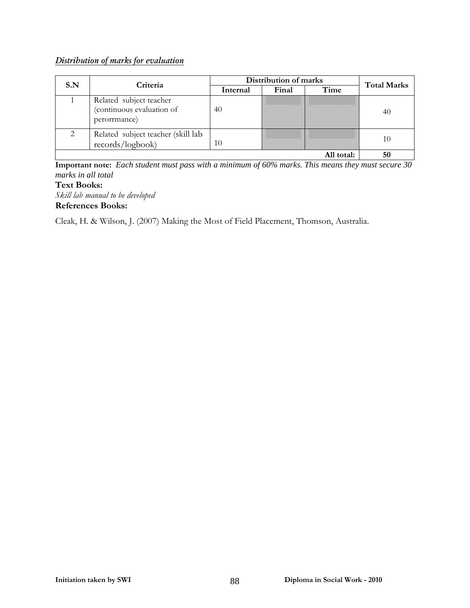### *Distribution of marks for evaluation*

| S.N | Criteria                                                             | Distribution of marks | <b>Total Marks</b> |            |    |
|-----|----------------------------------------------------------------------|-----------------------|--------------------|------------|----|
|     |                                                                      | Internal              | Final              | Time       |    |
|     | Related subject teacher<br>(continuous evaluation of<br>perorrmance) | 40                    |                    |            | 40 |
|     | Related subject teacher (skill lab<br>records/logbook)               | 10                    |                    |            | 10 |
|     |                                                                      |                       |                    | All total: |    |

**Important note:** *Each student must pass with a minimum of 60% marks. This means they must secure 30 marks in all total*

#### **Text Books:**

*Skill lab manual to be developed*  **References Books:** 

Cleak, H. & Wilson, J. (2007) Making the Most of Field Placement, Thomson, Australia.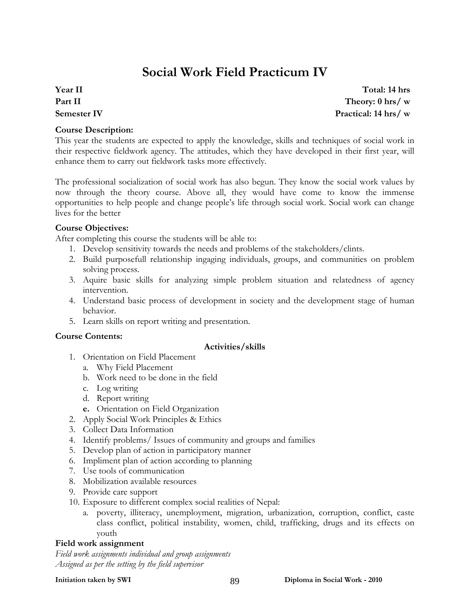## **Social Work Field Practicum IV**

### **Year II Part II Semester IV**

**Course Description:** 

This year the students are expected to apply the knowledge, skills and techniques of social work in their respective fieldwork agency. The attitudes, which they have developed in their first year, will enhance them to carry out fieldwork tasks more effectively.

The professional socialization of social work has also begun. They know the social work values by now through the theory course. Above all, they would have come to know the immense opportunities to help people and change people's life through social work. Social work can change lives for the better

#### **Course Objectives:**

After completing this course the students will be able to:

- 1. Develop sensitivity towards the needs and problems of the stakeholders/clints.
- 2. Build purposefull relationship ingaging individuals, groups, and communities on problem solving process.
- 3. Aquire basic skills for analyzing simple problem situation and relatedness of agency intervention.
- 4. Understand basic process of development in society and the development stage of human behavior.
- 5. Learn skills on report writing and presentation.

#### **Course Contents:**

#### **Activities/skills**

- 1. Orientation on Field Placement
	- a. Why Field Placement
	- b. Work need to be done in the field
	- c. Log writing
	- d. Report writing
	- **e.** Orientation on Field Organization
- 2. Apply Social Work Principles & Ethics
- 3. Collect Data Information
- 4. Identify problems/ Issues of community and groups and families
- 5. Develop plan of action in participatory manner
- 6. Impliment plan of action according to planning
- 7. Use tools of communication
- 8. Mobilization available resources
- 9. Provide care support
- 10. Exposure to different complex social realities of Nepal:
	- a. poverty, illiteracy, unemployment, migration, urbanization, corruption, conflict, caste class conflict, political instability, women, child, trafficking, drugs and its effects on youth

#### **Field work assignment**

*Field work assignments individual and group assignments Assigned as per the setting by the field supervisor*

**Practical: 14 hrs/ w**

**Total: 14 hrs Theory: 0 hrs/ w**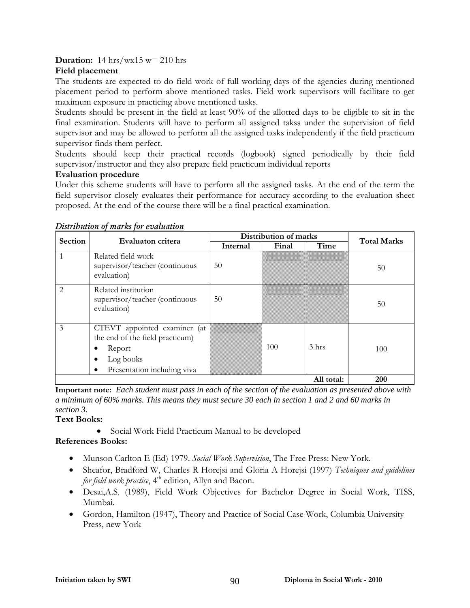#### **Duration:** 14 hrs/wx15 w= 210 hrs

#### **Field placement**

The students are expected to do field work of full working days of the agencies during mentioned placement period to perform above mentioned tasks. Field work supervisors will facilitate to get maximum exposure in practicing above mentioned tasks.

Students should be present in the field at least 90% of the allotted days to be eligible to sit in the final examination. Students will have to perform all assigned takss under the supervision of field supervisor and may be allowed to perform all the assigned tasks independently if the field practicum supervisor finds them perfect.

Students should keep their practical records (logbook) signed periodically by their field supervisor/instructor and they also prepare field practicum individual reports

#### **Evaluation procedure**

Under this scheme students will have to perform all the assigned tasks. At the end of the term the field supervisor closely evaluates their performance for accuracy according to the evaluation sheet proposed. At the end of the course there will be a final practical examination.

| Section       | Evaluaton critera                                                                                                                       | Distribution of marks | <b>Total Marks</b> |                  |     |
|---------------|-----------------------------------------------------------------------------------------------------------------------------------------|-----------------------|--------------------|------------------|-----|
|               |                                                                                                                                         | Internal              | Final              | Time             |     |
|               | Related field work<br>supervisor/teacher (continuous<br>evaluation)                                                                     | 50                    |                    |                  | 50  |
| $\mathcal{L}$ | Related institution<br>supervisor/teacher (continuous<br>evaluation)                                                                    | 50                    |                    |                  | 50  |
| 3             | CTEVT appointed examiner (at<br>the end of the field practicum)<br>Report<br>Log books<br>٠<br>Presentation including viva<br>$\bullet$ |                       | 100                | 3 <sub>hrs</sub> | 100 |
|               | <b>200</b>                                                                                                                              |                       |                    |                  |     |

#### *Distribution of marks for evaluation*

**Important note:** *Each student must pass in each of the section of the evaluation as presented above with a minimum of 60% marks. This means they must secure 30 each in section 1 and 2 and 60 marks in section 3.*

### **Text Books:**

• Social Work Field Practicum Manual to be developed

- Munson Carlton E (Ed) 1979. *Social Work Supervision*, The Free Press: New York.
- Sheafor, Bradford W, Charles R Horejsi and Gloria A Horejsi (1997) *Techniques and guidelines for field work practice*, 4<sup>th</sup> edition, Allyn and Bacon.
- Desai,A.S. (1989), Field Work Objectives for Bachelor Degree in Social Work, TISS, Mumbai.
- Gordon, Hamilton (1947), Theory and Practice of Social Case Work, Columbia University Press, new York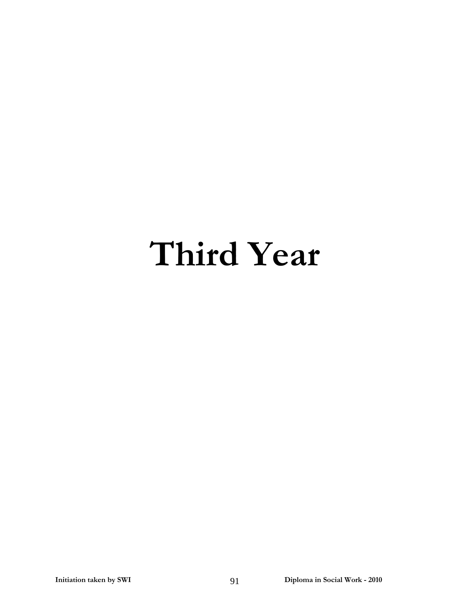# **Third Year**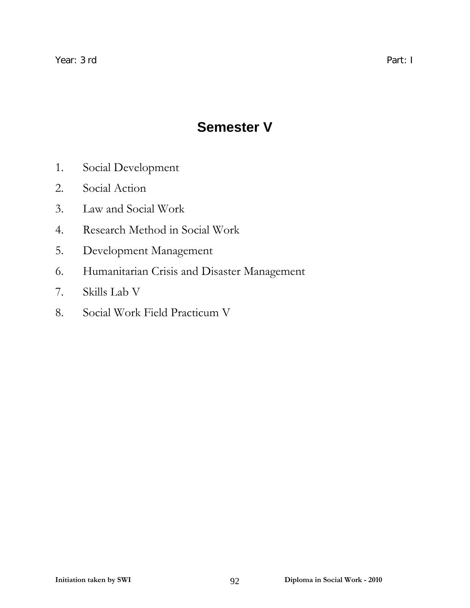## **Semester V**

- 1. Social Development
- 2. Social Action
- 3. Law and Social Work
- 4. Research Method in Social Work
- 5. Development Management
- 6. Humanitarian Crisis and Disaster Management
- 7. Skills Lab V
- 8. Social Work Field Practicum V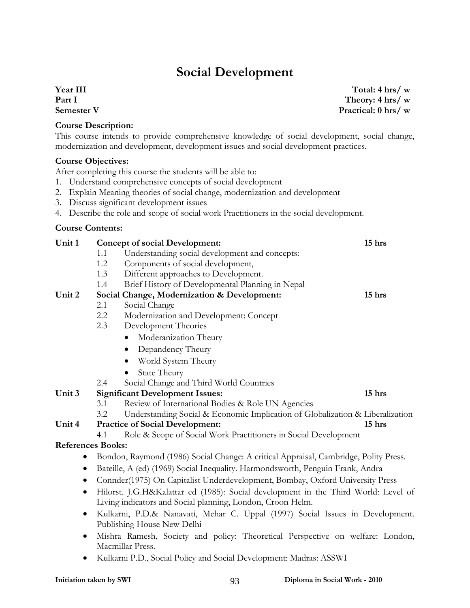### **Social Development**

### **Year III Part I Semester V**

#### **Course Description:**

This course intends to provide comprehensive knowledge of social development, social change, modernization and development, development issues and social development practices.

#### **Course Objectives:**

After completing this course the students will be able to:

- 1. Understand comprehensive concepts of social development
- 2. Explain Meaning theories of social change, modernization and development
- 3. Discuss significant development issues
- 4. Describe the role and scope of social work Practitioners in the social development.

#### **Course Contents:**

| Unit 1                   |                                                            | <b>Concept of social Development:</b>                                                                       | 15 hrs |  |  |
|--------------------------|------------------------------------------------------------|-------------------------------------------------------------------------------------------------------------|--------|--|--|
|                          | 1.1                                                        | Understanding social development and concepts:                                                              |        |  |  |
|                          | 1.2                                                        | Components of social development,                                                                           |        |  |  |
|                          | 1.3                                                        | Different approaches to Development.                                                                        |        |  |  |
|                          | 1.4                                                        | Brief History of Developmental Planning in Nepal                                                            |        |  |  |
| Unit 2                   |                                                            | Social Change, Modernization & Development:                                                                 | 15 hrs |  |  |
|                          | 2.1                                                        | Social Change                                                                                               |        |  |  |
|                          | 2.2                                                        | Modernization and Development: Concept                                                                      |        |  |  |
|                          | 2.3                                                        | Development Theories                                                                                        |        |  |  |
|                          |                                                            | Moderanization Theury                                                                                       |        |  |  |
|                          |                                                            | Depandency Theury<br>$\bullet$                                                                              |        |  |  |
|                          |                                                            | World System Theury                                                                                         |        |  |  |
|                          |                                                            | State Theury                                                                                                |        |  |  |
|                          | 2.4                                                        | Social Change and Third World Countries                                                                     |        |  |  |
| Unit 3                   |                                                            | <b>Significant Development Issues:</b>                                                                      | 15 hrs |  |  |
|                          | 3.1                                                        | Review of International Bodies & Role UN Agencies                                                           |        |  |  |
|                          | 3.2                                                        | Understanding Social & Economic Implication of Globalization & Liberalization                               |        |  |  |
| Unit 4                   |                                                            | <b>Practice of Social Development:</b>                                                                      | 15 hrs |  |  |
|                          | 4.1                                                        | Role & Scope of Social Work Practitioners in Social Development                                             |        |  |  |
| <b>References Books:</b> |                                                            |                                                                                                             |        |  |  |
|                          |                                                            | Bondon, Raymond (1986) Social Change: A critical Appraisal, Cambridge, Polity Press.                        |        |  |  |
| $\bullet$                |                                                            | Bateille, A (ed) (1969) Social Inequality. Harmondsworth, Penguin Frank, Andra                              |        |  |  |
| $\bullet$                |                                                            | Connder(1975) On Capitalist Underdevelopment, Bombay, Oxford University Press                               |        |  |  |
| $\bullet$                |                                                            | Hilorst. J.G.H&Kalattar ed (1985): Social development in the Third World: Level of                          |        |  |  |
|                          | Living indicators and Social planning, London, Croon Helm. |                                                                                                             |        |  |  |
| $\bullet$                |                                                            | Kulkarni, P.D.& Nanavati, Mehar C. Uppal (1997) Social Issues in Development.<br>Publishing House New Delhi |        |  |  |
| $\bullet$                |                                                            | Mishra Ramesh, Society and policy: Theoretical Perspective on welfare: London,<br>Macmillar Press.          |        |  |  |
|                          |                                                            | Kulkarni P.D., Social Policy and Social Development: Madras: ASSWI                                          |        |  |  |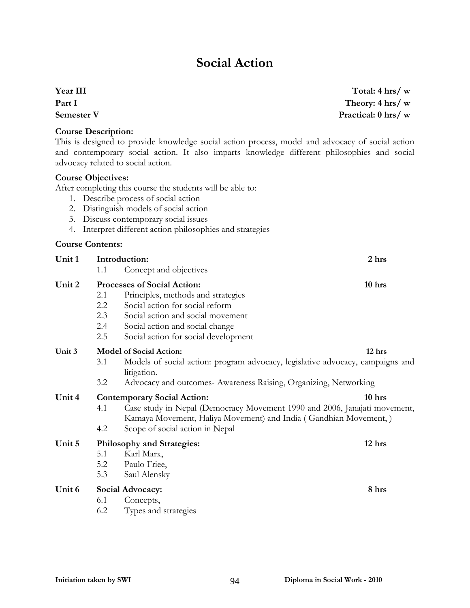## **Social Action**

**Year III Part I Semester V** 

**Course Description:** 

This is designed to provide knowledge social action process, model and advocacy of social action and contemporary social action. It also imparts knowledge different philosophies and social advocacy related to social action.

#### **Course Objectives:**

After completing this course the students will be able to:

- 1. Describe process of social action
- 2. Distinguish models of social action
- 3. Discuss contemporary social issues
- 4. Interpret different action philosophies and strategies

#### **Course Contents:**

| Unit 1 |                                                                                                                                                      | Introduction:                                                                                 | 2 hrs  |  |
|--------|------------------------------------------------------------------------------------------------------------------------------------------------------|-----------------------------------------------------------------------------------------------|--------|--|
|        | 1.1                                                                                                                                                  | Concept and objectives                                                                        |        |  |
| Unit 2 |                                                                                                                                                      | Processes of Social Action:                                                                   | 10 hrs |  |
|        | 2.1                                                                                                                                                  | Principles, methods and strategies                                                            |        |  |
|        | 2.2                                                                                                                                                  | Social action for social reform                                                               |        |  |
|        | 2.3                                                                                                                                                  | Social action and social movement                                                             |        |  |
|        | 2.4                                                                                                                                                  | Social action and social change                                                               |        |  |
|        | 2.5                                                                                                                                                  | Social action for social development                                                          |        |  |
| Unit 3 |                                                                                                                                                      | <b>Model of Social Action:</b>                                                                | 12 hrs |  |
|        | 3.1                                                                                                                                                  | Models of social action: program advocacy, legislative advocacy, campaigns and<br>litigation. |        |  |
|        | 3.2                                                                                                                                                  | Advocacy and outcomes- Awareness Raising, Organizing, Networking                              |        |  |
| Unit 4 |                                                                                                                                                      | <b>Contemporary Social Action:</b>                                                            | 10 hrs |  |
|        | Case study in Nepal (Democracy Movement 1990 and 2006, Janajati movement,<br>4.1<br>Kamaya Movement, Haliya Movement) and India (Gandhian Movement,) |                                                                                               |        |  |
|        | 4.2                                                                                                                                                  | Scope of social action in Nepal                                                               |        |  |
| Unit 5 |                                                                                                                                                      | Philosophy and Strategies:                                                                    | 12 hrs |  |
|        | 5.1                                                                                                                                                  | Karl Marx,                                                                                    |        |  |
|        | 5.2                                                                                                                                                  | Paulo Friee,                                                                                  |        |  |
|        | 5.3                                                                                                                                                  | Saul Alensky                                                                                  |        |  |
| Unit 6 |                                                                                                                                                      | Social Advocacy:                                                                              | 8 hrs  |  |
|        | 6.1                                                                                                                                                  | Concepts,                                                                                     |        |  |
|        | 6.2                                                                                                                                                  | Types and strategies                                                                          |        |  |
|        |                                                                                                                                                      |                                                                                               |        |  |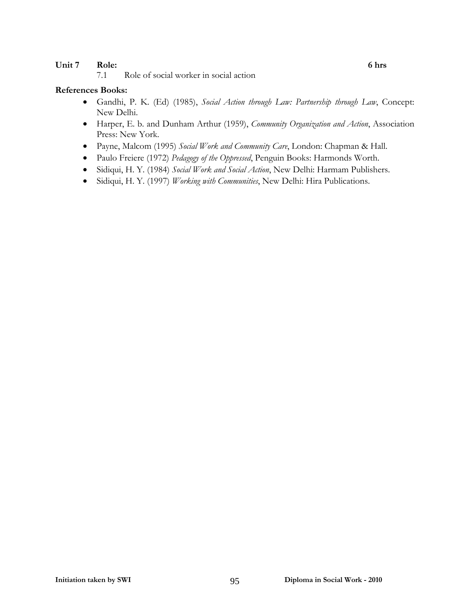#### Unit 7 Role: 6 hrs

7.1 Role of social worker in social action

- Gandhi, P. K. (Ed) (1985), *Social Action through Law: Partnership through Law*, Concept: New Delhi.
- Harper, E. b. and Dunham Arthur (1959), *Community Organization and Action*, Association Press: New York.
- Payne, Malcom (1995) *Social Work and Community Care*, London: Chapman & Hall.
- Paulo Freiere (1972) *Pedagogy of the Oppressed*, Penguin Books: Harmonds Worth.
- Sidiqui, H. Y. (1984) *Social Work and Social Action*, New Delhi: Harmam Publishers.
- Sidiqui, H. Y. (1997) *Working with Communities*, New Delhi: Hira Publications.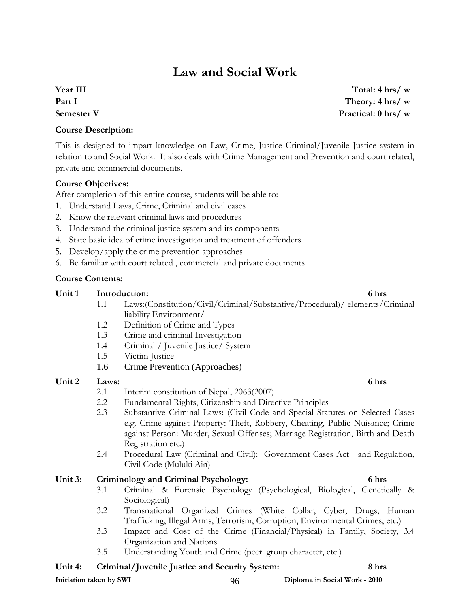### **Law and Social Work**

### **Year III Part I Semester V**

**Course Description:** 

This is designed to impart knowledge on Law, Crime, Justice Criminal/Juvenile Justice system in relation to and Social Work. It also deals with Crime Management and Prevention and court related, private and commercial documents.

#### **Course Objectives:**

After completion of this entire course, students will be able to:

- 1. Understand Laws, Crime, Criminal and civil cases
- 2. Know the relevant criminal laws and procedures
- 3. Understand the criminal justice system and its components
- 4. State basic idea of crime investigation and treatment of offenders
- 5. Develop/apply the crime prevention approaches
- 6. Be familiar with court related , commercial and private documents

#### **Course Contents:**

#### Unit 1 Introduction: 6 hrs

- 1.1 Laws:(Constitution/Civil/Criminal/Substantive/Procedural)/ elements/Criminal liability Environment/
- 1.2 Definition of Crime and Types
- 1.3 Crime and criminal Investigation
- 1.4 Criminal / Juvenile Justice/ System
- 1.5 Victim Justice
- 1.6 Crime Prevention (Approaches)

#### Unit 2 Laws: 6 hrs

- 2.1 Interim constitution of Nepal, 2063(2007)
- 2.2 Fundamental Rights, Citizenship and Directive Principles
- 2.3 Substantive Criminal Laws: (Civil Code and Special Statutes on Selected Cases e.g. Crime against Property: Theft, Robbery, Cheating, Public Nuisance; Crime against Person: Murder, Sexual Offenses; Marriage Registration, Birth and Death Registration etc.)
- 2.4 Procedural Law (Criminal and Civil): Government Cases Act and Regulation, Civil Code (Muluki Ain)

#### **Unit 3: Criminology and Criminal Psychology: 6 hrs**

- 3.1 Criminal & Forensic Psychology (Psychological, Biological, Genetically & Sociological)
- 3.2 Transnational Organized Crimes (White Collar, Cyber, Drugs, Human Trafficking, Illegal Arms, Terrorism, Corruption, Environmental Crimes, etc.)
- 3.3 Impact and Cost of the Crime (Financial/Physical) in Family, Society, 3.4 Organization and Nations.
- 3.5 Understanding Youth and Crime (peer. group character, etc.)

#### **Unit 4: Criminal/Juvenile Justice and Security System: 8 hrs**

**Total: 4 hrs/ w Theory: 4 hrs/ w Practical: 0 hrs/ w**

**Initiation taken by SWI 88 CONFERGATE:**  $96$  Diploma in Social Work - 2010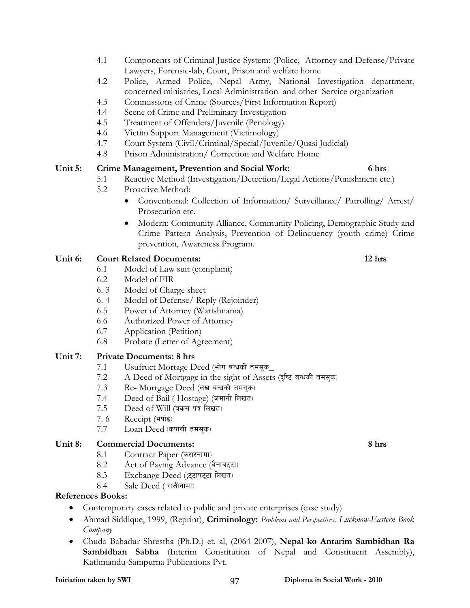- 4.1 Components of Criminal Justice System: (Police, Attorney and Defense/Private Lawyers, Forensic-lab, Court, Prison and welfare home
- 4.2 Police, Armed Police, Nepal Army, National Investigation department, concerned ministries, Local Administration and other Service organization
- 4.3 Commissions of Crime (Sources/First Information Report)
- 4.4 Scene of Crime and Preliminary Investigation
- 4.5 Treatment of Offenders/Juvenile (Penology)
- 4.6 Victim Support Management (Victimology)
- 4.7 Court System (Civil/Criminal/Special/Juvenile/Quasi Judicial)
- 4.8 Prison Administration/ Correction and Welfare Home

#### **Unit 5: Crime Management, Prevention and Social Work: 6 hrs**

- 5.1 Reactive Method (Investigation/Detection/Legal Actions/Punishment etc.)
- 5.2 Proactive Method:
	- Conventional: Collection of Information/ Surveillance/ Patrolling/ Arrest/ Prosecution etc.
	- Modern: Community Alliance, Community Policing, Demographic Study and Crime Pattern Analysis, Prevention of Delinquency (youth crime) Crime prevention, Awareness Program.

#### **Unit 6: Court Related Documents: 12 hrs**

- 6.1 Model of Law suit (complaint)
- 6.2 Model of FIR
- 6. 3 Model of Charge sheet
- 6. 4 Model of Defense/ Reply (Rejoinder)
- 6.5 Power of Attorney (Warishnama)
- 6.6 Authorized Power of Attorney
- 6.7 Application (Petition)
- 6.8 Probate (Letter of Agreement)

### **Unit 7: Private Documents: 8 hrs**

- 7.1 Usufruct Mortage Deed (भोग बन्धकी तमसक
- 7.2 A Deed of Mortgage in the sight of Assets (दृष्टि बन्धकी तमस्क)
- 7.3 Re- Mortgage Deed (लख बन्धकी तमस्क)
- 7.4 Deed of Bail (Hostage) (जमानी लिखत)
- $7.5$  Deed of Will (बकस पत्र लिखत)
- 7.6 Receipt  $(\forall \vec{v}$
- 7.7 Loan Deed (कपाली तमसक)

#### **Unit 8: Commercial Documents: 8 hrs**

- 8.1 Contract Paper (करारनामा)
- 8.2 Act of Paying Advance (बैनाबद्दा)
- 8.3 Exchange Deed (; दटापटटा लिखत)
- $8.4$  Sale Deed (राजीनामा)

#### **References Books:**

- Contemporary cases related to public and private enterprises (case study)
- Ahmad Siddique, 1999, (Reprint), **Criminology:** *Problems and Perspectives, Lucknow-Eastern Book Company*
- Chuda Bahadur Shrestha (Ph.D.) et. al, (2064 2007), **Nepal ko Antarim Sambidhan Ra Sambidhan Sabha** (Interim Constitution of Nepal and Constituent Assembly), Kathmandu-Sampurna Publications Pvt.

#### **Initiation taken by SWI 88 and 2010 Property Assumed Burns and Diploma in Social Work - 2010**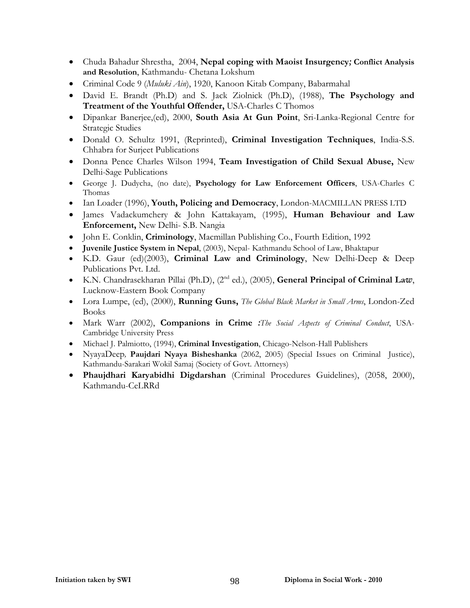- Chuda Bahadur Shrestha, 2004, **Nepal coping with Maoist Insurgency***;* **Conflict Analysis and Resolution**, Kathmandu- Chetana Lokshum
- Criminal Code 9 (*Muluki Ain*), 1920, Kanoon Kitab Company, Babarmahal
- David E. Brandt (Ph.D) and S. Jack Ziolnick (Ph.D), (1988), **The Psychology and Treatment of the Youthful Offender,** USA-Charles C Thomos
- Dipankar Banerjee,(ed), 2000, **South Asia At Gun Point**, Sri-Lanka-Regional Centre for Strategic Studies
- Donald O. Schultz 1991, (Reprinted), **Criminal Investigation Techniques**, India-S.S. Chhabra for Surjeet Publications
- Donna Pence Charles Wilson 1994, **Team Investigation of Child Sexual Abuse,** New Delhi-Sage Publications
- George J. Dudycha, (no date), **Psychology for Law Enforcement Officers**, USA-Charles C Thomas
- Ian Loader (1996), **Youth, Policing and Democracy**, London-MACMILLAN PRESS LTD
- James Vadackumchery & John Kattakayam, (1995), **Human Behaviour and Law Enforcement,** New Delhi- S.B. Nangia
- John E. Conklin, **Criminology**, Macmillan Publishing Co., Fourth Edition, 1992
- **Juvenile Justice System in Nepal**, (2003), Nepal- Kathmandu School of Law, Bhaktapur
- K.D. Gaur (ed)(2003), **Criminal Law and Criminology**, New Delhi-Deep & Deep Publications Pvt. Ltd.
- K.N. Chandrasekharan Pillai (Ph.D), (2nd ed.), (2005), **General Principal of Criminal La***w*, Lucknow-Eastern Book Company
- Lora Lumpe, (ed), (2000), **Running Guns,** *The Global Black Market in Small Arms*, London-Zed Books
- Mark Warr (2002), **Companions in Crime** *:The Social Aspects of Criminal Conduct*, USA-Cambridge University Press
- Michael J. Palmiotto, (1994), **Criminal Investigation**, Chicago-Nelson-Hall Publishers
- NyayaDeep*,* **Paujdari Nyaya Bisheshanka** (2062, 2005) (Special Issues on Criminal Justice), Kathmandu-Sarakari Wokil Samaj (Society of Govt. Attorneys)
- **Phaujdhari Karyabidhi Digdarshan** (Criminal Procedures Guidelines), (2058, 2000), Kathmandu-CeLRRd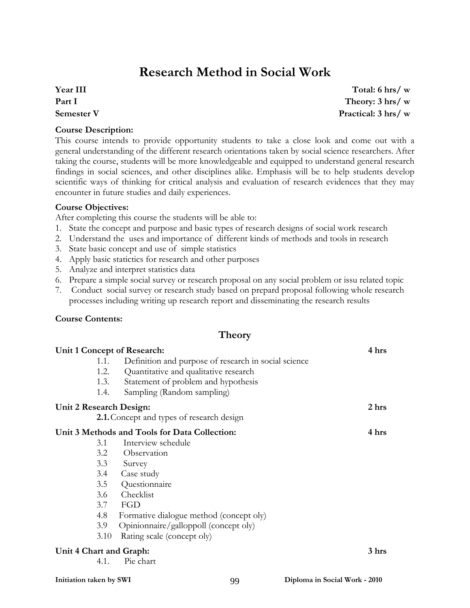## **Research Method in Social Work**

### **Year III Part I Semester V**

**Course Description:** 

This course intends to provide opportunity students to take a close look and come out with a general understanding of the different research orientations taken by social science researchers. After taking the course, students will be more knowledgeable and equipped to understand general research findings in social sciences, and other disciplines alike. Emphasis will be to help students develop scientific ways of thinking for critical analysis and evaluation of research evidences that they may encounter in future studies and daily experiences.

#### **Course Objectives:**

After completing this course the students will be able to:

- 1. State the concept and purpose and basic types of research designs of social work research
- 2. Understand the uses and importance of different kinds of methods and tools in research
- 3. State basic concept and use of simple statistics
- 4. Apply basic statictics for research and other purposes
- 5. Analyze and interpret statistics data
- 6. Prepare a simple social survey or research proposal on any social problem or issu related topic
- 7. Conduct social survey or research study based on prepard proposal following whole research processes including writing up research report and disseminating the research results

#### **Course Contents:**

#### **Theory**

|                         |      | Unit 1 Concept of Research:                          | 4 hrs |
|-------------------------|------|------------------------------------------------------|-------|
|                         | 1.1. | Definition and purpose of research in social science |       |
|                         | 1.2. | Quantitative and qualitative research                |       |
|                         | 1.3. | Statement of problem and hypothesis                  |       |
|                         | 1.4. | Sampling (Random sampling)                           |       |
| Unit 2 Research Design: |      |                                                      | 2 hrs |
|                         |      | <b>2.1.</b> Concept and types of research design     |       |
|                         |      | Unit 3 Methods and Tools for Data Collection:        | 4 hrs |
|                         | 3.1  | Interview schedule                                   |       |
|                         |      | 3.2 Observation                                      |       |
|                         | 3.3  | Survey                                               |       |
|                         |      | 3.4 Case study                                       |       |
|                         | 3.5  | Questionnaire                                        |       |
|                         | 3.6  | Checklist                                            |       |
|                         | 3.7  | FGD                                                  |       |
|                         | 4.8  | Formative dialogue method (concept oly)              |       |
|                         | 3.9  | Opinionnaire/galloppoll (concept oly)                |       |
|                         | 3.10 | Rating scale (concept oly)                           |       |
| Unit 4 Chart and Graph: |      |                                                      | 3 hrs |
|                         | 4.1. | Pie chart                                            |       |
|                         |      |                                                      |       |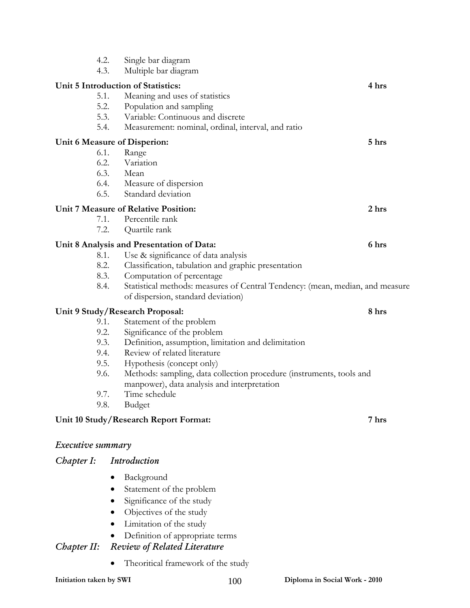| 4.2.<br>4.3.             | Single bar diagram<br>Multiple bar diagram                                       |       |
|--------------------------|----------------------------------------------------------------------------------|-------|
|                          |                                                                                  |       |
| 5.1.                     | Unit 5 Introduction of Statistics:<br>Meaning and uses of statistics             | 4 hrs |
| 5.2.                     | Population and sampling                                                          |       |
| 5.3.                     | Variable: Continuous and discrete                                                |       |
| 5.4.                     | Measurement: nominal, ordinal, interval, and ratio                               |       |
|                          | Unit 6 Measure of Disperion:                                                     | 5 hrs |
| 6.1.                     | Range                                                                            |       |
| 6.2.                     | Variation                                                                        |       |
| 6.3.                     | Mean                                                                             |       |
|                          | 6.4. Measure of dispersion                                                       |       |
| 6.5.                     | Standard deviation                                                               |       |
|                          | Unit 7 Measure of Relative Position:                                             | 2 hrs |
| 7.1.<br>7.2.             | Percentile rank                                                                  |       |
|                          | Quartile rank                                                                    |       |
|                          | Unit 8 Analysis and Presentation of Data:                                        | 6 hrs |
| 8.1.                     | Use & significance of data analysis                                              |       |
| 8.2.<br>8.3.             | Classification, tabulation and graphic presentation<br>Computation of percentage |       |
| 8.4.                     | Statistical methods: measures of Central Tendency: (mean, median, and measure    |       |
|                          | of dispersion, standard deviation)                                               |       |
|                          | Unit 9 Study/Research Proposal:                                                  | 8 hrs |
| 9.1.                     | Statement of the problem                                                         |       |
| 9.2.                     | Significance of the problem                                                      |       |
| 9.3.                     | Definition, assumption, limitation and delimitation                              |       |
| 9.4.                     | Review of related literature                                                     |       |
| 9.5.                     | Hypothesis (concept only)                                                        |       |
| 9.6.                     | Methods: sampling, data collection procedure (instruments, tools and             |       |
| 9.7.                     | manpower), data analysis and interpretation<br>Time schedule                     |       |
| 9.8.                     | <b>Budget</b>                                                                    |       |
|                          |                                                                                  |       |
|                          | Unit 10 Study/Research Report Format:                                            | 7 hrs |
| <i>Executive summary</i> |                                                                                  |       |
| Chapter I:               | Introduction                                                                     |       |
|                          | Background                                                                       |       |
|                          | Statement of the problem                                                         |       |
|                          | Significance of the study                                                        |       |
|                          | Objectives of the study                                                          |       |
|                          | Limitation of the study                                                          |       |
|                          | Definition of appropriate terms                                                  |       |
| Chapter II:              | <b>Review of Related Literature</b>                                              |       |
|                          | Theoritical framework of the study                                               |       |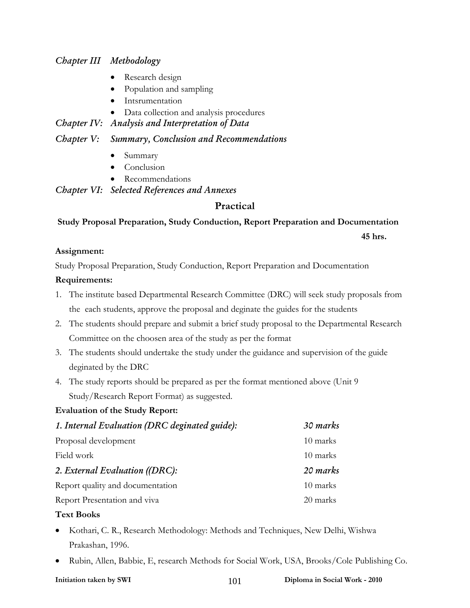### *Chapter III Methodology*

- Research design
- Population and sampling
- Intsrumentation
- Data collection and analysis procedures

#### *Chapter IV: Analysis and Interpretation of Data*

#### *Chapter V: Summary, Conclusion and Recommendations*

- Summary
- Conclusion
- Recommendations

*Chapter VI: Selected References and Annexes* 

### **Practical**

### **Study Proposal Preparation, Study Conduction, Report Preparation and Documentation 45 hrs.**

#### **Assignment:**

Study Proposal Preparation, Study Conduction, Report Preparation and Documentation

#### **Requirements:**

- 1. The institute based Departmental Research Committee (DRC) will seek study proposals from the each students, approve the proposal and deginate the guides for the students
- 2. The students should prepare and submit a brief study proposal to the Departmental Research Committee on the choosen area of the study as per the format
- 3. The students should undertake the study under the guidance and supervision of the guide deginated by the DRC
- 4. The study reports should be prepared as per the format mentioned above (Unit 9 Study/Research Report Format) as suggested.

#### **Evaluation of the Study Report:**

| 1. Internal Evaluation (DRC deginated guide): | 30 marks |
|-----------------------------------------------|----------|
| Proposal development                          | 10 marks |
| Field work                                    | 10 marks |
| 2. External Evaluation ((DRC):                | 20 marks |
| Report quality and documentation              | 10 marks |
| Report Presentation and viva                  | 20 marks |
|                                               |          |

#### **Text Books**

- Kothari, C. R., Research Methodology: Methods and Techniques, New Delhi, Wishwa Prakashan, 1996.
- Rubin, Allen, Babbie, E, research Methods for Social Work, USA, Brooks/Cole Publishing Co.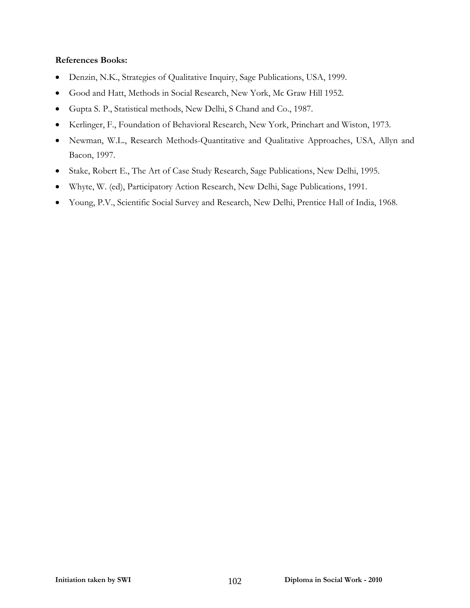- Denzin, N.K., Strategies of Qualitative Inquiry, Sage Publications, USA, 1999.
- Good and Hatt, Methods in Social Research, New York, Mc Graw Hill 1952.
- Gupta S. P., Statistical methods, New Delhi, S Chand and Co., 1987.
- Kerlinger, F., Foundation of Behavioral Research, New York, Princhart and Wiston, 1973.
- Newman, W.L., Research Methods-Quantitative and Qualitative Approaches, USA, Allyn and Bacon, 1997.
- Stake, Robert E., The Art of Case Study Research, Sage Publications, New Delhi, 1995.
- Whyte, W. (ed), Participatory Action Research, New Delhi, Sage Publications, 1991.
- Young, P.V., Scientific Social Survey and Research, New Delhi, Prentice Hall of India, 1968.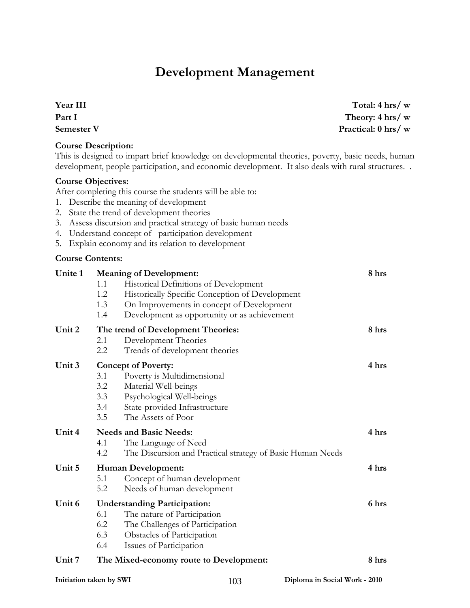## **Development Management**

**Year III** 

**Initiation taken by SWI** 103 **Diploma in Social Work - 2010 Part I Semester V Practical: 0 hrs/ w Course Description:**  This is designed to impart brief knowledge on developmental theories, poverty, basic needs, human development, people participation, and economic development. It also deals with rural structures. . **Course Objectives:**  After completing this course the students will be able to: 1. Describe the meaning of development 2. State the trend of development theories 3. Assess discursion and practical strategy of basic human needs 4. Understand concept of participation development 5. Explain economy and its relation to development **Course Contents: Unite 1 Meaning of Development: 8 hrs**  1.1 Historical Definitions of Development 1.2 Historically Specific Conception of Development 1.3 On Improvements in concept of Development 1.4 Development as opportunity or as achievement **Unit 2 The trend of Development Theories: 8 hrs**  2.1 Development Theories 2.2 Trends of development theories **Unit 3 Concept of Poverty: 4 hrs**  3.1 Poverty is Multidimensional 3.2 Material Well-beings 3.3 Psychological Well-beings 3.4 State-provided Infrastructure 3.5 The Assets of Poor **Unit 4 Needs and Basic Needs: 4 hrs**  4.1 The Language of Need 4.2 The Discursion and Practical strategy of Basic Human Needs **Unit 5 Human Development: 4 hrs**  5.1 Concept of human development 5.2 Needs of human development **Unit 6 Understanding Participation: 6 hrs**  6.1 The nature of Participation 6.2 The Challenges of Participation 6.3 Obstacles of Participation 6.4 Issues of Participation **Unit 7 The Mixed-economy route to Development: 8 hrs** 

**Total: 4 hrs/ w Theory: 4 hrs/ w**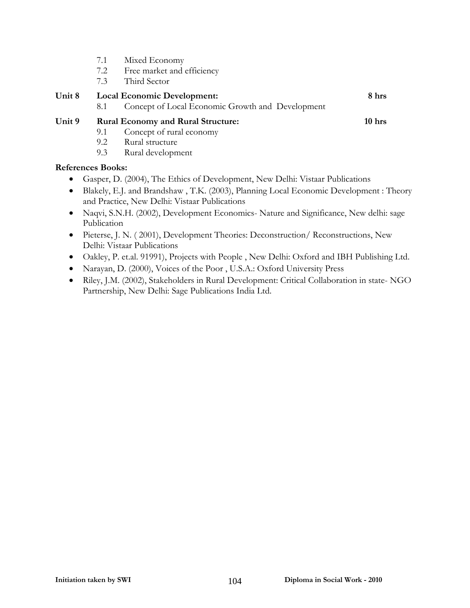- 7.1 Mixed Economy
- 7.2 Free market and efficiency
- 7.3 Third Sector

| Unit 8 | <b>Local Economic Development:</b> |                                                  |          |  |
|--------|------------------------------------|--------------------------------------------------|----------|--|
|        |                                    | Concept of Local Economic Growth and Development |          |  |
| Unit 9 |                                    | <b>Rural Economy and Rural Structure:</b>        | $10$ hrs |  |

- 9.1 Concept of rural economy
- 9.2 Rural structure
- 9.3 Rural development

- Gasper, D. (2004), The Ethics of Development, New Delhi: Vistaar Publications
- Blakely, E.J. and Brandshaw , T.K. (2003), Planning Local Economic Development : Theory and Practice, New Delhi: Vistaar Publications
- Naqvi, S.N.H. (2002), Development Economics- Nature and Significance, New delhi: sage Publication
- Pieterse, J. N. (2001), Development Theories: Deconstruction/ Reconstructions, New Delhi: Vistaar Publications
- Oakley, P. et.al. 91991), Projects with People , New Delhi: Oxford and IBH Publishing Ltd.
- Narayan, D. (2000), Voices of the Poor , U.S.A.: Oxford University Press
- Riley, J.M. (2002), Stakeholders in Rural Development: Critical Collaboration in state- NGO Partnership, New Delhi: Sage Publications India Ltd.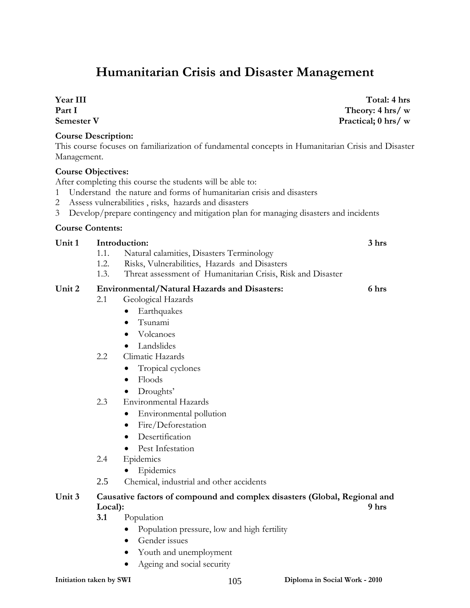## **Humanitarian Crisis and Disaster Management**

**Year III Part I Semester V** 

#### **Course Description:**

This course focuses on familiarization of fundamental concepts in Humanitarian Crisis and Disaster Management.

#### **Course Objectives:**

After completing this course the students will be able to:

- 1 Understand the nature and forms of humanitarian crisis and disasters
- 2 Assess vulnerabilities , risks, hazards and disasters
- 3 Develop/prepare contingency and mitigation plan for managing disasters and incidents

#### **Course Contents:**

| Unit 1 | Introduction:                                                             |                                                             | 3 hrs |
|--------|---------------------------------------------------------------------------|-------------------------------------------------------------|-------|
|        | 1.1.                                                                      | Natural calamities, Disasters Terminology                   |       |
|        | 1.2.                                                                      | Risks, Vulnerabilities, Hazards and Disasters               |       |
|        | 1.3.                                                                      | Threat assessment of Humanitarian Crisis, Risk and Disaster |       |
| Unit 2 | <b>Environmental/Natural Hazards and Disasters:</b>                       |                                                             | 6 hrs |
|        | 2.1                                                                       | Geological Hazards                                          |       |
|        |                                                                           | Earthquakes                                                 |       |
|        |                                                                           | Tsunami                                                     |       |
|        |                                                                           | Volcanoes                                                   |       |
|        |                                                                           | Landslides<br>$\bullet$                                     |       |
|        | 2.2                                                                       | Climatic Hazards                                            |       |
|        |                                                                           | Tropical cyclones                                           |       |
|        |                                                                           | Floods                                                      |       |
|        |                                                                           | Droughts'                                                   |       |
|        | 2.3                                                                       | <b>Environmental Hazards</b>                                |       |
|        |                                                                           | Environmental pollution                                     |       |
|        |                                                                           | Fire/Deforestation                                          |       |
|        |                                                                           | Desertification                                             |       |
|        |                                                                           | Pest Infestation                                            |       |
|        | 2.4                                                                       | Epidemics                                                   |       |
|        |                                                                           | Epidemics                                                   |       |
|        | 2.5                                                                       | Chemical, industrial and other accidents                    |       |
| Unit 3 | Causative factors of compound and complex disasters (Global, Regional and |                                                             |       |
|        | 9 hrs<br>Local):                                                          |                                                             |       |
|        | 3.1                                                                       | Population                                                  |       |

- Population pressure, low and high fertility
- Gender issues
- Youth and unemployment
- Ageing and social security

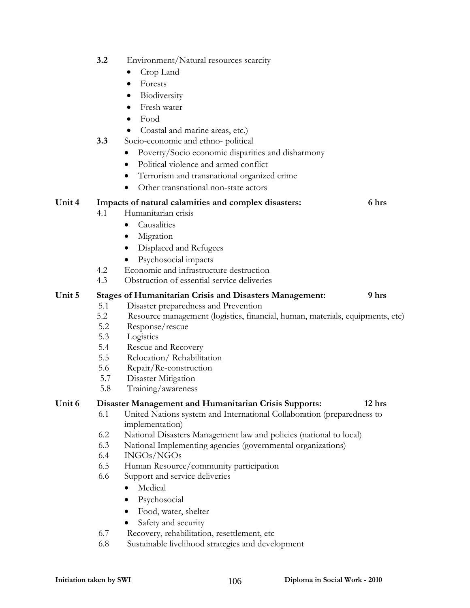- **3.2** Environment/Natural resources scarcity
	- Crop Land
	- Forests
	- **Biodiversity**
	- Fresh water
	- Food
	- Coastal and marine areas, etc.)
- **3.3** Socio-economic and ethno- political
	- Poverty/Socio economic disparities and disharmony
	- Political violence and armed conflict
	- Terrorism and transnational organized crime
	- Other transnational non-state actors

#### **Unit 4 Impacts of natural calamities and complex disasters: 6 hrs**

- 4.1 Humanitarian crisis
	- Causalities
		- **Migration**
		- Displaced and Refugees
		- Psychosocial impacts
- 4.2 Economic and infrastructure destruction
- 4.3 Obstruction of essential service deliveries

#### **Unit 5 Stages of Humanitarian Crisis and Disasters Management: 9 hrs**

- 5.1 Disaster preparedness and Prevention
- 5.2 Resource management (logistics, financial, human, materials, equipments, etc)
- 5.2 Response/rescue
- 5.3 Logistics
- 5.4 Rescue and Recovery
- 5.5 Relocation/ Rehabilitation
- 5.6 Repair/Re-construction
- 5.7 Disaster Mitigation
- 5.8 Training/awareness

#### **Unit 6 Disaster Management and Humanitarian Crisis Supports: 12 hrs**

- 6.1 United Nations system and International Collaboration (preparedness to implementation)
- 6.2 National Disasters Management law and policies (national to local)
- 6.3 National Implementing agencies (governmental organizations)
- 6.4 INGOs/NGOs
- 6.5 Human Resource/community participation
- 6.6 Support and service deliveries
	- Medical
	- Psychosocial
	- Food, water, shelter
	- Safety and security
- 6.7 Recovery, rehabilitation, resettlement, etc
- 6.8 Sustainable livelihood strategies and development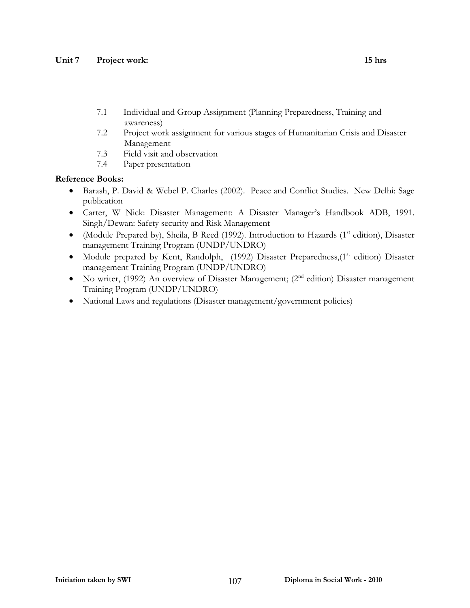- 7.1 Individual and Group Assignment (Planning Preparedness, Training and awareness)
- 7.2 Project work assignment for various stages of Humanitarian Crisis and Disaster Management
- 7.3 Field visit and observation
- 7.4 Paper presentation

- Barash, P. David & Webel P. Charles (2002). Peace and Conflict Studies. New Delhi: Sage publication
- Carter, W Nick: Disaster Management: A Disaster Manager's Handbook ADB, 1991. Singh/Dewan: Safety security and Risk Management
- (Module Prepared by), Sheila, B Reed (1992). Introduction to Hazards (1<sup>st</sup> edition), Disaster management Training Program (UNDP/UNDRO)
- Module prepared by Kent, Randolph,  $(1992)$  Disaster Preparedness, $(1<sup>st</sup>$  edition) Disaster management Training Program (UNDP/UNDRO)
- No writer, (1992) An overview of Disaster Management; ( $2<sup>nd</sup>$  edition) Disaster management Training Program (UNDP/UNDRO)
- National Laws and regulations (Disaster management/government policies)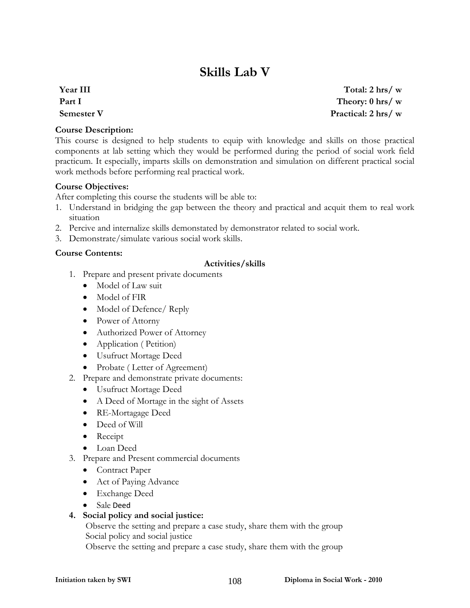## **Skills Lab V**

**Year III Part I Semester V** 

**Course Description:** 

This course is designed to help students to equip with knowledge and skills on those practical components at lab setting which they would be performed during the period of social work field practicum. It especially, imparts skills on demonstration and simulation on different practical social work methods before performing real practical work.

#### **Course Objectives:**

After completing this course the students will be able to:

- 1. Understand in bridging the gap between the theory and practical and acquit them to real work situation
- 2. Percive and internalize skills demonstated by demonstrator related to social work.
- 3. Demonstrate/simulate various social work skills.

#### **Course Contents:**

#### **Activities/skills**

- 1. Prepare and present private documents
	- Model of Law suit
	- Model of FIR
	- Model of Defence/ Reply
	- Power of Attorny
	- Authorized Power of Attorney
	- Application (Petition)
	- Usufruct Mortage Deed
	- Probate (Letter of Agreement)
- 2. Prepare and demonstrate private documents:
	- Usufruct Mortage Deed
	- A Deed of Mortage in the sight of Assets
	- RE-Mortagage Deed
	- Deed of Will
	- Receipt
	- Loan Deed
- 3. Prepare and Present commercial documents
	- Contract Paper
	- Act of Paying Advance
	- Exchange Deed
	- Sale Deed

#### **4. Social policy and social justice:**

Observe the setting and prepare a case study, share them with the group Social policy and social justice

Observe the setting and prepare a case study, share them with the group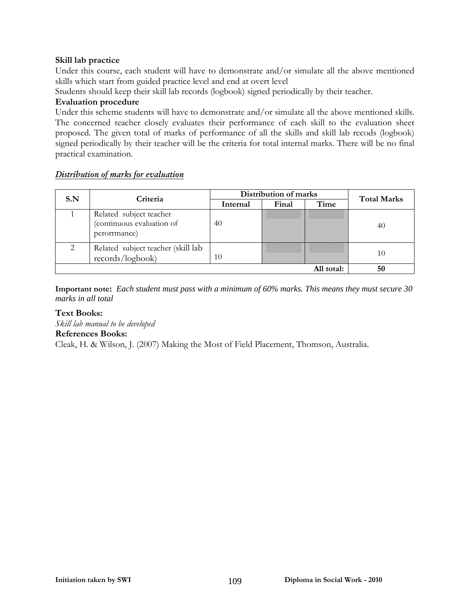### **Skill lab practice**

Under this course, each student will have to demonstrate and/or simulate all the above mentioned skills which start from guided practice level and end at overt level

Students should keep their skill lab records (logbook) signed periodically by their teacher.

### **Evaluation procedure**

Under this scheme students will have to demonstrate and/or simulate all the above mentioned skills. The concerned teacher closely evaluates their performance of each skill to the evaluation sheet proposed. The given total of marks of performance of all the skills and skill lab recods (logbook) signed periodically by their teacher will be the criteria for total internal marks. There will be no final practical examination.

### *Distribution of marks for evaluation*

| S.N | Criteria                                                             | Distribution of marks |       |      | <b>Total Marks</b> |
|-----|----------------------------------------------------------------------|-----------------------|-------|------|--------------------|
|     |                                                                      | Internal              | Final | Time |                    |
|     | Related subject teacher<br>(continuous evaluation of<br>perorrmance) | 40                    |       |      | 40                 |
| ◠   | Related subject teacher (skill lab<br>records/logbook)               | 10                    |       |      | 10                 |
|     | 50                                                                   |                       |       |      |                    |

**Important note:** *Each student must pass with a minimum of 60% marks. This means they must secure 30 marks in all total*

### **Text Books:**

*Skill lab manual to be developed* 

### **References Books:**

Cleak, H. & Wilson, J. (2007) Making the Most of Field Placement, Thomson, Australia.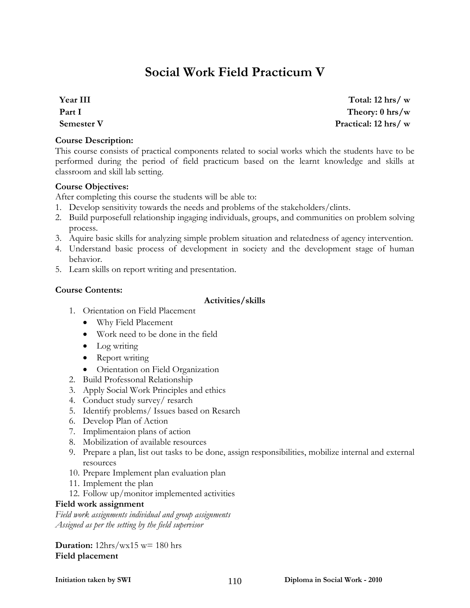# **Social Work Field Practicum V**

**Year III Part I Semester V** 

### **Course Description:**

This course consists of practical components related to social works which the students have to be performed during the period of field practicum based on the learnt knowledge and skills at classroom and skill lab setting.

### **Course Objectives:**

After completing this course the students will be able to:

- 1. Develop sensitivity towards the needs and problems of the stakeholders/clints.
- 2. Build purposefull relationship ingaging individuals, groups, and communities on problem solving process.
- 3. Aquire basic skills for analyzing simple problem situation and relatedness of agency intervention.
- 4. Understand basic process of development in society and the development stage of human behavior.
- 5. Learn skills on report writing and presentation.

### **Course Contents:**

### **Activities/skills**

- 1. Orientation on Field Placement
	- Why Field Placement
	- Work need to be done in the field
	- Log writing
	- Report writing
	- Orientation on Field Organization
- 2. Build Professonal Relationship
- 3. Apply Social Work Principles and ethics
- 4. Conduct study survey/ resarch
- 5. Identify problems/ Issues based on Resarch
- 6. Develop Plan of Action
- 7. Implimentaion plans of action
- 8. Mobilization of available resources
- 9. Prepare a plan, list out tasks to be done, assign responsibilities, mobilize internal and external resources
- 10. Prepare Implement plan evaluation plan
- 11. Implement the plan
- 12. Follow up/monitor implemented activities

### **Field work assignment**

*Field work assignments individual and group assignments Assigned as per the setting by the field supervisor*

### **Duration:** 12hrs/wx15 w= 180 hrs **Field placement**

**Total: 12 hrs/ w Theory: 0 hrs/w Practical: 12 hrs/ w**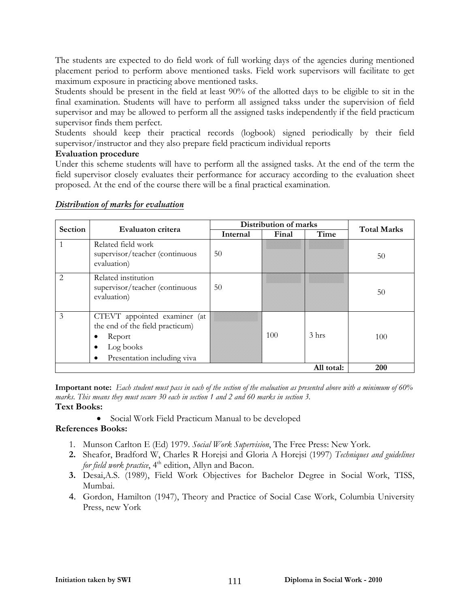The students are expected to do field work of full working days of the agencies during mentioned placement period to perform above mentioned tasks. Field work supervisors will facilitate to get maximum exposure in practicing above mentioned tasks.

Students should be present in the field at least 90% of the allotted days to be eligible to sit in the final examination. Students will have to perform all assigned takss under the supervision of field supervisor and may be allowed to perform all the assigned tasks independently if the field practicum supervisor finds them perfect.

Students should keep their practical records (logbook) signed periodically by their field supervisor/instructor and they also prepare field practicum individual reports

### **Evaluation procedure**

Under this scheme students will have to perform all the assigned tasks. At the end of the term the field supervisor closely evaluates their performance for accuracy according to the evaluation sheet proposed. At the end of the course there will be a final practical examination.

| <b>Section</b> | Evaluaton critera                                                                                                          | Distribution of marks |       |                  | <b>Total Marks</b> |
|----------------|----------------------------------------------------------------------------------------------------------------------------|-----------------------|-------|------------------|--------------------|
|                |                                                                                                                            | Internal              | Final | Time             |                    |
|                | Related field work<br>supervisor/teacher (continuous<br>evaluation)                                                        | 50                    |       |                  | 50                 |
| 2              | Related institution<br>supervisor/teacher (continuous<br>evaluation)                                                       | 50                    |       |                  | 50                 |
| 3              | CTEVT appointed examiner (at<br>the end of the field practicum)<br>Report<br>Log books<br>Presentation including viva<br>٠ |                       | 100   | 3 <sub>hrs</sub> | 100                |
|                | 200                                                                                                                        |                       |       |                  |                    |

### *Distribution of marks for evaluation*

**Important note:** *Each student must pass in each of the section of the evaluation as presented above with a minimum of 60% marks. This means they must secure 30 each in section 1 and 2 and 60 marks in section 3.* **Text Books:** 

• Social Work Field Practicum Manual to be developed

### **References Books:**

- 1. Munson Carlton E (Ed) 1979. *Social Work Supervision*, The Free Press: New York.
- **2.** Sheafor, Bradford W, Charles R Horejsi and Gloria A Horejsi (1997) *Techniques and guidelines for field work practice*, 4<sup>th</sup> edition, Allyn and Bacon.
- **3.** Desai,A.S. (1989), Field Work Objectives for Bachelor Degree in Social Work, TISS, Mumbai.
- 4. Gordon, Hamilton (1947), Theory and Practice of Social Case Work, Columbia University Press, new York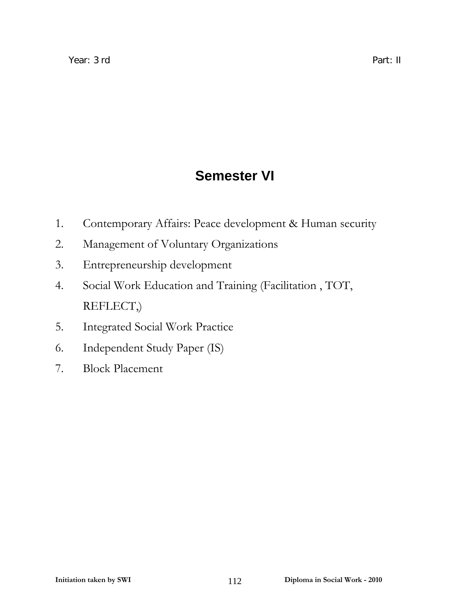# **Semester VI**

- 1. Contemporary Affairs: Peace development & Human security
- 2. Management of Voluntary Organizations
- 3. Entrepreneurship development
- 4. Social Work Education and Training (Facilitation , TOT, REFLECT,)
- 5. Integrated Social Work Practice
- 6. Independent Study Paper (IS)
- 7. Block Placement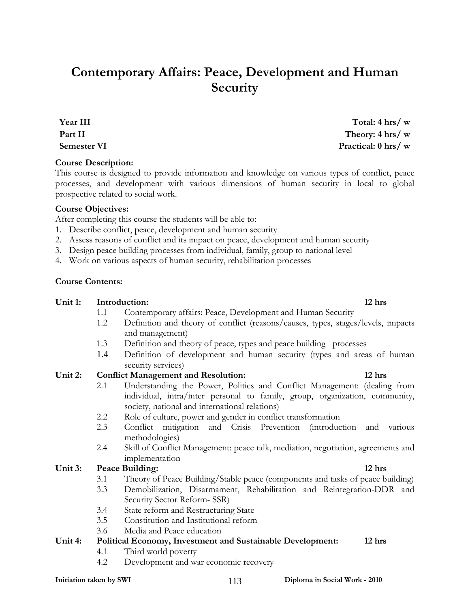# **Contemporary Affairs: Peace, Development and Human Security**

**Year III Part II Semester VI** 

### **Course Description:**

This course is designed to provide information and knowledge on various types of conflict, peace processes, and development with various dimensions of human security in local to global prospective related to social work.

### **Course Objectives:**

After completing this course the students will be able to:

- 1. Describe conflict, peace, development and human security
- 2. Assess reasons of conflict and its impact on peace, development and human security
- 3. Design peace building processes from individual, family, group to national level
- 4. Work on various aspects of human security, rehabilitation processes

### **Course Contents:**

### Unit 1: Introduction: 12 hrs **12** hrs **12** hrs **12** hrs **12** hrs **12** hrs **12** hrs **12** hrs **12** hrs **12** hrs **12** hrs **12** hrs **12** hrs **12** hrs **12** hrs **12** hrs **12** hrs **12** hrs **12** hrs **12** hrs **12** hrs **12** hrs **12**

- 1.1 Contemporary affairs: Peace, Development and Human Security
- 1.2 Definition and theory of conflict (reasons/causes, types, stages/levels, impacts and management)
- 1.3 Definition and theory of peace, types and peace building processes
- 1.4 Definition of development and human security (types and areas of human security services)

### **Unit 2: Conflict Management and Resolution: 12 hrs**

- 2.1 Understanding the Power, Politics and Conflict Management: (dealing from individual, intra/inter personal to family, group, organization, community, society, national and international relations)
- 2.2 Role of culture, power and gender in conflict transformation
- 2.3 Conflict mitigation and Crisis Prevention (introduction and various methodologies)
- 2.4 Skill of Conflict Management: peace talk, mediation, negotiation, agreements and implementation

### Unit 3: Peace Building: 12 hrs **12 hrs**

- 3.1 Theory of Peace Building/Stable peace (components and tasks of peace building)
- 3.3 Demobilization, Disarmament, Rehabilitation and Reintegration-DDR and Security Sector Reform- SSR)
- 3.4 State reform and Restructuring State
- 3.5 Constitution and Institutional reform
- 3.6 Media and Peace education

### **Unit 4: Political Economy, Investment and Sustainable Development: 12 hrs**

- 4.1 Third world poverty
- 4.2 Development and war economic recovery

**Total: 4 hrs/ w Theory: 4 hrs/ w Practical: 0 hrs/ w**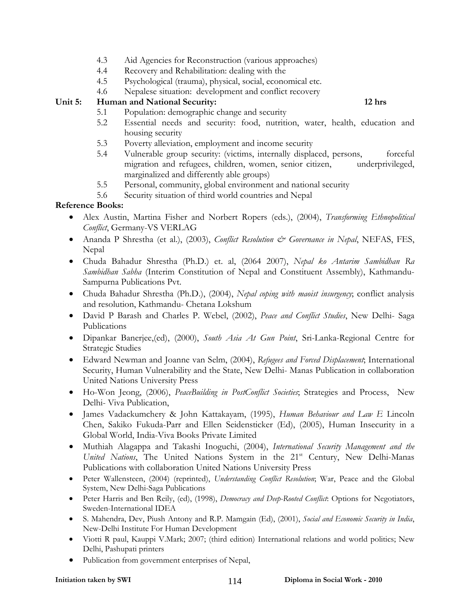- 4.3 Aid Agencies for Reconstruction (various approaches)
- 4.4 Recovery and Rehabilitation: dealing with the
- 4.5 Psychological (trauma), physical, social, economical etc.
- 4.6 Nepalese situation: development and conflict recovery

### **Unit 5: Human and National Security: 12 hrs**

- 5.1 Population: demographic change and security
- 5.2 Essential needs and security: food, nutrition, water, health, education and housing security
- 5.3 Poverty alleviation, employment and income security
- 5.4 Vulnerable group security: (victims, internally displaced, persons, forceful migration and refugees, children, women, senior citizen, underprivileged, marginalized and differently able groups)
- 5.5 Personal, community, global environment and national security
- 5.6 Security situation of third world countries and Nepal

### **Reference Books:**

- Alex Austin, Martina Fisher and Norbert Ropers (eds.), (2004), *Transforming Ethnopolitical Conflict*, Germany-VS VERLAG
- Ananda P Shrestha (et al.), (2003), *Conflict Resolution & Governance in Nepal*, NEFAS, FES, Nepal
- Chuda Bahadur Shrestha (Ph.D.) et. al, (2064 2007), *Nepal ko Antarim Sambidhan Ra Sambidhan Sabha* (Interim Constitution of Nepal and Constituent Assembly), Kathmandu-Sampurna Publications Pvt.
- Chuda Bahadur Shrestha (Ph.D.), (2004), *Nepal coping with maoist insurgency*; conflict analysis and resolution, Kathmandu- Chetana Lokshum
- David P Barash and Charles P. Webel, (2002), *Peace and Conflict Studies*, New Delhi- Saga Publications
- Dipankar Banerjee,(ed), (2000), *South Asia At Gun Point*, Sri-Lanka-Regional Centre for Strategic Studies
- Edward Newman and Joanne van Selm, (2004), *Refugees and Forced Displacement*; International Security, Human Vulnerability and the State, New Delhi- Manas Publication in collaboration United Nations University Press
- Ho-Won Jeong, (2006), *PeaceBuilding in PostConflict Societies*; Strategies and Process, New Delhi- Viva Publication,
- James Vadackumchery & John Kattakayam, (1995), *Human Behaviour and Law E* Lincoln Chen, Sakiko Fukuda-Parr and Ellen Seidensticker (Ed), (2005), Human Insecurity in a Global World, India-Viva Books Private Limited
- Muthiah Alagappa and Takashi Inoguchi, (2004), *International Security Management and the United Nations*, The United Nations System in the 21<sup>st</sup> Century, New Delhi-Manas Publications with collaboration United Nations University Press
- Peter Wallensteen, (2004) (reprinted), *Understanding Conflict Resolution*; War, Peace and the Global System, New Delhi-Saga Publications
- Peter Harris and Ben Reily, (ed), (1998), *Democracy and Deep-Rooted Conflict*: Options for Negotiators, Sweden-International IDEA
- S. Mahendra, Dev, Piush Antony and R.P. Mamgain (Ed), (2001), *Social and Economic Security in India*, New-Delhi Institute For Human Development
- Viotti R paul, Kauppi V.Mark; 2007; (third edition) International relations and world politics; New Delhi, Pashupati printers
- Publication from government enterprises of Nepal,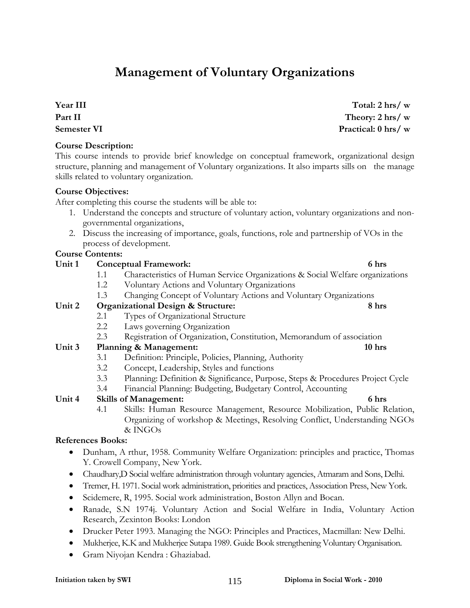# **Management of Voluntary Organizations**

**Year III Part II Semester VI** 

### **Course Description:**

This course intends to provide brief knowledge on conceptual framework, organizational design structure, planning and management of Voluntary organizations. It also imparts sills on the manage skills related to voluntary organization.

### **Course Objectives:**

After completing this course the students will be able to:

- 1. Understand the concepts and structure of voluntary action, voluntary organizations and nongovernmental organizations,
- 2. Discuss the increasing of importance, goals, functions, role and partnership of VOs in the process of development.

### **Course Contents:**

### Unit 1 Conceptual Framework: 6 hrs **6 hrs 6 hrs**

- 1.1 Characteristics of Human Service Organizations & Social Welfare organizations
- 1.2 Voluntary Actions and Voluntary Organizations
- 1.3 Changing Concept of Voluntary Actions and Voluntary Organizations

### **Unit 2 Organizational Design & Structure: 8 hrs**

- 2.1 Types of Organizational Structure
- 2.2 Laws governing Organization
	- 2.3 Registration of Organization, Constitution, Memorandum of association

### Unit 3 Planning & Management: 10 hrs **10** hrs

- 3.1 Definition: Principle, Policies, Planning, Authority
- 3.2 Concept, Leadership, Styles and functions
- 3.3 Planning: Definition & Significance, Purpose, Steps & Procedures Project Cycle
- 3.4 Financial Planning: Budgeting, Budgetary Control, Accounting

### **Unit 4 Skills of Management: 6 hrs**

4.1 Skills: Human Resource Management, Resource Mobilization, Public Relation, Organizing of workshop & Meetings, Resolving Conflict, Understanding NGOs  $&$  INGOs

### **References Books:**

- Dunham, A rthur, 1958. Community Welfare Organization: principles and practice, Thomas Y. Crowell Company, New York.
- Chaudhary,D Social welfare administration through voluntary agencies, Atmaram and Sons, Delhi.
- Tremer, H. 1971. Social work administration, priorities and practices, Association Press, New York.
- Scidemere, R, 1995. Social work administration, Boston Allyn and Bocan.
- Ranade, S.N 1974j. Voluntary Action and Social Welfare in India, Voluntary Action Research, Zexinton Books: London
- Drucker Peter 1993. Managing the NGO: Principles and Practices, Macmillan: New Delhi.
- Mukherjee, K.K and Mukherjee Sutapa 1989. Guide Book strengthening Voluntary Organisation.
- Gram Niyojan Kendra : Ghaziabad.

### **Initiation taken by SWI 115 Diploma in Social Work - 2010**

**Total: 2 hrs/ w Theory: 2 hrs/ w Practical: 0 hrs/ w**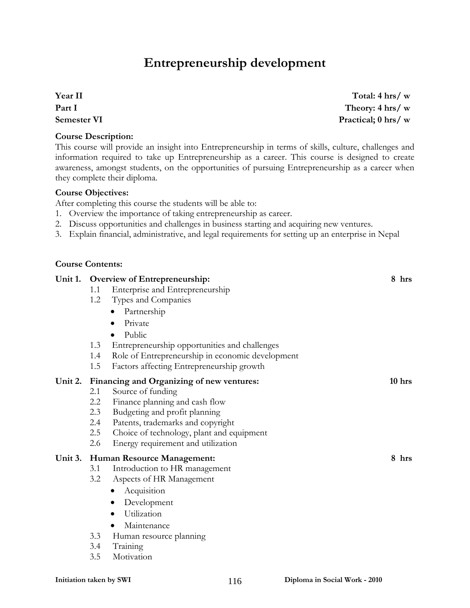# **Entrepreneurship development**

**Year II Part I Semester VI** 

### **Course Description:**

This course will provide an insight into Entrepreneurship in terms of skills, culture, challenges and information required to take up Entrepreneurship as a career. This course is designed to create awareness, amongst students, on the opportunities of pursuing Entrepreneurship as a career when they complete their diploma.

### **Course Objectives:**

After completing this course the students will be able to:

- 1. Overview the importance of taking entrepreneurship as career.
- 2. Discuss opportunities and challenges in business starting and acquiring new ventures.
- 3. Explain financial, administrative, and legal requirements for setting up an enterprise in Nepal

### **Unit 1. Overview of Entrepreneurship: 8 hrs**  1.1 Enterprise and Entrepreneurship 1.2 Types and Companies • Partnership • Private • Public 1.3 Entrepreneurship opportunities and challenges 1.4 Role of Entrepreneurship in economic development 1.5 Factors affecting Entrepreneurship growth Unit 2. Financing and Organizing of new ventures: 10 hrs **10** hrs 2.1 Source of funding 2.2 Finance planning and cash flow 2.3 Budgeting and profit planning 2.4 Patents, trademarks and copyright 2.5 Choice of technology, plant and equipment 2.6 Energy requirement and utilization **Unit 3. Human Resource Management: 8 hrs**  3.1 Introduction to HR management 3.2 Aspects of HR Management • Acquisition • Development • Utilization • Maintenance 3.3 Human resource planning 3.4 Training

3.5 Motivation

**Total: 4 hrs/ w Theory: 4 hrs/ w Practical; 0 hrs/ w**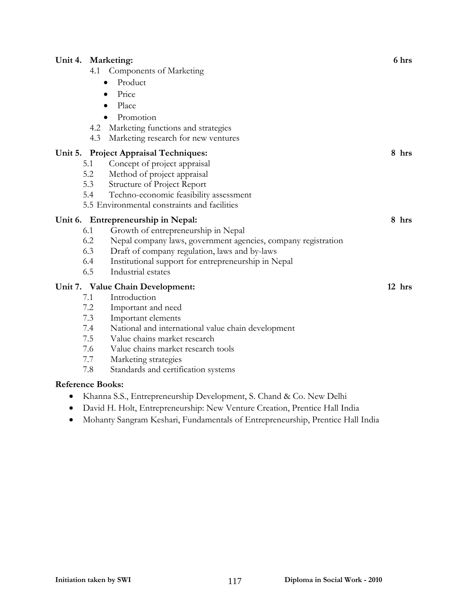| Unit 4. Marketing:      |     |                                                                     | 6 hrs    |
|-------------------------|-----|---------------------------------------------------------------------|----------|
|                         |     | 4.1 Components of Marketing                                         |          |
|                         |     | Product<br>$\bullet$                                                |          |
|                         |     | Price<br>$\bullet$                                                  |          |
|                         |     | Place<br>$\bullet$                                                  |          |
|                         |     | Promotion                                                           |          |
|                         |     | 4.2 Marketing functions and strategies                              |          |
|                         | 4.3 | Marketing research for new ventures                                 |          |
|                         |     | Unit 5. Project Appraisal Techniques:                               | 8 hrs    |
|                         | 5.1 | Concept of project appraisal                                        |          |
|                         | 5.2 | Method of project appraisal                                         |          |
|                         | 5.3 | Structure of Project Report                                         |          |
|                         | 5.4 | Techno-economic feasibility assessment                              |          |
|                         |     | 5.5 Environmental constraints and facilities                        |          |
|                         |     | Unit 6. Entrepreneurship in Nepal:                                  | 8 hrs    |
|                         | 6.1 | Growth of entrepreneurship in Nepal                                 |          |
|                         | 6.2 | Nepal company laws, government agencies, company registration       |          |
|                         | 6.3 | Draft of company regulation, laws and by-laws                       |          |
|                         | 6.4 | Institutional support for entrepreneurship in Nepal                 |          |
|                         | 6.5 | Industrial estates                                                  |          |
|                         |     | Unit 7. Value Chain Development:                                    | $12$ hrs |
|                         | 7.1 | Introduction                                                        |          |
|                         | 7.2 | Important and need                                                  |          |
|                         | 7.3 | Important elements                                                  |          |
|                         | 7.4 | National and international value chain development                  |          |
|                         | 7.5 | Value chains market research                                        |          |
|                         | 7.6 | Value chains market research tools                                  |          |
|                         | 7.7 | Marketing strategies                                                |          |
|                         | 7.8 | Standards and certification systems                                 |          |
| <b>Reference Books:</b> |     |                                                                     |          |
|                         |     | Khanna S.S., Entrepreneurship Development, S. Chand & Co. New Delhi |          |

- David H. Holt, Entrepreneurship: New Venture Creation, Prentice Hall India
- Mohanty Sangram Keshari, Fundamentals of Entrepreneurship, Prentice Hall India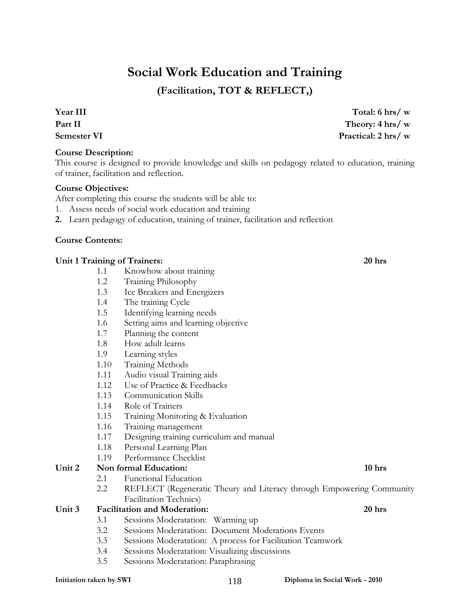# **Social Work Education and Training**

**(Facilitation, TOT & REFLECT,)** 

**Year III Part II Semester VI** 

### **Course Description:**

This course is designed to provide knowledge and skills on pedagogy related to education, training of trainer, facilitation and reflection.

### **Course Objectives:**

After completing this course the students will be able to:

- 1. Assess needs of social work education and training
- **2.** Learn pedagogy of education, training of trainer, facilitation and reflection

### **Course Contents:**

### **Unit 1 Training of Trainers: 20 hrs**

- 1.1 Knowhow about training
- 1.2 Training Philosophy
- 1.3 Ice Breakers and Energizers
- 1.4 The training Cycle
- 1.5 Identifying learning needs
- 1.6 Setting aims and learning objective
- 1.7 Planning the content
- 1.8 How adult learns
- 1.9 Learning styles
- 1.10 Training Methods
- 1.11 Audio visual Training aids
- 1.12 Use of Practice & Feedbacks
- 1.13 Communication Skills
- 1.14 Role of Trainers
- 1.15 Training Monitoring & Evaluation
- 1.16 Training management
- 1.17 Designing training curriculum and manual
- 1.18 Personal Learning Plan
- 1.19 Performance Checklist

### Unit 2 Non formal Education: 10 hrs **10 hrs 10 hrs**

- 2.1 Functional Education
- 2.2 REFLECT (Regeneratic Theury and Literacy through Empowering Community Facilitation Technics)

### **Unit 3 Facilitation and Moderation: 20 hrs**

- 3.1 Sessions Moderatation: Warming up
- 3.2 Sessions Moderatation: Document Moderations Events
- 3.3 Sessions Moderatation: A process for Facilitation Teamwork
- 3.4 Sessions Moderatation: Visualizing discussions
- 3.5 Sessions Moderatation: Paraphrasing

**Theory: 4 hrs/ w Practical: 2 hrs/ w**

**Total: 6 hrs/ w**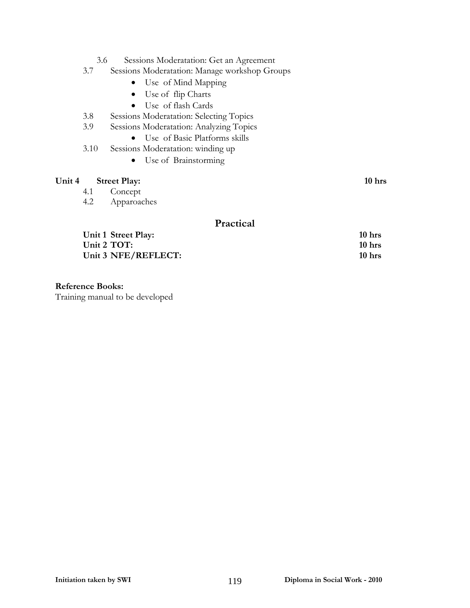- 3.6 Sessions Moderatation: Get an Agreement
- 3.7 Sessions Moderatation: Manage workshop Groups
	- Use of Mind Mapping
	- Use of flip Charts
	- Use of flash Cards
- 3.8 Sessions Moderatation: Selecting Topics
- 3.9 Sessions Moderatation: Analyzing Topics
	- Use of Basic Platforms skills
- 3.10 Sessions Moderatation: winding up
	- Use of Brainstorming

### Unit 4 Street Play: 10 hrs

- 4.1 Concept
- 4.2 Apparoaches

### **Practical**

**Unit 1 Street Play: 10 hrs Unit 2 TOT: 10 hrs** Unit 3 NFE/REFLECT: 10 hrs

### **Reference Books:**

Training manual to be developed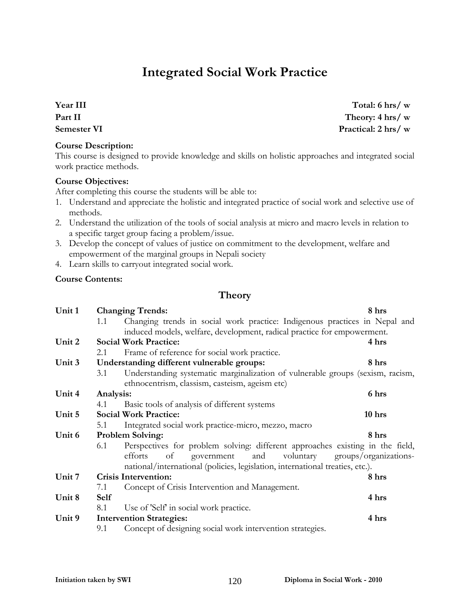# **Integrated Social Work Practice**

**Year III Part II Semester VI** 

### **Course Description:**

This course is designed to provide knowledge and skills on holistic approaches and integrated social work practice methods.

### **Course Objectives:**

After completing this course the students will be able to:

- 1. Understand and appreciate the holistic and integrated practice of social work and selective use of methods.
- 2. Understand the utilization of the tools of social analysis at micro and macro levels in relation to a specific target group facing a problem/issue.
- 3. Develop the concept of values of justice on commitment to the development, welfare and empowerment of the marginal groups in Nepali society
- 4. Learn skills to carryout integrated social work.

### **Course Contents:**

### **Theory**

| Unit 1                                                                               |                                                                               | <b>Changing Trends:</b>                                                        |       |  |  |  |
|--------------------------------------------------------------------------------------|-------------------------------------------------------------------------------|--------------------------------------------------------------------------------|-------|--|--|--|
|                                                                                      | 1.1                                                                           | Changing trends in social work practice: Indigenous practices in Nepal and     |       |  |  |  |
|                                                                                      |                                                                               | induced models, welfare, development, radical practice for empowerment.        |       |  |  |  |
| Unit 2                                                                               |                                                                               | <b>Social Work Practice:</b>                                                   | 4 hrs |  |  |  |
|                                                                                      | 2.1                                                                           | Frame of reference for social work practice.                                   |       |  |  |  |
| Unit 3                                                                               |                                                                               | Understanding different vulnerable groups:                                     | 8 hrs |  |  |  |
|                                                                                      | 3.1                                                                           | Understanding systematic marginalization of vulnerable groups (sexism, racism, |       |  |  |  |
|                                                                                      |                                                                               | ethnocentrism, classism, casteism, ageism etc)                                 |       |  |  |  |
| Unit 4                                                                               | Analysis:                                                                     |                                                                                | 6 hrs |  |  |  |
|                                                                                      | 4.1                                                                           | Basic tools of analysis of different systems                                   |       |  |  |  |
| Unit 5                                                                               | <b>Social Work Practice:</b><br>10 hrs                                        |                                                                                |       |  |  |  |
|                                                                                      | 5.1                                                                           | Integrated social work practice-micro, mezzo, macro                            |       |  |  |  |
| Unit 6                                                                               |                                                                               | <b>Problem Solving:</b>                                                        | 8 hrs |  |  |  |
| Perspectives for problem solving: different approaches existing in the field,<br>6.1 |                                                                               |                                                                                |       |  |  |  |
|                                                                                      | and<br>government<br>groups/organizations-<br>of<br>voluntary<br>efforts      |                                                                                |       |  |  |  |
|                                                                                      | national/international (policies, legislation, international treaties, etc.). |                                                                                |       |  |  |  |
| Unit 7                                                                               |                                                                               | <b>Crisis Intervention:</b>                                                    | 8 hrs |  |  |  |
|                                                                                      | 7.1                                                                           | Concept of Crisis Intervention and Management.                                 |       |  |  |  |
| Unit 8                                                                               | <b>Self</b>                                                                   |                                                                                | 4 hrs |  |  |  |
|                                                                                      | 8.1                                                                           | Use of 'Self' in social work practice.                                         |       |  |  |  |
| Unit 9                                                                               |                                                                               | <b>Intervention Strategies:</b>                                                | 4 hrs |  |  |  |
|                                                                                      | 9.1                                                                           | Concept of designing social work intervention strategies.                      |       |  |  |  |

**Total: 6 hrs/ w Theory: 4 hrs/ w Practical: 2 hrs/ w**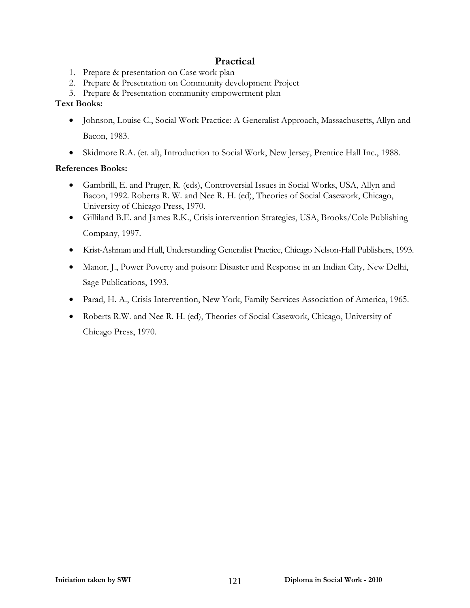### **Practical**

- 1. Prepare & presentation on Case work plan
- 2. Prepare & Presentation on Community development Project
- 3. Prepare & Presentation community empowerment plan

### **Text Books:**

- Johnson, Louise C., Social Work Practice: A Generalist Approach, Massachusetts, Allyn and Bacon, 1983.
- Skidmore R.A. (et. al), Introduction to Social Work, New Jersey, Prentice Hall Inc., 1988.

### **References Books:**

- Gambrill, E. and Pruger, R. (eds), Controversial Issues in Social Works, USA, Allyn and Bacon, 1992. Roberts R. W. and Nee R. H. (ed), Theories of Social Casework, Chicago, University of Chicago Press, 1970.
- Gilliland B.E. and James R.K., Crisis intervention Strategies, USA, Brooks/Cole Publishing Company, 1997.
- Krist-Ashman and Hull, Understanding Generalist Practice, Chicago Nelson-Hall Publishers, 1993.
- Manor, J., Power Poverty and poison: Disaster and Response in an Indian City, New Delhi, Sage Publications, 1993.
- Parad, H. A., Crisis Intervention, New York, Family Services Association of America, 1965.
- Roberts R.W. and Nee R. H. (ed), Theories of Social Casework, Chicago, University of Chicago Press, 1970.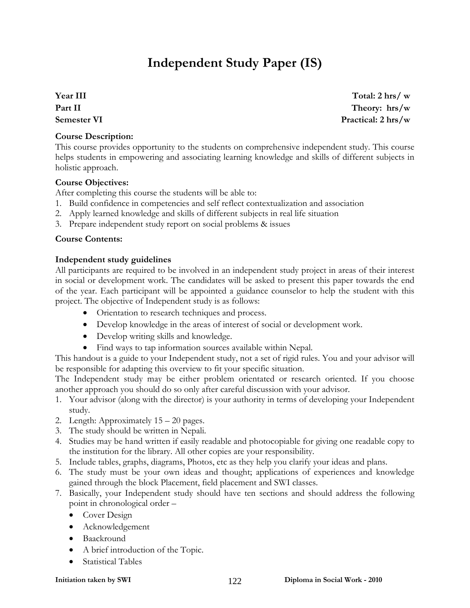# **Independent Study Paper (IS)**

**Year III Part II Semester VI** 

**Total: 2 hrs/ w Theory: hrs/w Practical: 2 hrs/w**

### **Course Description:**

This course provides opportunity to the students on comprehensive independent study. This course helps students in empowering and associating learning knowledge and skills of different subjects in holistic approach.

### **Course Objectives:**

After completing this course the students will be able to:

- 1. Build confidence in competencies and self reflect contextualization and association
- 2. Apply learned knowledge and skills of different subjects in real life situation
- 3. Prepare independent study report on social problems & issues

### **Course Contents:**

### **Independent study guidelines**

All participants are required to be involved in an independent study project in areas of their interest in social or development work. The candidates will be asked to present this paper towards the end of the year. Each participant will be appointed a guidance counselor to help the student with this project. The objective of Independent study is as follows:

- Orientation to research techniques and process.
- Develop knowledge in the areas of interest of social or development work.
- Develop writing skills and knowledge.
- Find ways to tap information sources available within Nepal.

This handout is a guide to your Independent study, not a set of rigid rules. You and your advisor will be responsible for adapting this overview to fit your specific situation.

The Independent study may be either problem orientated or research oriented. If you choose another approach you should do so only after careful discussion with your advisor.

- 1. Your advisor (along with the director) is your authority in terms of developing your Independent study.
- 2. Length: Approximately 15 20 pages.
- 3. The study should be written in Nepali.
- 4. Studies may be hand written if easily readable and photocopiable for giving one readable copy to the institution for the library. All other copies are your responsibility.
- 5. Include tables, graphs, diagrams, Photos, etc as they help you clarify your ideas and plans.
- 6. The study must be your own ideas and thought; applications of experiences and knowledge gained through the block Placement, field placement and SWI classes.
- 7. Basically, your Independent study should have ten sections and should address the following point in chronological order –
	- Cover Design
	- Acknowledgement
	- Baackround
	- A brief introduction of the Topic.
	- Statistical Tables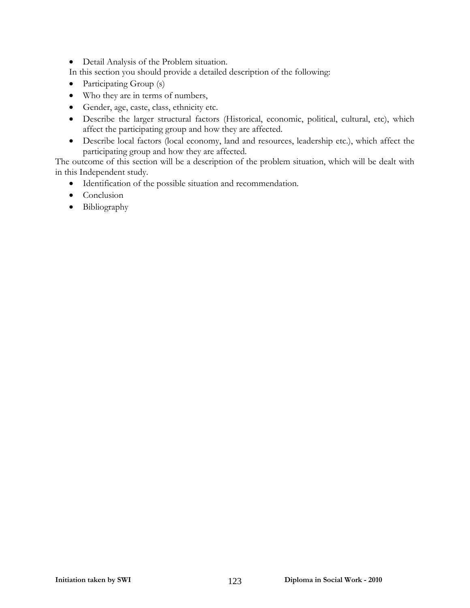- Detail Analysis of the Problem situation.
- In this section you should provide a detailed description of the following:
- Participating Group (s)
- Who they are in terms of numbers,
- Gender, age, caste, class, ethnicity etc.
- Describe the larger structural factors (Historical, economic, political, cultural, etc), which affect the participating group and how they are affected.
- Describe local factors (local economy, land and resources, leadership etc.), which affect the participating group and how they are affected.

The outcome of this section will be a description of the problem situation, which will be dealt with in this Independent study.

- Identification of the possible situation and recommendation.
- Conclusion
- Bibliography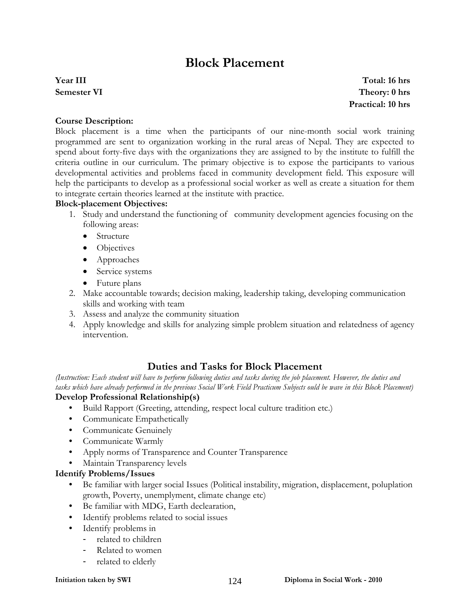## **Block Placement**

### **Year III Semester VI**

**Total: 16 hrs Theory: 0 hrs Practical: 10 hrs**

### **Course Description:**

Block placement is a time when the participants of our nine-month social work training programmed are sent to organization working in the rural areas of Nepal. They are expected to spend about forty-five days with the organizations they are assigned to by the institute to fulfill the criteria outline in our curriculum. The primary objective is to expose the participants to various developmental activities and problems faced in community development field. This exposure will help the participants to develop as a professional social worker as well as create a situation for them to integrate certain theories learned at the institute with practice.

### **Block-placement Objectives:**

- 1. Study and understand the functioning of community development agencies focusing on the following areas:
	- Structure
	- Objectives
	- Approaches
	- Service systems
	- Future plans
- 2. Make accountable towards; decision making, leadership taking, developing communication skills and working with team
- 3. Assess and analyze the community situation
- 4. Apply knowledge and skills for analyzing simple problem situation and relatedness of agency intervention.

### **Duties and Tasks for Block Placement**

*(Instruction: Each student will have to perform following duties and tasks during the job placement. However, the duties and tasks which have already performed in the previous Social Work Field Practicum Subjects ould be wave in this Block Placement)*  **Develop Professional Relationship(s)** 

- Build Rapport (Greeting, attending, respect local culture tradition etc.)
- Communicate Empathetically
- Communicate Genuinely
- Communicate Warmly
- Apply norms of Transparence and Counter Transparence
- Maintain Transparency levels

### **Identify Problems/Issues**

- Be familiar with larger social Issues (Political instability, migration, displacement, poluplation growth, Poverty, unemplyment, climate change etc)
- Be familiar with MDG, Earth declearation,
- Identify problems related to social issues
- Identify problems in
	- related to children
	- Related to women
	- related to elderly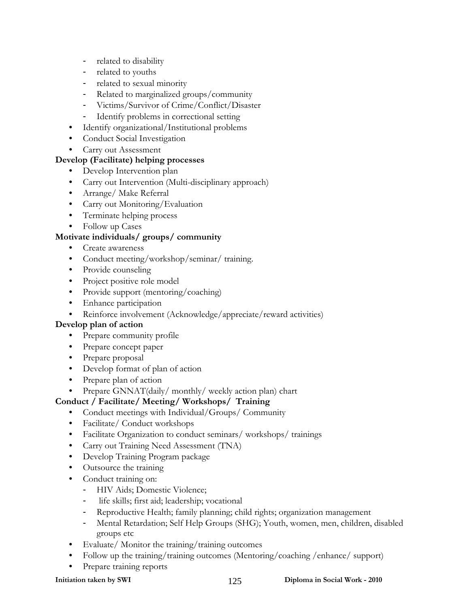- related to disability
- related to youths
- related to sexual minority
- Related to marginalized groups/community
- Victims/Survivor of Crime/Conflict/Disaster
- Identify problems in correctional setting
- Identify organizational/Institutional problems
- Conduct Social Investigation
- Carry out Assessment

### **Develop (Facilitate) helping processes**

- Develop Intervention plan
- Carry out Intervention (Multi-disciplinary approach)
- Arrange/ Make Referral
- Carry out Monitoring/Evaluation
- Terminate helping process
- Follow up Cases

### **Motivate individuals/ groups/ community**

- Create awareness
- Conduct meeting/workshop/seminar/ training.
- Provide counseling
- Project positive role model
- Provide support (mentoring/coaching)
- Enhance participation
- Reinforce involvement (Acknowledge/appreciate/reward activities)

### **Develop plan of action**

- Prepare community profile
- Prepare concept paper
- Prepare proposal
- Develop format of plan of action
- Prepare plan of action
- Prepare GNNAT(daily/ monthly/ weekly action plan) chart

### **Conduct / Facilitate/ Meeting/ Workshops/ Training**

- Conduct meetings with Individual/Groups/Community
- Facilitate/ Conduct workshops
- Facilitate Organization to conduct seminars/ workshops/ trainings
- Carry out Training Need Assessment (TNA)
- Develop Training Program package
- Outsource the training
- Conduct training on:
	- HIV Aids; Domestic Violence;
	- life skills; first aid; leadership; vocational
	- Reproductive Health; family planning; child rights; organization management
	- Mental Retardation; Self Help Groups (SHG); Youth, women, men, children, disabled groups etc
- Evaluate/ Monitor the training/training outcomes
- Follow up the training/training outcomes (Mentoring/coaching /enhance/ support)
- Prepare training reports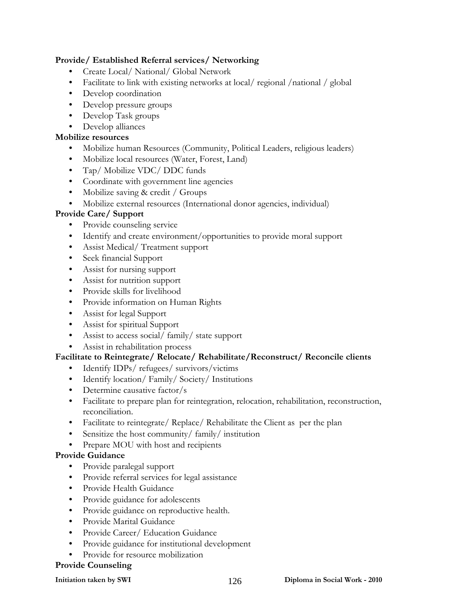### **Provide/ Established Referral services/ Networking**

- Create Local/ National/ Global Network
- Facilitate to link with existing networks at local/regional/national/global
- Develop coordination
- Develop pressure groups
- Develop Task groups
- Develop alliances

### **Mobilize resources**

- Mobilize human Resources (Community, Political Leaders, religious leaders)
- Mobilize local resources (Water, Forest, Land)
- Tap/ Mobilize VDC/ DDC funds
- Coordinate with government line agencies
- Mobilize saving & credit / Groups
- Mobilize external resources (International donor agencies, individual)

### **Provide Care/ Support**

- Provide counseling service
- Identify and create environment/opportunities to provide moral support
- Assist Medical/Treatment support
- Seek financial Support
- Assist for nursing support
- Assist for nutrition support
- Provide skills for livelihood
- Provide information on Human Rights
- Assist for legal Support
- Assist for spiritual Support
- Assist to access social/ family/ state support
- Assist in rehabilitation process

### **Facilitate to Reintegrate/ Relocate/ Rehabilitate/Reconstruct/ Reconcile clients**

- Identify IDPs/ refugees/ survivors/victims
- Identify location/ Family/ Society/ Institutions
- Determine causative factor/s
- Facilitate to prepare plan for reintegration, relocation, rehabilitation, reconstruction, reconciliation.
- Facilitate to reintegrate/ Replace/ Rehabilitate the Client as per the plan
- Sensitize the host community/ family/ institution
- Prepare MOU with host and recipients

### **Provide Guidance**

- Provide paralegal support
- Provide referral services for legal assistance
- Provide Health Guidance
- Provide guidance for adolescents
- Provide guidance on reproductive health.
- Provide Marital Guidance
- Provide Career/ Education Guidance
- Provide guidance for institutional development
- Provide for resource mobilization

### **Provide Counseling**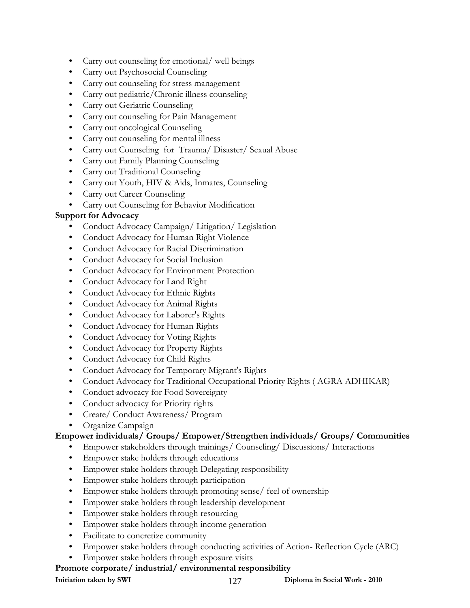- Carry out counseling for emotional/ well beings
- Carry out Psychosocial Counseling
- Carry out counseling for stress management
- Carry out pediatric/Chronic illness counseling
- Carry out Geriatric Counseling
- Carry out counseling for Pain Management
- Carry out oncological Counseling
- Carry out counseling for mental illness
- Carry out Counseling for Trauma/ Disaster/ Sexual Abuse
- Carry out Family Planning Counseling
- Carry out Traditional Counseling
- Carry out Youth, HIV & Aids, Inmates, Counseling
- Carry out Career Counseling
- Carry out Counseling for Behavior Modification

### **Support for Advocacy**

- Conduct Advocacy Campaign/ Litigation/ Legislation
- Conduct Advocacy for Human Right Violence
- Conduct Advocacy for Racial Discrimination
- Conduct Advocacy for Social Inclusion
- Conduct Advocacy for Environment Protection
- Conduct Advocacy for Land Right
- Conduct Advocacy for Ethnic Rights
- Conduct Advocacy for Animal Rights
- Conduct Advocacy for Laborer's Rights
- Conduct Advocacy for Human Rights
- Conduct Advocacy for Voting Rights
- Conduct Advocacy for Property Rights
- Conduct Advocacy for Child Rights
- Conduct Advocacy for Temporary Migrant's Rights
- Conduct Advocacy for Traditional Occupational Priority Rights ( AGRA ADHIKAR)
- Conduct advocacy for Food Sovereignty
- Conduct advocacy for Priority rights
- Create/ Conduct Awareness/ Program
- Organize Campaign

### **Empower individuals/ Groups/ Empower/Strengthen individuals/ Groups/ Communities**

- Empower stakeholders through trainings/ Counseling/ Discussions/ Interactions
- Empower stake holders through educations
- Empower stake holders through Delegating responsibility
- Empower stake holders through participation
- Empower stake holders through promoting sense/ feel of ownership
- Empower stake holders through leadership development
- Empower stake holders through resourcing
- Empower stake holders through income generation
- Facilitate to concretize community
- Empower stake holders through conducting activities of Action- Reflection Cycle (ARC)
- Empower stake holders through exposure visits

### **Promote corporate/ industrial/ environmental responsibility**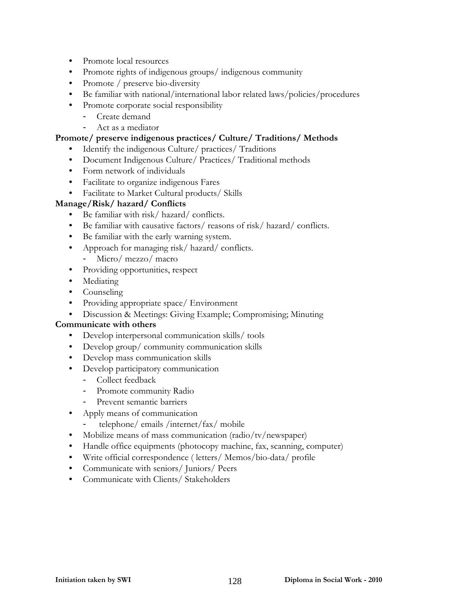- Promote local resources
- Promote rights of indigenous groups/ indigenous community
- Promote / preserve bio-diversity
- Be familiar with national/international labor related laws/policies/procedures
- Promote corporate social responsibility
	- Create demand
	- Act as a mediator

### **Promote/ preserve indigenous practices/ Culture/ Traditions/ Methods**

- Identify the indigenous Culture/ practices/ Traditions
- Document Indigenous Culture/ Practices/ Traditional methods
- Form network of individuals
- Facilitate to organize indigenous Fares
- Facilitate to Market Cultural products/ Skills

### **Manage/Risk/ hazard/ Conflicts**

- Be familiar with risk/ hazard/ conflicts.
- Be familiar with causative factors/ reasons of risk/ hazard/ conflicts.
- Be familiar with the early warning system.
- Approach for managing risk/hazard/conflicts.
	- Micro/ mezzo/ macro
- Providing opportunities, respect
- Mediating
- Counseling
- Providing appropriate space/ Environment
- Discussion & Meetings: Giving Example; Compromising; Minuting

### **Communicate with others**

- Develop interpersonal communication skills/ tools
- Develop group/ community communication skills
- Develop mass communication skills
- Develop participatory communication
	- Collect feedback
	- Promote community Radio
	- Prevent semantic barriers
- Apply means of communication
	- telephone/ emails /internet/fax/ mobile
- Mobilize means of mass communication (radio/tv/newspaper)
- Handle office equipments (photocopy machine, fax, scanning, computer)
- Write official correspondence ( letters/ Memos/bio-data/ profile
- Communicate with seniors/ Juniors/ Peers
- Communicate with Clients/ Stakeholders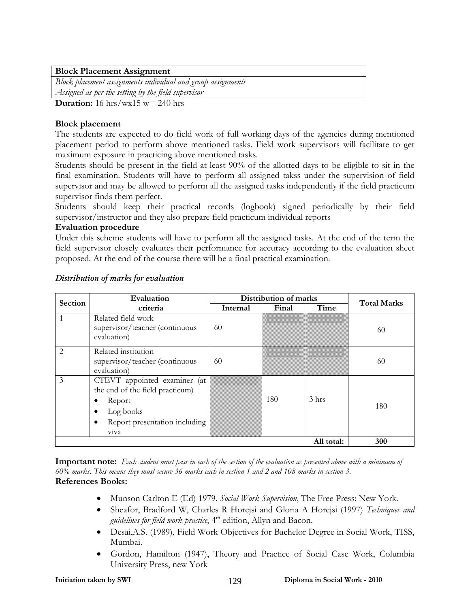### **Block Placement Assignment**

*Block placement assignments individual and group assignments Assigned as per the setting by the field supervisor*

**Duration:** 16 hrs/wx15 w= 240 hrs

### **Block placement**

The students are expected to do field work of full working days of the agencies during mentioned placement period to perform above mentioned tasks. Field work supervisors will facilitate to get maximum exposure in practicing above mentioned tasks.

Students should be present in the field at least 90% of the allotted days to be eligible to sit in the final examination. Students will have to perform all assigned takss under the supervision of field supervisor and may be allowed to perform all the assigned tasks independently if the field practicum supervisor finds them perfect.

Students should keep their practical records (logbook) signed periodically by their field supervisor/instructor and they also prepare field practicum individual reports

### **Evaluation procedure**

Under this scheme students will have to perform all the assigned tasks. At the end of the term the field supervisor closely evaluates their performance for accuracy according to the evaluation sheet proposed. At the end of the course there will be a final practical examination.

| Section       | Evaluation                                                                                                                           | Distribution of marks | <b>Total Marks</b> |                  |     |
|---------------|--------------------------------------------------------------------------------------------------------------------------------------|-----------------------|--------------------|------------------|-----|
|               | criteria                                                                                                                             | Internal              | Final              | Time             |     |
|               | Related field work<br>supervisor/teacher (continuous<br>evaluation)                                                                  | 60                    |                    |                  | 60  |
| $\mathcal{L}$ | Related institution<br>supervisor/teacher (continuous<br>evaluation)                                                                 | 60                    |                    |                  | 60  |
| 3             | CTEVT appointed examiner (at<br>the end of the field practicum)<br>Report<br>Log books<br>Report presentation including<br>٠<br>viva |                       | 180                | 3 <sub>hrs</sub> | 180 |
|               | 300                                                                                                                                  |                       |                    |                  |     |

### *Distribution of marks for evaluation*

**Important note:** *Each student must pass in each of the section of the evaluation as presented above with a minimum of 60% marks. This means they must secure 36 marks each in section 1 and 2 and 108 marks in section 3.* **References Books:** 

- Munson Carlton E (Ed) 1979. *Social Work Supervision*, The Free Press: New York.
- Sheafor, Bradford W, Charles R Horejsi and Gloria A Horejsi (1997) *Techniques and guidelines for field work practice*, 4<sup>th</sup> edition, Allyn and Bacon.
- Desai,A.S. (1989), Field Work Objectives for Bachelor Degree in Social Work, TISS, Mumbai.
- Gordon, Hamilton (1947), Theory and Practice of Social Case Work, Columbia University Press, new York